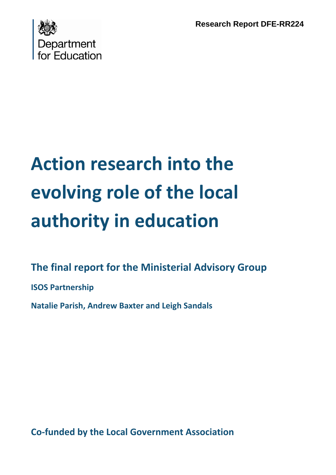**Research Report DFE-RR224**



# **Action research into the evolving role of the local authority in education**

## **The final report for the Ministerial Advisory Group**

**ISOS Partnership**

**Natalie Parish, Andrew Baxter and Leigh Sandals**

**Co‐funded by the Local Government Association**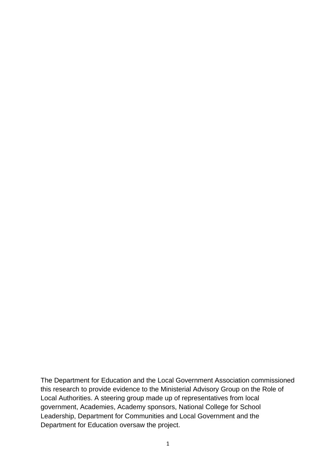The Department for Education and the Local Government Association commissioned this research to provide evidence to the Ministerial Advisory Group on the Role of Local Authorities. A steering group made up of representatives from local government, Academies, Academy sponsors, National College for School Leadership, Department for Communities and Local Government and the Department for Education oversaw the project.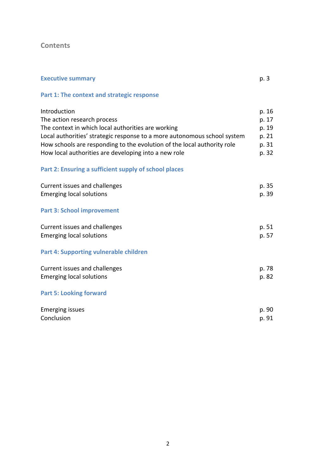## **Contents**

| <b>Executive summary</b>                                                 | p. 3  |
|--------------------------------------------------------------------------|-------|
| Part 1: The context and strategic response                               |       |
| Introduction                                                             | p. 16 |
| The action research process                                              | p. 17 |
| The context in which local authorities are working                       | p. 19 |
| Local authorities' strategic response to a more autonomous school system | p. 21 |
| How schools are responding to the evolution of the local authority role  | p. 31 |
| How local authorities are developing into a new role                     | p. 32 |
| Part 2: Ensuring a sufficient supply of school places                    |       |
| Current issues and challenges                                            | p. 35 |
| <b>Emerging local solutions</b>                                          | p. 39 |
| <b>Part 3: School improvement</b>                                        |       |
| Current issues and challenges                                            | p. 51 |
| <b>Emerging local solutions</b>                                          | p. 57 |
| Part 4: Supporting vulnerable children                                   |       |
| Current issues and challenges                                            | p. 78 |
| <b>Emerging local solutions</b>                                          | p. 82 |
| <b>Part 5: Looking forward</b>                                           |       |
| <b>Emerging issues</b>                                                   | p. 90 |
| Conclusion                                                               | p. 91 |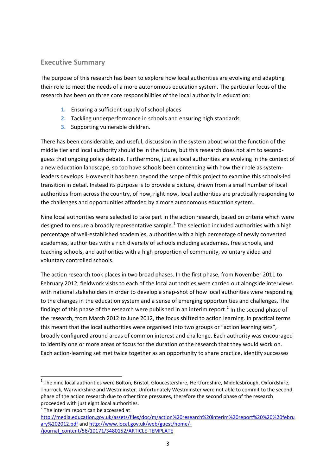#### <span id="page-3-0"></span>**Executive Summary**

The purpose of this research has been to explore how local authorities are evolving and adapting their role to meet the needs of a more autonomous education system. The particular focus of the research has been on three core responsibilities of the local authority in education:

- **1.** Ensuring a sufficient supply of school places
- **2.** Tackling underperformance in schools and ensuring high standards
- **3.** Supporting vulnerable children.

There has been considerable, and useful, discussion in the system about what the function of the middle tier and local authority should be in the future, but this research does not aim to second‐ guess that ongoing policy debate. Furthermore, just as local authorities are evolving in the context of a new education landscape, so too have schools been contending with how their role as systemleaders develops. However it has been beyond the scope of this project to examine this schools‐led transition in detail. Instead its purpose is to provide a picture, drawn from a small number of local authorities from across the country, of how, right now, local authorities are practically responding to the challenges and opportunities afforded by a more autonomous education system.

Nine local authorities were selected to take part in the action research, based on criteria which were designed to ensure a broadly representative sample.<sup>[1](#page-3-1)</sup> The selection included authorities with a high percentage of well‐established academies, authorities with a high percentage of newly converted academies, authorities with a rich diversity of schools including academies, free schools, and teaching schools, and authorities with a high proportion of community, voluntary aided and voluntary controlled schools.

The action research took places in two broad phases. In the first phase, from November 2011 to February 2012, fieldwork visits to each of the local authorities were carried out alongside interviews with national stakeholders in order to develop a snap-shot of how local authorities were responding to the changes in the education system and a sense of emerging opportunities and challenges. The findings of this phase of the research were published in an interim report.<sup>[2](#page-3-2)</sup> In the second phase of the research, from March 2012 to June 2012, the focus shifted to action learning. In practical terms this meant that the local authorities were organised into two groups or "action learning sets", broadly configured around areas of common interest and challenge. Each authority was encouraged to identify one or more areas of focus for the duration of the research that they would work on. Each action‐learning set met twice together as an opportunity to share practice, identify successes

<span id="page-3-1"></span> $1$  The nine local authorities were Bolton, Bristol, Gloucestershire, Hertfordshire, Middlesbrough, Oxfordshire, Thurrock, Warwickshire and Westminster. Unfortunately Westminster were not able to commit to the second phase of the action research due to other time pressures, therefore the second phase of the research proceeded with just eight local authorities. <sup>2</sup> The interim report can be accessed at

<span id="page-3-2"></span>

[http://media.education.gov.uk/assets/files/doc/m/action%20research%20interim%20report%20%20%20febru](http://media.education.gov.uk/assets/files/doc/m/action%20research%20interim%20report%20%20%20february%202012.pdf) [ary%202012.pdf](http://media.education.gov.uk/assets/files/doc/m/action%20research%20interim%20report%20%20%20february%202012.pdf) and [http://www.local.gov.uk/web/guest/home/](http://www.local.gov.uk/web/guest/home/-/journal_content/56/10171/3480152/ARTICLE-TEMPLATE)‐ [/journal\\_content/56/10171/3480152/ARTICLE](http://www.local.gov.uk/web/guest/home/-/journal_content/56/10171/3480152/ARTICLE-TEMPLATE)‐TEMPLATE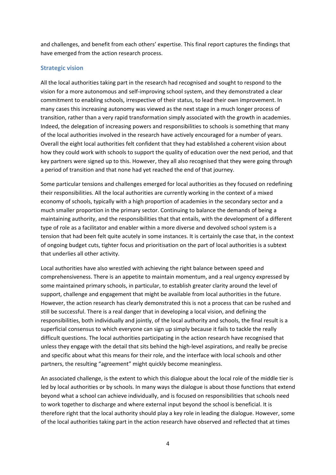and challenges, and benefit from each others' expertise. This final report captures the findings that have emerged from the action research process.

#### **Strategic vision**

All the local authorities taking part in the research had recognised and sought to respond to the vision for a more autonomous and self‐improving school system, and they demonstrated a clear commitment to enabling schools, irrespective of their status, to lead their own improvement. In many cases this increasing autonomy was viewed as the next stage in a much longer process of transition, rather than a very rapid transformation simply associated with the growth in academies. Indeed, the delegation of increasing powers and responsibilities to schools is something that many of the local authorities involved in the research have actively encouraged for a number of years. Overall the eight local authorities felt confident that they had established a coherent vision about how they could work with schools to support the quality of education over the next period, and that key partners were signed up to this. However, they all also recognised that they were going through a period of transition and that none had yet reached the end of that journey.

Some particular tensions and challenges emerged for local authorities as they focused on redefining their responsibilities. All the local authorities are currently working in the context of a mixed economy of schools, typically with a high proportion of academies in the secondary sector and a much smaller proportion in the primary sector. Continuing to balance the demands of being a maintaining authority, and the responsibilities that that entails, with the development of a different type of role as a facilitator and enabler within a more diverse and devolved school system is a tension that had been felt quite acutely in some instances. It is certainly the case that, in the context of ongoing budget cuts, tighter focus and prioritisation on the part of local authorities is a subtext that underlies all other activity.

Local authorities have also wrestled with achieving the right balance between speed and comprehensiveness. There is an appetite to maintain momentum, and a real urgency expressed by some maintained primary schools, in particular, to establish greater clarity around the level of support, challenge and engagement that might be available from local authorities in the future. However, the action research has clearly demonstrated this is not a process that can be rushed and still be successful. There is a real danger that in developing a local vision, and defining the responsibilities, both individually and jointly, of the local authority and schools, the final result is a superficial consensus to which everyone can sign up simply because it fails to tackle the really difficult questions. The local authorities participating in the action research have recognised that unless they engage with the detail that sits behind the high‐level aspirations, and really be precise and specific about what this means for their role, and the interface with local schools and other partners, the resulting "agreement" might quickly become meaningless.

An associated challenge, is the extent to which this dialogue about the local role of the middle tier is led by local authorities or by schools. In many ways the dialogue is about those functions that extend beyond what a school can achieve individually, and is focused on responsibilities that schools need to work together to discharge and where external input beyond the school is beneficial. It is therefore right that the local authority should play a key role in leading the dialogue. However, some of the local authorities taking part in the action research have observed and reflected that at times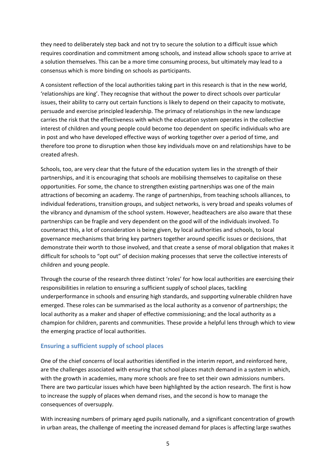they need to deliberately step back and not try to secure the solution to a difficult issue which requires coordination and commitment among schools, and instead allow schools space to arrive at a solution themselves. This can be a more time consuming process, but ultimately may lead to a consensus which is more binding on schools as participants.

A consistent reflection of the local authorities taking part in this research is that in the new world, 'relationships are king'. They recognise that without the power to direct schools over particular issues, their ability to carry out certain functions is likely to depend on their capacity to motivate, persuade and exercise principled leadership. The primacy of relationships in the new landscape carries the risk that the effectiveness with which the education system operates in the collective interest of children and young people could become too dependent on specific individuals who are in post and who have developed effective ways of working together over a period of time, and therefore too prone to disruption when those key individuals move on and relationships have to be created afresh.

Schools, too, are very clear that the future of the education system lies in the strength of their partnerships, and it is encouraging that schools are mobilising themselves to capitalise on these opportunities. For some, the chance to strengthen existing partnerships was one of the main attractions of becoming an academy. The range of partnerships, from teaching schools alliances, to individual federations, transition groups, and subject networks, is very broad and speaks volumes of the vibrancy and dynamism of the school system. However, headteachers are also aware that these partnerships can be fragile and very dependent on the good will of the individuals involved. To counteract this, a lot of consideration is being given, by local authorities and schools, to local governance mechanisms that bring key partners together around specific issues or decisions, that demonstrate their worth to those involved, and that create a sense of moral obligation that makes it difficult for schools to "opt out" of decision making processes that serve the collective interests of children and young people.

Through the course of the research three distinct 'roles' for how local authorities are exercising their responsibilities in relation to ensuring a sufficient supply of school places, tackling underperformance in schools and ensuring high standards, and supporting vulnerable children have emerged. These roles can be summarised as the local authority as a convenor of partnerships; the local authority as a maker and shaper of effective commissioning; and the local authority as a champion for children, parents and communities. These provide a helpful lens through which to view the emerging practice of local authorities.

#### **Ensuring a sufficient supply of school places**

One of the chief concerns of local authorities identified in the interim report, and reinforced here, are the challenges associated with ensuring that school places match demand in a system in which, with the growth in academies, many more schools are free to set their own admissions numbers. There are two particular issues which have been highlighted by the action research. The first is how to increase the supply of places when demand rises, and the second is how to manage the consequences of oversupply.

With increasing numbers of primary aged pupils nationally, and a significant concentration of growth in urban areas, the challenge of meeting the increased demand for places is affecting large swathes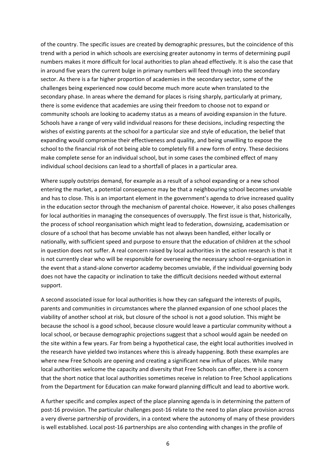of the country. The specific issues are created by demographic pressures, but the coincidence of this trend with a period in which schools are exercising greater autonomy in terms of determining pupil numbers makes it more difficult for local authorities to plan ahead effectively. It is also the case that in around five years the current bulge in primary numbers will feed through into the secondary sector. As there is a far higher proportion of academies in the secondary sector, some of the challenges being experienced now could become much more acute when translated to the secondary phase. In areas where the demand for places is rising sharply, particularly at primary, there is some evidence that academies are using their freedom to choose not to expand or community schools are looking to academy status as a means of avoiding expansion in the future. Schools have a range of very valid individual reasons for these decisions, including respecting the wishes of existing parents at the school for a particular size and style of education, the belief that expanding would compromise their effectiveness and quality, and being unwilling to expose the school to the financial risk of not being able to completely fill a new form of entry. These decisions make complete sense for an individual school, but in some cases the combined effect of many individual school decisions can lead to a shortfall of places in a particular area.

Where supply outstrips demand, for example as a result of a school expanding or a new school entering the market, a potential consequence may be that a neighbouring school becomes unviable and has to close. This is an important element in the government's agenda to drive increased quality in the education sector through the mechanism of parental choice. However, it also poses challenges for local authorities in managing the consequences of oversupply. The first issue is that, historically, the process of school reorganisation which might lead to federation, downsizing, academisation or closure of a school that has become unviable has not always been handled, either locally or nationally, with sufficient speed and purpose to ensure that the education of children at the school in question does not suffer. A real concern raised by local authorities in the action research is that it is not currently clear who will be responsible for overseeing the necessary school re-organisation in the event that a stand‐alone convertor academy becomes unviable, if the individual governing body does not have the capacity or inclination to take the difficult decisions needed without external support.

A second associated issue for local authorities is how they can safeguard the interests of pupils, parents and communities in circumstances where the planned expansion of one school places the viability of another school at risk, but closure of the school is not a good solution. This might be because the school is a good school, because closure would leave a particular community without a local school, or because demographic projections suggest that a school would again be needed on the site within a few years. Far from being a hypothetical case, the eight local authorities involved in the research have yielded two instances where this is already happening. Both these examples are where new Free Schools are opening and creating a significant new influx of places. While many local authorities welcome the capacity and diversity that Free Schools can offer, there is a concern that the short notice that local authorities sometimes receive in relation to Free School applications from the Department for Education can make forward planning difficult and lead to abortive work.

A further specific and complex aspect of the place planning agenda is in determining the pattern of post‐16 provision. The particular challenges post‐16 relate to the need to plan place provision across a very diverse partnership of providers, in a context where the autonomy of many of these providers is well established. Local post‐16 partnerships are also contending with changes in the profile of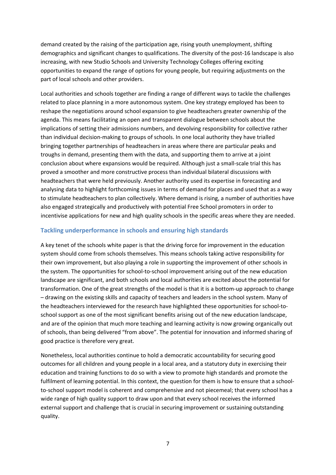demand created by the raising of the participation age, rising youth unemployment, shifting demographics and significant changes to qualifications. The diversity of the post‐16 landscape is also increasing, with new Studio Schools and University Technology Colleges offering exciting opportunities to expand the range of options for young people, but requiring adjustments on the part of local schools and other providers.

Local authorities and schools together are finding a range of different ways to tackle the challenges related to place planning in a more autonomous system. One key strategy employed has been to reshape the negotiations around school expansion to give headteachers greater ownership of the agenda. This means facilitating an open and transparent dialogue between schools about the implications of setting their admissions numbers, and devolving responsibility for collective rather than individual decision‐making to groups of schools. In one local authority they have trialled bringing together partnerships of headteachers in areas where there are particular peaks and troughs in demand, presenting them with the data, and supporting them to arrive at a joint conclusion about where expansions would be required. Although just a small‐scale trial this has proved a smoother and more constructive process than individual bilateral discussions with headteachers that were held previously. Another authority used its expertise in forecasting and analysing data to highlight forthcoming issues in terms of demand for places and used that as a way to stimulate headteachers to plan collectively. Where demand is rising, a number of authorities have also engaged strategically and productively with potential Free School promoters in order to incentivise applications for new and high quality schools in the specific areas where they are needed.

#### **Tackling underperformance in schools and ensuring high standards**

A key tenet of the schools white paper is that the driving force for improvement in the education system should come from schools themselves. This means schools taking active responsibility for their own improvement, but also playing a role in supporting the improvement of other schools in the system. The opportunities for school-to-school improvement arising out of the new education landscape are significant, and both schools and local authorities are excited about the potential for transformation. One of the great strengths of the model is that it is a bottom‐up approach to change – drawing on the existing skills and capacity of teachers and leaders in the school system. Many of the headteachers interviewed for the research have highlighted these opportunities for school-toschool support as one of the most significant benefits arising out of the new education landscape, and are of the opinion that much more teaching and learning activity is now growing organically out of schools, than being delivered "from above". The potential for innovation and informed sharing of good practice is therefore very great.

Nonetheless, local authorities continue to hold a democratic accountability for securing good outcomes for all children and young people in a local area, and a statutory duty in exercising their education and training functions to do so with a view to promote high standards and promote the fulfilment of learning potential. In this context, the question for them is how to ensure that a schoolto-school support model is coherent and comprehensive and not piecemeal; that every school has a wide range of high quality support to draw upon and that every school receives the informed external support and challenge that is crucial in securing improvement or sustaining outstanding quality.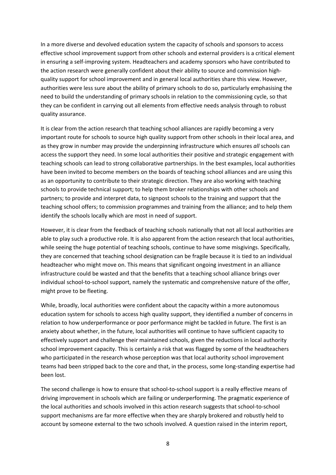In a more diverse and devolved education system the capacity of schools and sponsors to access effective school improvement support from other schools and external providers is a critical element in ensuring a self-improving system. Headteachers and academy sponsors who have contributed to the action research were generally confident about their ability to source and commission highquality support for school improvement and in general local authorities share this view. However, authorities were less sure about the ability of primary schools to do so, particularly emphasising the need to build the understanding of primary schools in relation to the commissioning cycle, so that they can be confident in carrying out all elements from effective needs analysis through to robust quality assurance.

It is clear from the action research that teaching school alliances are rapidly becoming a very important route for schools to source high quality support from other schools in their local area, and as they grow in number may provide the underpinning infrastructure which ensures *all* schools can access the support they need. In some local authorities their positive and strategic engagement with teaching schools can lead to strong collaborative partnerships. In the best examples, local authorities have been invited to become members on the boards of teaching school alliances and are using this as an opportunity to contribute to their strategic direction. They are also working with teaching schools to provide technical support; to help them broker relationships with other schools and partners; to provide and interpret data, to signpost schools to the training and support that the teaching school offers; to commission programmes and training from the alliance; and to help them identify the schools locally which are most in need of support.

However, it is clear from the feedback of teaching schools nationally that not all local authorities are able to play such a productive role. It is also apparent from the action research that local authorities, while seeing the huge potential of teaching schools, continue to have some misgivings. Specifically, they are concerned that teaching school designation can be fragile because it is tied to an individual headteacher who might move on. This means that significant ongoing investment in an alliance infrastructure could be wasted and that the benefits that a teaching school alliance brings over individual school-to-school support, namely the systematic and comprehensive nature of the offer, might prove to be fleeting.

While, broadly, local authorities were confident about the capacity within a more autonomous education system for schools to access high quality support, they identified a number of concerns in relation to how underperformance or poor performance might be tackled in future. The first is an anxiety about whether, in the future, local authorities will continue to have sufficient capacity to effectively support and challenge their maintained schools, given the reductions in local authority school improvement capacity. This is certainly a risk that was flagged by some of the headteachers who participated in the research whose perception was that local authority school improvement teams had been stripped back to the core and that, in the process, some long‐standing expertise had been lost.

The second challenge is how to ensure that school-to-school support is a really effective means of driving improvement in schools which are failing or underperforming. The pragmatic experience of the local authorities and schools involved in this action research suggests that school‐to‐school support mechanisms are far more effective when they are sharply brokered and robustly held to account by someone external to the two schools involved. A question raised in the interim report,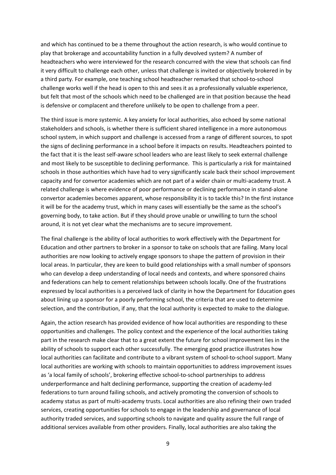and which has continued to be a theme throughout the action research, is who would continue to play that brokerage and accountability function in a fully devolved system? A number of headteachers who were interviewed for the research concurred with the view that schools can find it very difficult to challenge each other, unless that challenge is invited or objectively brokered in by a third party. For example, one teaching school headteacher remarked that school‐to‐school challenge works well if the head is open to this and sees it as a professionally valuable experience, but felt that most of the schools which need to be challenged are in that position because the head is defensive or complacent and therefore unlikely to be open to challenge from a peer.

The third issue is more systemic. A key anxiety for local authorities, also echoed by some national stakeholders and schools, is whether there is sufficient shared intelligence in a more autonomous school system, in which support and challenge is accessed from a range of different sources, to spot the signs of declining performance in a school before it impacts on results. Headteachers pointed to the fact that it is the least self‐aware school leaders who are least likely to seek external challenge and most likely to be susceptible to declining performance. This is particularly a risk for maintained schools in those authorities which have had to very significantly scale back their school improvement capacity and for convertor academies which are not part of a wider chain or multi‐academy trust. A related challenge is where evidence of poor performance or declining performance in stand‐alone convertor academies becomes apparent, whose responsibility it is to tackle this? In the first instance it will be for the academy trust, which in many cases will essentially be the same as the school's governing body, to take action. But if they should prove unable or unwilling to turn the school around, it is not yet clear what the mechanisms are to secure improvement.

The final challenge is the ability of local authorities to work effectively with the Department for Education and other partners to broker in a sponsor to take on schools that are failing. Many local authorities are now looking to actively engage sponsors to shape the pattern of provision in their local areas. In particular, they are keen to build good relationships with a small number of sponsors who can develop a deep understanding of local needs and contexts, and where sponsored chains and federations can help to cement relationships between schools locally. One of the frustrations expressed by local authorities is a perceived lack of clarity in how the Department for Education goes about lining up a sponsor for a poorly performing school, the criteria that are used to determine selection, and the contribution, if any, that the local authority is expected to make to the dialogue.

Again, the action research has provided evidence of how local authorities are responding to these opportunities and challenges. The policy context and the experience of the local authorities taking part in the research make clear that to a great extent the future for school improvement lies in the ability of schools to support each other successfully. The emerging good practice illustrates how local authorities can facilitate and contribute to a vibrant system of school-to-school support. Many local authorities are working with schools to maintain opportunities to address improvement issues as 'a local family of schools', brokering effective school-to-school partnerships to address underperformance and halt declining performance, supporting the creation of academy‐led federations to turn around failing schools, and actively promoting the conversion of schools to academy status as part of multi‐academy trusts. Local authorities are also refining their own traded services, creating opportunities for schools to engage in the leadership and governance of local authority traded services, and supporting schools to navigate and quality assure the full range of additional services available from other providers. Finally, local authorities are also taking the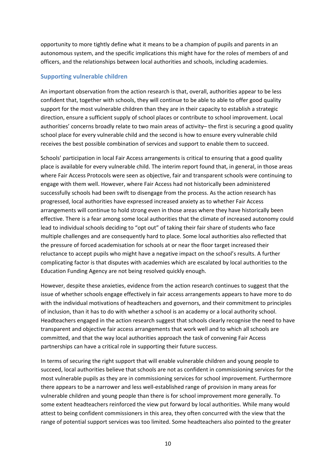opportunity to more tightly define what it means to be a champion of pupils and parents in an autonomous system, and the specific implications this might have for the roles of members of and officers, and the relationships between local authorities and schools, including academies.

#### **Supporting vulnerable children**

An important observation from the action research is that, overall, authorities appear to be less confident that, together with schools, they will continue to be able to able to offer good quality support for the most vulnerable children than they are in their capacity to establish a strategic direction, ensure a sufficient supply of school places or contribute to school improvement. Local authorities' concerns broadly relate to two main areas of activity– the first is securing a good quality school place for every vulnerable child and the second is how to ensure every vulnerable child receives the best possible combination of services and support to enable them to succeed.

Schools' participation in local Fair Access arrangements is critical to ensuring that a good quality place is available for every vulnerable child. The interim report found that, in general, in those areas where Fair Access Protocols were seen as objective, fair and transparent schools were continuing to engage with them well. However, where Fair Access had not historically been administered successfully schools had been swift to disengage from the process. As the action research has progressed, local authorities have expressed increased anxiety as to whether Fair Access arrangements will continue to hold strong even in those areas where they have historically been effective. There is a fear among some local authorities that the climate of increased autonomy could lead to individual schools deciding to "opt out" of taking their fair share of students who face multiple challenges and are consequently hard to place. Some local authorities also reflected that the pressure of forced academisation for schools at or near the floor target increased their reluctance to accept pupils who might have a negative impact on the school's results. A further complicating factor is that disputes with academies which are escalated by local authorities to the Education Funding Agency are not being resolved quickly enough.

However, despite these anxieties, evidence from the action research continues to suggest that the issue of whether schools engage effectively in fair access arrangements appears to have more to do with the individual motivations of headteachers and governors, and their commitment to principles of inclusion, than it has to do with whether a school is an academy or a local authority school. Headteachers engaged in the action research suggest that schools clearly recognise the need to have transparent and objective fair access arrangements that work well and to which all schools are committed, and that the way local authorities approach the task of convening Fair Access partnerships can have a critical role in supporting their future success.

In terms of securing the right support that will enable vulnerable children and young people to succeed, local authorities believe that schools are not as confident in commissioning services for the most vulnerable pupils as they are in commissioning services for school improvement. Furthermore there appears to be a narrower and less well‐established range of provision in many areas for vulnerable children and young people than there is for school improvement more generally. To some extent headteachers reinforced the view put forward by local authorities. While many would attest to being confident commissioners in this area, they often concurred with the view that the range of potential support services was too limited. Some headteachers also pointed to the greater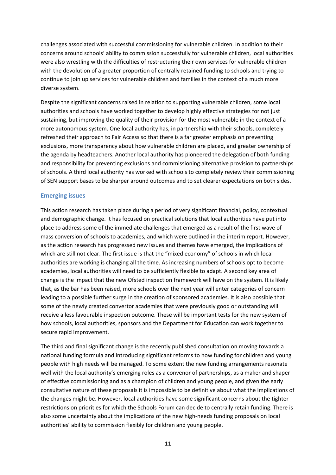challenges associated with successful commissioning for vulnerable children. In addition to their concerns around schools' ability to commission successfully for vulnerable children, local authorities were also wrestling with the difficulties of restructuring their own services for vulnerable children with the devolution of a greater proportion of centrally retained funding to schools and trying to continue to join up services for vulnerable children and families in the context of a much more diverse system.

Despite the significant concerns raised in relation to supporting vulnerable children, some local authorities and schools have worked together to develop highly effective strategies for not just sustaining, but improving the quality of their provision for the most vulnerable in the context of a more autonomous system. One local authority has, in partnership with their schools, completely refreshed their approach to Fair Access so that there is a far greater emphasis on preventing exclusions, more transparency about how vulnerable children are placed, and greater ownership of the agenda by headteachers. Another local authority has pioneered the delegation of both funding and responsibility for preventing exclusions and commissioning alternative provision to partnerships of schools. A third local authority has worked with schools to completely review their commissioning of SEN support bases to be sharper around outcomes and to set clearer expectations on both sides.

#### **Emerging issues**

This action research has taken place during a period of very significant financial, policy, contextual and demographic change. It has focused on practical solutions that local authorities have put into place to address some of the immediate challenges that emerged as a result of the first wave of mass conversion of schools to academies, and which were outlined in the interim report. However, as the action research has progressed new issues and themes have emerged, the implications of which are still not clear. The first issue is that the "mixed economy" of schools in which local authorities are working is changing all the time. As increasing numbers of schools opt to become academies, local authorities will need to be sufficiently flexible to adapt. A second key area of change is the impact that the new Ofsted inspection framework will have on the system. It is likely that, as the bar has been raised, more schools over the next year will enter categories of concern leading to a possible further surge in the creation of sponsored academies. It is also possible that some of the newly created convertor academies that were previously good or outstanding will receive a less favourable inspection outcome. These will be important tests for the new system of how schools, local authorities, sponsors and the Department for Education can work together to secure rapid improvement.

The third and final significant change is the recently published consultation on moving towards a national funding formula and introducing significant reforms to how funding for children and young people with high needs will be managed. To some extent the new funding arrangements resonate well with the local authority's emerging roles as a convenor of partnerships, as a maker and shaper of effective commissioning and as a champion of children and young people, and given the early consultative nature of these proposals it is impossible to be definitive about what the implications of the changes might be. However, local authorities have some significant concerns about the tighter restrictions on priorities for which the Schools Forum can decide to centrally retain funding. There is also some uncertainty about the implications of the new high-needs funding proposals on local authorities' ability to commission flexibly for children and young people.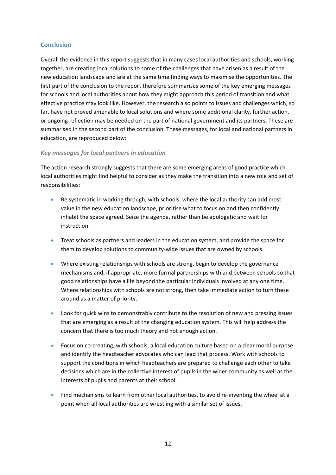#### **Conclusion**

Overall the evidence in this report suggests that in many cases local authorities and schools, working together, are creating local solutions to some of the challenges that have arisen as a result of the new education landscape and are at the same time finding ways to maximise the opportunities. The first part of the conclusion to the report therefore summarises some of the key emerging messages for schools and local authorities about how they might approach this period of transition and what effective practice may look like. However, the research also points to issues and challenges which, so far, have not proved amenable to local solutions and where some additional clarity, further action, or ongoing reflection may be needed on the part of national government and its partners. These are summarised in the second part of the conclusion. These messages, for local and national partners in education, are reproduced below:

#### *Key messages for local partners in education*

The action research strongly suggests that there are some emerging areas of good practice which local authorities might find helpful to consider as they make the transition into a new role and set of responsibilities:

- Be systematic in working through, with schools, where the local authority can add most value in the new education landscape, prioritise what to focus on and then confidently inhabit the space agreed. Seize the agenda, rather than be apologetic and wait for instruction.
- Treat schools as partners and leaders in the education system, and provide the space for them to develop solutions to community-wide issues that are owned by schools.
- Where existing relationships with schools are strong, begin to develop the governance mechanisms and, if appropriate, more formal partnerships with and between schools so that good relationships have a life beyond the particular individuals involved at any one time. Where relationships with schools are not strong, then take immediate action to turn these around as a matter of priority.
- Look for quick wins to demonstrably contribute to the resolution of new and pressing issues that are emerging as a result of the changing education system. This will help address the concern that there is too much theory and not enough action.
- Focus on co-creating, with schools, a local education culture based on a clear moral purpose and identify the headteacher advocates who can lead that process. Work with schools to support the conditions in which headteachers are prepared to challenge each other to take decisions which are in the collective interest of pupils in the wider community as well as the interests of pupils and parents at their school.
- Find mechanisms to learn from other local authorities, to avoid re-inventing the wheel at a point when all local authorities are wrestling with a similar set of issues.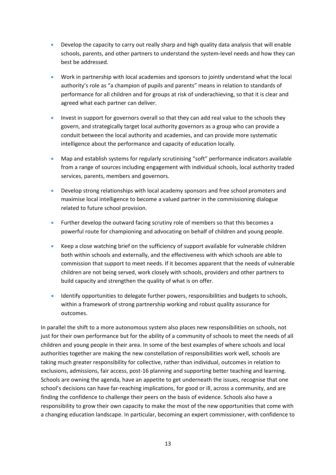- Develop the capacity to carry out really sharp and high quality data analysis that will enable schools, parents, and other partners to understand the system‐level needs and how they can best be addressed.
- Work in partnership with local academies and sponsors to jointly understand what the local authority's role as "a champion of pupils and parents" means in relation to standards of performance for all children and for groups at risk of underachieving, so that it is clear and agreed what each partner can deliver.
- Invest in support for governors overall so that they can add real value to the schools they govern, and strategically target local authority governors as a group who can provide a conduit between the local authority and academies, and can provide more systematic intelligence about the performance and capacity of education locally.
- Map and establish systems for regularly scrutinising "soft" performance indicators available from a range of sources including engagement with individual schools, local authority traded services, parents, members and governors.
- Develop strong relationships with local academy sponsors and free school promoters and maximise local intelligence to become a valued partner in the commissioning dialogue related to future school provision.
- Further develop the outward facing scrutiny role of members so that this becomes a powerful route for championing and advocating on behalf of children and young people.
- Keep a close watching brief on the sufficiency of support available for vulnerable children both within schools and externally, and the effectiveness with which schools are able to commission that support to meet needs. If it becomes apparent that the needs of vulnerable children are not being served, work closely with schools, providers and other partners to build capacity and strengthen the quality of what is on offer.
- Identify opportunities to delegate further powers, responsibilities and budgets to schools, within a framework of strong partnership working and robust quality assurance for outcomes.

In parallel the shift to a more autonomous system also places new responsibilities on schools, not just for their own performance but for the ability of a community of schools to meet the needs of all children and young people in their area. In some of the best examples of where schools and local authorities together are making the new constellation of responsibilities work well, schools are taking much greater responsibility for collective, rather than individual, outcomes in relation to exclusions, admissions, fair access, post-16 planning and supporting better teaching and learning. Schools are owning the agenda, have an appetite to get underneath the issues, recognise that one school's decisions can have far-reaching implications, for good or ill, across a community, and are finding the confidence to challenge their peers on the basis of evidence. Schools also have a responsibility to grow their own capacity to make the most of the new opportunities that come with a changing education landscape. In particular, becoming an expert commissioner, with confidence to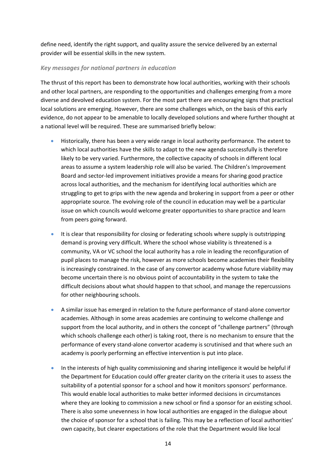define need, identify the right support, and quality assure the service delivered by an external provider will be essential skills in the new system.

#### *Key messages for national partners in education*

The thrust of this report has been to demonstrate how local authorities, working with their schools and other local partners, are responding to the opportunities and challenges emerging from a more diverse and devolved education system. For the most part there are encouraging signs that practical local solutions are emerging. However, there are some challenges which, on the basis of this early evidence, do not appear to be amenable to locally developed solutions and where further thought at a national level will be required. These are summarised briefly below:

- Historically, there has been a very wide range in local authority performance. The extent to which local authorities have the skills to adapt to the new agenda successfully is therefore likely to be very varied. Furthermore, the collective capacity of schools in different local areas to assume a system leadership role will also be varied. The Children's Improvement Board and sector‐led improvement initiatives provide a means for sharing good practice across local authorities, and the mechanism for identifying local authorities which are struggling to get to grips with the new agenda and brokering in support from a peer or other appropriate source. The evolving role of the council in education may well be a particular issue on which councils would welcome greater opportunities to share practice and learn from peers going forward.
- It is clear that responsibility for closing or federating schools where supply is outstripping demand is proving very difficult. Where the school whose viability is threatened is a community, VA or VC school the local authority has a role in leading the reconfiguration of pupil places to manage the risk, however as more schools become academies their flexibility is increasingly constrained. In the case of any convertor academy whose future viability may become uncertain there is no obvious point of accountability in the system to take the difficult decisions about what should happen to that school, and manage the repercussions for other neighbouring schools.
- A similar issue has emerged in relation to the future performance of stand‐alone convertor academies. Although in some areas academies are continuing to welcome challenge and support from the local authority, and in others the concept of "challenge partners" (through which schools challenge each other) is taking root, there is no mechanism to ensure that the performance of every stand‐alone convertor academy is scrutinised and that where such an academy is poorly performing an effective intervention is put into place.
- In the interests of high quality commissioning and sharing intelligence it would be helpful if the Department for Education could offer greater clarity on the criteria it uses to assess the suitability of a potential sponsor for a school and how it monitors sponsors' performance. This would enable local authorities to make better informed decisions in circumstances where they are looking to commission a new school or find a sponsor for an existing school. There is also some unevenness in how local authorities are engaged in the dialogue about the choice of sponsor for a school that is failing. This may be a reflection of local authorities' own capacity, but clearer expectations of the role that the Department would like local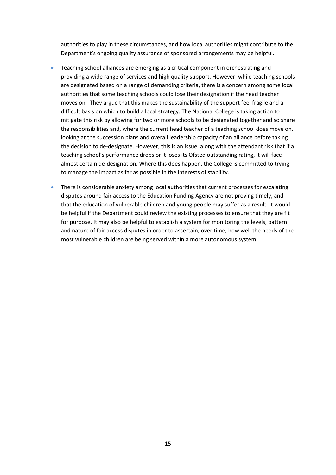authorities to play in these circumstances, and how local authorities might contribute to the Department's ongoing quality assurance of sponsored arrangements may be helpful.

- Teaching school alliances are emerging as a critical component in orchestrating and providing a wide range of services and high quality support. However, while teaching schools are designated based on a range of demanding criteria, there is a concern among some local authorities that some teaching schools could lose their designation if the head teacher moves on. They argue that this makes the sustainability of the support feel fragile and a difficult basis on which to build a local strategy. The National College is taking action to mitigate this risk by allowing for two or more schools to be designated together and so share the responsibilities and, where the current head teacher of a teaching school does move on, looking at the succession plans and overall leadership capacity of an alliance before taking the decision to de‐designate. However, this is an issue, along with the attendant risk that if a teaching school's performance drops or it loses its Ofsted outstanding rating, it will face almost certain de‐designation. Where this does happen, the College is committed to trying to manage the impact as far as possible in the interests of stability.
- There is considerable anxiety among local authorities that current processes for escalating disputes around fair access to the Education Funding Agency are not proving timely, and that the education of vulnerable children and young people may suffer as a result. It would be helpful if the Department could review the existing processes to ensure that they are fit for purpose. It may also be helpful to establish a system for monitoring the levels, pattern and nature of fair access disputes in order to ascertain, over time, how well the needs of the most vulnerable children are being served within a more autonomous system.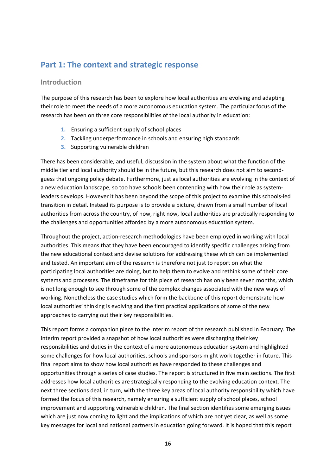## <span id="page-16-0"></span>**Part 1: The context and strategic response**

#### **Introduction**

The purpose of this research has been to explore how local authorities are evolving and adapting their role to meet the needs of a more autonomous education system. The particular focus of the research has been on three core responsibilities of the local authority in education:

- **1.** Ensuring a sufficient supply of school places
- **2.** Tackling underperformance in schools and ensuring high standards
- **3.** Supporting vulnerable children

There has been considerable, and useful, discussion in the system about what the function of the middle tier and local authority should be in the future, but this research does not aim to second‐ guess that ongoing policy debate. Furthermore, just as local authorities are evolving in the context of a new education landscape, so too have schools been contending with how their role as systemleaders develops. However it has been beyond the scope of this project to examine this schools‐led transition in detail. Instead its purpose is to provide a picture, drawn from a small number of local authorities from across the country, of how, right now, local authorities are practically responding to the challenges and opportunities afforded by a more autonomous education system.

Throughout the project, action‐research methodologies have been employed in working with local authorities. This means that they have been encouraged to identify specific challenges arising from the new educational context and devise solutions for addressing these which can be implemented and tested. An important aim of the research is therefore not just to report on what the participating local authorities are doing, but to help them to evolve and rethink some of their core systems and processes. The timeframe for this piece of research has only been seven months, which is not long enough to see through some of the complex changes associated with the new ways of working. Nonetheless the case studies which form the backbone of this report demonstrate how local authorities' thinking is evolving and the first practical applications of some of the new approaches to carrying out their key responsibilities.

This report forms a companion piece to the interim report of the research published in February. The interim report provided a snapshot of how local authorities were discharging their key responsibilities and duties in the context of a more autonomous education system and highlighted some challenges for how local authorities, schools and sponsors might work together in future. This final report aims to show how local authorities have responded to these challenges and opportunities through a series of case studies. The report is structured in five main sections. The first addresses how local authorities are strategically responding to the evolving education context. The next three sections deal, in turn, with the three key areas of local authority responsibility which have formed the focus of this research, namely ensuring a sufficient supply of school places, school improvement and supporting vulnerable children. The final section identifies some emerging issues which are just now coming to light and the implications of which are not yet clear, as well as some key messages for local and national partners in education going forward. It is hoped that this report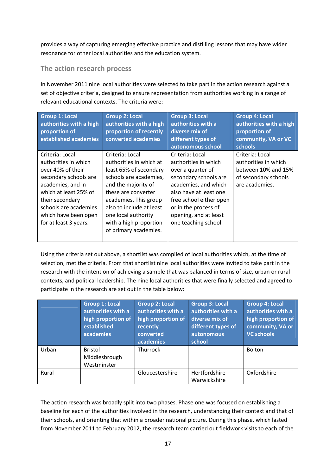<span id="page-17-0"></span>provides a way of capturing emerging effective practice and distilling lessons that may have wider resonance for other local authorities and the education system.

## **The action research process**

In November 2011 nine local authorities were selected to take part in the action research against a set of objective criteria, designed to ensure representation from authorities working in a range of relevant educational contexts. The criteria were:

| <b>Group 1: Local</b><br>authorities with a high<br>proportion of<br>established academies                                                                                                                                       | <b>Group 2: Local</b><br>authorities with a high<br>proportion of recently<br>converted academies                                                                                                                                                                           | <b>Group 3: Local</b><br>authorities with a<br>diverse mix of<br>different types of<br>autonomous school                                                                                                                                    | <b>Group 4: Local</b><br>authorities with a high<br>proportion of<br>community, VA or VC<br><b>schools</b> |
|----------------------------------------------------------------------------------------------------------------------------------------------------------------------------------------------------------------------------------|-----------------------------------------------------------------------------------------------------------------------------------------------------------------------------------------------------------------------------------------------------------------------------|---------------------------------------------------------------------------------------------------------------------------------------------------------------------------------------------------------------------------------------------|------------------------------------------------------------------------------------------------------------|
| Criteria: Local<br>authorities in which<br>over 40% of their<br>secondary schools are<br>academies, and in<br>which at least 25% of<br>their secondary<br>schools are academies<br>which have been open<br>for at least 3 years. | Criteria: Local<br>authorities in which at<br>least 65% of secondary<br>schools are academies,<br>and the majority of<br>these are converter<br>academies. This group<br>also to include at least<br>one local authority<br>with a high proportion<br>of primary academies. | Criteria: Local<br>authorities in which<br>over a quarter of<br>secondary schools are<br>academies, and which<br>also have at least one<br>free school either open<br>or in the process of<br>opening, and at least<br>one teaching school. | Criteria: Local<br>authorities in which<br>between 10% and 15%<br>of secondary schools<br>are academies.   |

Using the criteria set out above, a shortlist was compiled of local authorities which, at the time of selection, met the criteria. From that shortlist nine local authorities were invited to take part in the research with the intention of achieving a sample that was balanced in terms of size, urban or rural contexts, and political leadership. The nine local authorities that were finally selected and agreed to participate in the research are set out in the table below:

|       | <b>Group 1: Local</b><br>authorities with a<br>high proportion of<br>established<br>academies | <b>Group 2: Local</b><br>authorities with a<br>high proportion of<br>recently<br>converted<br>academies | <b>Group 3: Local</b><br>authorities with a<br>diverse mix of<br>different types of<br>autonomous<br>school | <b>Group 4: Local</b><br>authorities with a<br>high proportion of<br>community, VA or<br><b>VC schools</b> |
|-------|-----------------------------------------------------------------------------------------------|---------------------------------------------------------------------------------------------------------|-------------------------------------------------------------------------------------------------------------|------------------------------------------------------------------------------------------------------------|
| Urban | <b>Bristol</b><br>Middlesbrough<br>Westminster                                                | Thurrock                                                                                                |                                                                                                             | <b>Bolton</b>                                                                                              |
| Rural |                                                                                               | Gloucestershire                                                                                         | Hertfordshire<br>Warwickshire                                                                               | Oxfordshire                                                                                                |

The action research was broadly split into two phases. Phase one was focused on establishing a baseline for each of the authorities involved in the research, understanding their context and that of their schools, and orienting that within a broader national picture. During this phase, which lasted from November 2011 to February 2012, the research team carried out fieldwork visits to each of the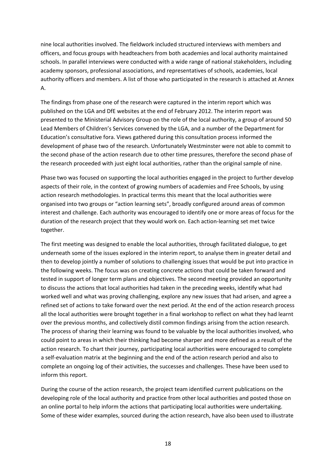nine local authorities involved. The fieldwork included structured interviews with members and officers, and focus groups with headteachers from both academies and local authority maintained schools. In parallel interviews were conducted with a wide range of national stakeholders, including academy sponsors, professional associations, and representatives of schools, academies, local authority officers and members. A list of those who participated in the research is attached at Annex A.

The findings from phase one of the research were captured in the interim report which was published on the LGA and DfE websites at the end of February 2012. The interim report was presented to the Ministerial Advisory Group on the role of the local authority, a group of around 50 Lead Members of Children's Services convened by the LGA, and a number of the Department for Education's consultative fora. Views gathered during this consultation process informed the development of phase two of the research. Unfortunately Westminster were not able to commit to the second phase of the action research due to other time pressures, therefore the second phase of the research proceeded with just eight local authorities, rather than the original sample of nine.

Phase two was focused on supporting the local authorities engaged in the project to further develop aspects of their role, in the context of growing numbers of academies and Free Schools, by using action research methodologies. In practical terms this meant that the local authorities were organised into two groups or "action learning sets", broadly configured around areas of common interest and challenge. Each authority was encouraged to identify one or more areas of focus for the duration of the research project that they would work on. Each action‐learning set met twice together.

The first meeting was designed to enable the local authorities, through facilitated dialogue, to get underneath some of the issues explored in the interim report, to analyse them in greater detail and then to develop jointly a number of solutions to challenging issues that would be put into practice in the following weeks. The focus was on creating concrete actions that could be taken forward and tested in support of longer term plans and objectives. The second meeting provided an opportunity to discuss the actions that local authorities had taken in the preceding weeks, identify what had worked well and what was proving challenging, explore any new issues that had arisen, and agree a refined set of actions to take forward over the next period. At the end of the action research process all the local authorities were brought together in a final workshop to reflect on what they had learnt over the previous months, and collectively distil common findings arising from the action research. The process of sharing their learning was found to be valuable by the local authorities involved, who could point to areas in which their thinking had become sharper and more defined as a result of the action research. To chart their journey, participating local authorities were encouraged to complete a self‐evaluation matrix at the beginning and the end of the action research period and also to complete an ongoing log of their activities, the successes and challenges. These have been used to inform this report.

During the course of the action research, the project team identified current publications on the developing role of the local authority and practice from other local authorities and posted those on an online portal to help inform the actions that participating local authorities were undertaking. Some of these wider examples, sourced during the action research, have also been used to illustrate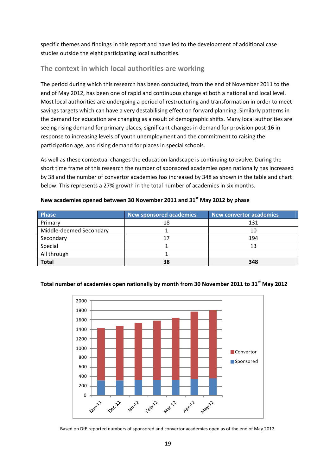<span id="page-19-0"></span>specific themes and findings in this report and have led to the development of additional case studies outside the eight participating local authorities.

## **The context in which local authorities are working**

The period during which this research has been conducted, from the end of November 2011 to the end of May 2012, has been one of rapid and continuous change at both a national and local level. Most local authorities are undergoing a period of restructuring and transformation in order to meet savings targets which can have a very destabilising effect on forward planning. Similarly patterns in the demand for education are changing as a result of demographic shifts. Many local authorities are seeing rising demand for primary places, significant changes in demand for provision post‐16 in response to increasing levels of youth unemployment and the commitment to raising the participation age, and rising demand for places in special schools.

As well as these contextual changes the education landscape is continuing to evolve. During the short time frame of this research the number of sponsored academies open nationally has increased by 38 and the number of convertor academies has increased by 348 as shown in the table and chart below. This represents a 27% growth in the total number of academies in six months.

| <b>Phase</b>            | <b>New sponsored academies</b> | New convertor academies |
|-------------------------|--------------------------------|-------------------------|
| Primary                 | 18                             | 131                     |
| Middle-deemed Secondary |                                | 10                      |
| Secondary               | 17                             | 194                     |
| Special                 |                                | 13                      |
| All through             |                                |                         |
| <b>Total</b>            | 38                             | 348                     |

#### **New academies opened between 30 November 2011 and 31st May 2012 by phase**



#### **Total number of academies open nationally by month from 30 November 2011 to 31st May 2012**

Based on DfE reported numbers of sponsored and convertor academies open as of the end of May 2012.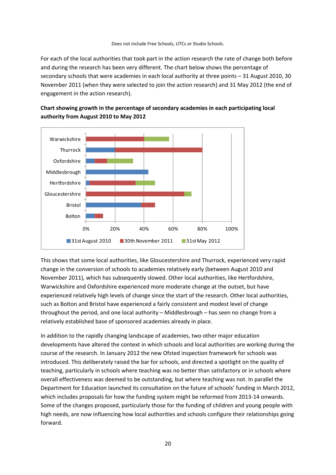Does not include Free Schools, UTCs or Studio Schools.

For each of the local authorities that took part in the action research the rate of change both before and during the research has been very different. The chart below shows the percentage of secondary schools that were academies in each local authority at three points – 31 August 2010, 30 November 2011 (when they were selected to join the action research) and 31 May 2012 (the end of engagement in the action research).



**Chart showing growth in the percentage of secondary academies in each participating local authority from August 2010 to May 2012**

This shows that some local authorities, like Gloucestershire and Thurrock, experienced very rapid change in the conversion of schools to academies relatively early (between August 2010 and November 2011), which has subsequently slowed. Other local authorities, like Hertfordshire, Warwickshire and Oxfordshire experienced more moderate change at the outset, but have experienced relatively high levels of change since the start of the research. Other local authorities, such as Bolton and Bristol have experienced a fairly consistent and modest level of change throughout the period, and one local authority – Middlesbrough – has seen no change from a relatively established base of sponsored academies already in place.

In addition to the rapidly changing landscape of academies, two other major education developments have altered the context in which schools and local authorities are working during the course of the research. In January 2012 the new Ofsted inspection framework for schools was introduced. This deliberately raised the bar for schools, and directed a spotlight on the quality of teaching, particularly in schools where teaching was no better than satisfactory or in schools where overall effectiveness was deemed to be outstanding, but where teaching was not. In parallel the Department for Education launched its consultation on the future of schools' funding in March 2012, which includes proposals for how the funding system might be reformed from 2013-14 onwards. Some of the changes proposed, particularly those for the funding of children and young people with high needs, are now influencing how local authorities and schools configure their relationships going forward.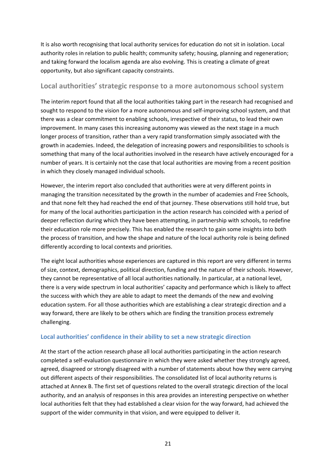<span id="page-21-0"></span>It is also worth recognising that local authority services for education do not sit in isolation. Local authority roles in relation to public health; community safety; housing, planning and regeneration; and taking forward the localism agenda are also evolving. This is creating a climate of great opportunity, but also significant capacity constraints.

## **Local authorities' strategic response to a more autonomous school system**

The interim report found that all the local authorities taking part in the research had recognised and sought to respond to the vision for a more autonomous and self-improving school system, and that there was a clear commitment to enabling schools, irrespective of their status, to lead their own improvement. In many cases this increasing autonomy was viewed as the next stage in a much longer process of transition, rather than a very rapid transformation simply associated with the growth in academies. Indeed, the delegation of increasing powers and responsibilities to schools is something that many of the local authorities involved in the research have actively encouraged for a number of years. It is certainly not the case that local authorities are moving from a recent position in which they closely managed individual schools.

However, the interim report also concluded that authorities were at very different points in managing the transition necessitated by the growth in the number of academies and Free Schools, and that none felt they had reached the end of that journey. These observations still hold true, but for many of the local authorities participation in the action research has coincided with a period of deeper reflection during which they have been attempting, in partnership with schools, to redefine their education role more precisely. This has enabled the research to gain some insights into both the process of transition, and how the shape and nature of the local authority role is being defined differently according to local contexts and priorities.

The eight local authorities whose experiences are captured in this report are very different in terms of size, context, demographics, political direction, funding and the nature of their schools. However, they cannot be representative of all local authorities nationally. In particular, at a national level, there is a very wide spectrum in local authorities' capacity and performance which is likely to affect the success with which they are able to adapt to meet the demands of the new and evolving education system. For all those authorities which are establishing a clear strategic direction and a way forward, there are likely to be others which are finding the transition process extremely challenging.

#### **Local authorities' confidence in their ability to set a new strategic direction**

At the start of the action research phase all local authorities participating in the action research completed a self‐evaluation questionnaire in which they were asked whether they strongly agreed, agreed, disagreed or strongly disagreed with a number of statements about how they were carrying out different aspects of their responsibilities. The consolidated list of local authority returns is attached at Annex B. The first set of questions related to the overall strategic direction of the local authority, and an analysis of responses in this area provides an interesting perspective on whether local authorities felt that they had established a clear vision for the way forward, had achieved the support of the wider community in that vision, and were equipped to deliver it.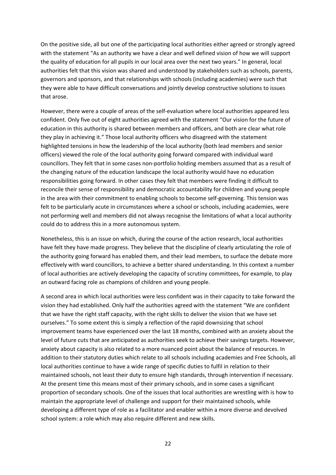On the positive side, all but one of the participating local authorities either agreed or strongly agreed with the statement "As an authority we have a clear and well defined vision of how we will support the quality of education for all pupils in our local area over the next two years." In general, local authorities felt that this vision was shared and understood by stakeholders such as schools, parents, governors and sponsors, and that relationships with schools (including academies) were such that they were able to have difficult conversations and jointly develop constructive solutions to issues that arose.

However, there were a couple of areas of the self‐evaluation where local authorities appeared less confident. Only five out of eight authorities agreed with the statement "Our vision for the future of education in this authority is shared between members and officers, and both are clear what role they play in achieving it." Those local authority officers who disagreed with the statement highlighted tensions in how the leadership of the local authority (both lead members and senior officers) viewed the role of the local authority going forward compared with individual ward councillors. They felt that in some cases non-portfolio holding members assumed that as a result of the changing nature of the education landscape the local authority would have no education responsibilities going forward. In other cases they felt that members were finding it difficult to reconcile their sense of responsibility and democratic accountability for children and young people in the area with their commitment to enabling schools to become self‐governing. This tension was felt to be particularly acute in circumstances where a school or schools, including academies, were not performing well and members did not always recognise the limitations of what a local authority could do to address this in a more autonomous system.

Nonetheless, this is an issue on which, during the course of the action research, local authorities have felt they have made progress. They believe that the discipline of clearly articulating the role of the authority going forward has enabled them, and their lead members, to surface the debate more effectively with ward councillors, to achieve a better shared understanding. In this context a number of local authorities are actively developing the capacity of scrutiny committees, for example, to play an outward facing role as champions of children and young people.

A second area in which local authorities were less confident was in their capacity to take forward the vision they had established. Only half the authorities agreed with the statement "We are confident that we have the right staff capacity, with the right skills to deliver the vision that we have set ourselves." To some extent this is simply a reflection of the rapid downsizing that school improvement teams have experienced over the last 18 months, combined with an anxiety about the level of future cuts that are anticipated as authorities seek to achieve their savings targets. However, anxiety about capacity is also related to a more nuanced point about the balance of resources. In addition to their statutory duties which relate to all schools including academies and Free Schools, all local authorities continue to have a wide range of specific duties to fulfil in relation to their maintained schools, not least their duty to ensure high standards, through intervention if necessary. At the present time this means most of their primary schools, and in some cases a significant proportion of secondary schools. One of the issues that local authorities are wrestling with is how to maintain the appropriate level of challenge and support for their maintained schools, while developing a different type of role as a facilitator and enabler within a more diverse and devolved school system: a role which may also require different and new skills.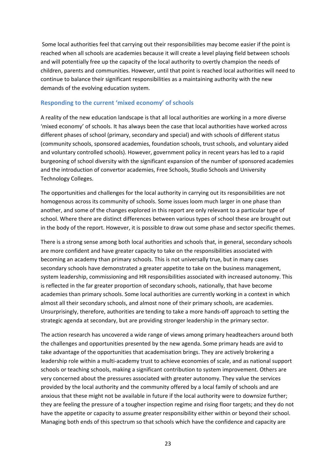Some local authorities feel that carrying out their responsibilities may become easier if the point is reached when all schools are academies because it will create a level playing field between schools and will potentially free up the capacity of the local authority to overtly champion the needs of children, parents and communities. However, until that point is reached local authorities will need to continue to balance their significant responsibilities as a maintaining authority with the new demands of the evolving education system.

#### **Responding to the current 'mixed economy' of schools**

A reality of the new education landscape is that all local authorities are working in a more diverse 'mixed economy' of schools. It has always been the case that local authorities have worked across different phases of school (primary, secondary and special) and with schools of different status (community schools, sponsored academies, foundation schools, trust schools, and voluntary aided and voluntary controlled schools). However, government policy in recent years has led to a rapid burgeoning of school diversity with the significant expansion of the number of sponsored academies and the introduction of convertor academies, Free Schools, Studio Schools and University Technology Colleges.

The opportunities and challenges for the local authority in carrying out its responsibilities are not homogenous across its community of schools. Some issues loom much larger in one phase than another, and some of the changes explored in this report are only relevant to a particular type of school. Where there are distinct differences between various types of school these are brought out in the body of the report. However, it is possible to draw out some phase and sector specific themes.

There is a strong sense among both local authorities and schools that, in general, secondary schools are more confident and have greater capacity to take on the responsibilities associated with becoming an academy than primary schools. This is not universally true, but in many cases secondary schools have demonstrated a greater appetite to take on the business management, system leadership, commissioning and HR responsibilities associated with increased autonomy. This is reflected in the far greater proportion of secondary schools, nationally, that have become academies than primary schools. Some local authorities are currently working in a context in which almost all their secondary schools, and almost none of their primary schools, are academies. Unsurprisingly, therefore, authorities are tending to take a more hands‐off approach to setting the strategic agenda at secondary, but are providing stronger leadership in the primary sector.

The action research has uncovered a wide range of views among primary headteachers around both the challenges and opportunities presented by the new agenda. Some primary heads are avid to take advantage of the opportunities that academisation brings. They are actively brokering a leadership role within a multi‐academy trust to achieve economies of scale, and as national support schools or teaching schools, making a significant contribution to system improvement. Others are very concerned about the pressures associated with greater autonomy. They value the services provided by the local authority and the community offered by a local family of schools and are anxious that these might not be available in future if the local authority were to downsize further; they are feeling the pressure of a tougher inspection regime and rising floor targets; and they do not have the appetite or capacity to assume greater responsibility either within or beyond their school. Managing both ends of this spectrum so that schools which have the confidence and capacity are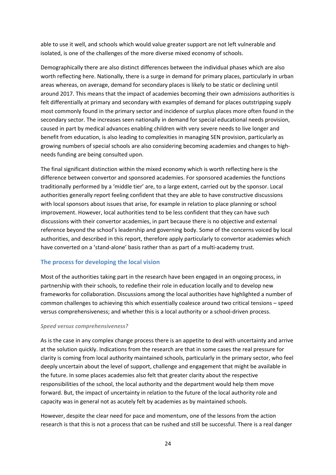able to use it well, and schools which would value greater support are not left vulnerable and isolated, is one of the challenges of the more diverse mixed economy of schools.

Demographically there are also distinct differences between the individual phases which are also worth reflecting here. Nationally, there is a surge in demand for primary places, particularly in urban areas whereas, on average, demand for secondary places is likely to be static or declining until around 2017. This means that the impact of academies becoming their own admissions authorities is felt differentially at primary and secondary with examples of demand for places outstripping supply most commonly found in the primary sector and incidence of surplus places more often found in the secondary sector. The increases seen nationally in demand for special educational needs provision, caused in part by medical advances enabling children with very severe needs to live longer and benefit from education, is also leading to complexities in managing SEN provision, particularly as growing numbers of special schools are also considering becoming academies and changes to high‐ needs funding are being consulted upon.

The final significant distinction within the mixed economy which is worth reflecting here is the difference between convertor and sponsored academies. For sponsored academies the functions traditionally performed by a 'middle tier' are, to a large extent, carried out by the sponsor. Local authorities generally report feeling confident that they are able to have constructive discussions with local sponsors about issues that arise, for example in relation to place planning or school improvement. However, local authorities tend to be less confident that they can have such discussions with their convertor academies, in part because there is no objective and external reference beyond the school's leadership and governing body. Some of the concerns voiced by local authorities, and described in this report, therefore apply particularly to convertor academies which have converted on a 'stand-alone' basis rather than as part of a multi-academy trust.

#### **The process for developing the local vision**

Most of the authorities taking part in the research have been engaged in an ongoing process, in partnership with their schools, to redefine their role in education locally and to develop new frameworks for collaboration. Discussions among the local authorities have highlighted a number of common challenges to achieving this which essentially coalesce around two critical tensions – speed versus comprehensiveness; and whether this is a local authority or a school-driven process.

#### *Speed versus comprehensiveness?*

As is the case in any complex change process there is an appetite to deal with uncertainty and arrive at the solution quickly. Indications from the research are that in some cases the real pressure for clarity is coming from local authority maintained schools, particularly in the primary sector, who feel deeply uncertain about the level of support, challenge and engagement that might be available in the future. In some places academies also felt that greater clarity about the respective responsibilities of the school, the local authority and the department would help them move forward. But, the impact of uncertainty in relation to the future of the local authority role and capacity was in general not as acutely felt by academies as by maintained schools.

However, despite the clear need for pace and momentum, one of the lessons from the action research is that this is not a process that can be rushed and still be successful. There is a real danger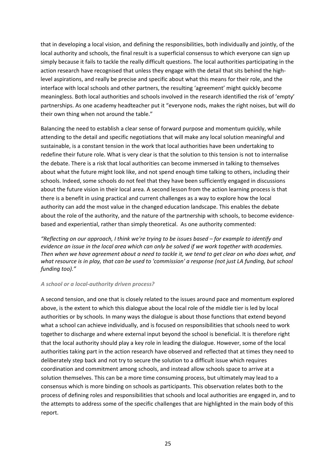that in developing a local vision, and defining the responsibilities, both individually and jointly, of the local authority and schools, the final result is a superficial consensus to which everyone can sign up simply because it fails to tackle the really difficult questions. The local authorities participating in the action research have recognised that unless they engage with the detail that sits behind the highlevel aspirations, and really be precise and specific about what this means for their role, and the interface with local schools and other partners, the resulting 'agreement' might quickly become meaningless. Both local authorities and schools involved in the research identified the risk of 'empty' partnerships. As one academy headteacher put it "everyone nods, makes the right noises, but will do their own thing when not around the table."

Balancing the need to establish a clear sense of forward purpose and momentum quickly, while attending to the detail and specific negotiations that will make any local solution meaningful and sustainable, is a constant tension in the work that local authorities have been undertaking to redefine their future role. What is very clear is that the solution to this tension is not to internalise the debate. There is a risk that local authorities can become immersed in talking to themselves about what the future might look like, and not spend enough time talking to others, including their schools. Indeed, some schools do not feel that they have been sufficiently engaged in discussions about the future vision in their local area. A second lesson from the action learning process is that there is a benefit in using practical and current challenges as a way to explore how the local authority can add the most value in the changed education landscape. This enables the debate about the role of the authority, and the nature of the partnership with schools, to become evidence‐ based and experiential, rather than simply theoretical. As one authority commented:

*"Reflecting on our approach, I think we're trying to be issues based – for example to identify and evidence an issue in the local area which can only be solved if we work together with academies.* Then when we have agreement about a need to tackle it, we tend to get clear on who does what, and what resource is in play, that can be used to 'commission' a response (not just LA funding, but school *funding too)."*

#### *A school or a local‐authority driven process?*

A second tension, and one that is closely related to the issues around pace and momentum explored above, is the extent to which this dialogue about the local role of the middle tier is led by local authorities or by schools. In many ways the dialogue is about those functions that extend beyond what a school can achieve individually, and is focused on responsibilities that schools need to work together to discharge and where external input beyond the school is beneficial. It is therefore right that the local authority should play a key role in leading the dialogue. However, some of the local authorities taking part in the action research have observed and reflected that at times they need to deliberately step back and not try to secure the solution to a difficult issue which requires coordination and commitment among schools, and instead allow schools space to arrive at a solution themselves. This can be a more time consuming process, but ultimately may lead to a consensus which is more binding on schools as participants. This observation relates both to the process of defining roles and responsibilities that schools and local authorities are engaged in, and to the attempts to address some of the specific challenges that are highlighted in the main body of this report.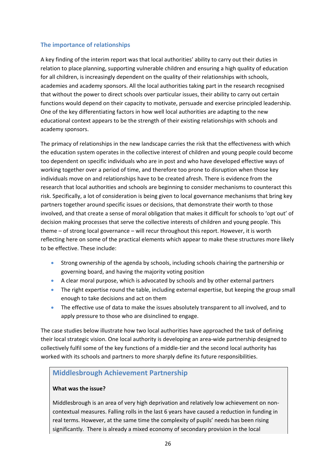#### **The importance of relationships**

A key finding of the interim report was that local authorities' ability to carry out their duties in relation to place planning, supporting vulnerable children and ensuring a high quality of education for all children, is increasingly dependent on the quality of their relationships with schools, academies and academy sponsors. All the local authorities taking part in the research recognised that without the power to direct schools over particular issues, their ability to carry out certain functions would depend on their capacity to motivate, persuade and exercise principled leadership. One of the key differentiating factors in how well local authorities are adapting to the new educational context appears to be the strength of their existing relationships with schools and academy sponsors.

The primacy of relationships in the new landscape carries the risk that the effectiveness with which the education system operates in the collective interest of children and young people could become too dependent on specific individuals who are in post and who have developed effective ways of working together over a period of time, and therefore too prone to disruption when those key individuals move on and relationships have to be created afresh. There is evidence from the research that local authorities and schools are beginning to consider mechanisms to counteract this risk. Specifically, a lot of consideration is being given to local governance mechanisms that bring key partners together around specific issues or decisions, that demonstrate their worth to those involved, and that create a sense of moral obligation that makes it difficult for schools to 'opt out' of decision making processes that serve the collective interests of children and young people. This theme – of strong local governance – will recur throughout this report. However, it is worth reflecting here on some of the practical elements which appear to make these structures more likely to be effective. These include:

- Strong ownership of the agenda by schools, including schools chairing the partnership or governing board, and having the majority voting position
- A clear moral purpose, which is advocated by schools and by other external partners
- The right expertise round the table, including external expertise, but keeping the group small enough to take decisions and act on them
- The effective use of data to make the issues absolutely transparent to all involved, and to apply pressure to those who are disinclined to engage.

The case studies below illustrate how two local authorities have approached the task of defining their local strategic vision. One local authority is developing an area‐wide partnership designed to collectively fulfil some of the key functions of a middle‐tier and the second local authority has worked with its schools and partners to more sharply define its future responsibilities.

## **Middlesbrough Achievement Partnership**

#### **What was the issue?**

Middlesbrough is an area of very high deprivation and relatively low achievement on non‐ contextual measures. Falling rolls in the last 6 years have caused a reduction in funding in real terms. However, at the same time the complexity of pupils' needs has been rising significantly. There is already a mixed economy of secondary provision in the local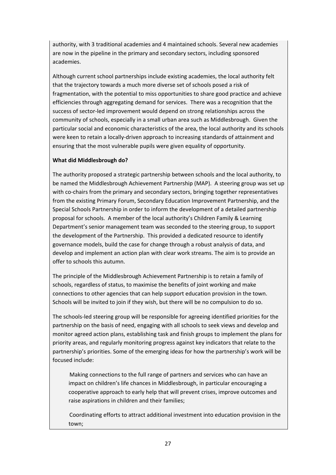authority, with 3 traditional academies and 4 maintained schools. Several new academies are now in the pipeline in the primary and secondary sectors, including sponsored academies.

Although current school partnerships include existing academies, the local authority felt that the trajectory towards a much more diverse set of schools posed a risk of fragmentation, with the potential to miss opportunities to share good practice and achieve efficiencies through aggregating demand for services. There was a recognition that the success of sector‐led improvement would depend on strong relationships across the community of schools, especially in a small urban area such as Middlesbrough. Given the particular social and economic characteristics of the area, the local authority and its schools were keen to retain a locally‐driven approach to increasing standards of attainment and ensuring that the most vulnerable pupils were given equality of opportunity.

#### **What did Middlesbrough do?**

The authority proposed a strategic partnership between schools and the local authority, to be named the Middlesbrough Achievement Partnership (MAP). A steering group was set up with co-chairs from the primary and secondary sectors, bringing together representatives from the existing Primary Forum, Secondary Education Improvement Partnership, and the Special Schools Partnership in order to inform the development of a detailed partnership proposal for schools. A member of the local authority's Children Family & Learning Department's senior management team was seconded to the steering group, to support the development of the Partnership. This provided a dedicated resource to identify governance models, build the case for change through a robust analysis of data, and develop and implement an action plan with clear work streams. The aim is to provide an offer to schools this autumn.

The principle of the Middlesbrough Achievement Partnership is to retain a family of schools, regardless of status, to maximise the benefits of joint working and make connections to other agencies that can help support education provision in the town. Schools will be invited to join if they wish, but there will be no compulsion to do so.

The schools‐led steering group will be responsible for agreeing identified priorities for the partnership on the basis of need, engaging with all schools to seek views and develop and monitor agreed action plans, establishing task and finish groups to implement the plans for priority areas, and regularly monitoring progress against key indicators that relate to the partnership's priorities. Some of the emerging ideas for how the partnership's work will be focused include:

 Making connections to the full range of partners and services who can have an impact on children's life chances in Middlesbrough, in particular encouraging a cooperative approach to early help that will prevent crises, improve outcomes and raise aspirations in children and their families;

 Coordinating efforts to attract additional investment into education provision in the town;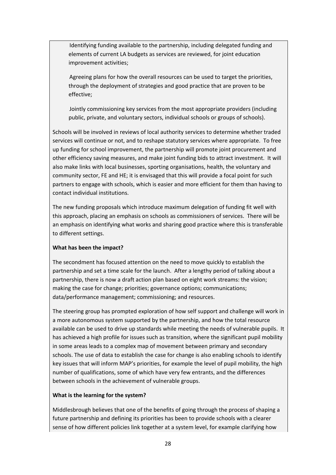Identifying funding available to the partnership, including delegated funding and elements of current LA budgets as services are reviewed, for joint education improvement activities;

 Agreeing plans for how the overall resources can be used to target the priorities, through the deployment of strategies and good practice that are proven to be effective;

 Jointly commissioning key services from the most appropriate providers (including public, private, and voluntary sectors, individual schools or groups of schools).

Schools will be involved in reviews of local authority services to determine whether traded services will continue or not, and to reshape statutory services where appropriate. To free up funding for school improvement, the partnership will promote joint procurement and other efficiency saving measures, and make joint funding bids to attract investment. It will also make links with local businesses, sporting organisations, health, the voluntary and community sector, FE and HE; it is envisaged that this will provide a focal point for such partners to engage with schools, which is easier and more efficient for them than having to contact individual institutions.

The new funding proposals which introduce maximum delegation of funding fit well with this approach, placing an emphasis on schools as commissioners of services. There will be an emphasis on identifying what works and sharing good practice where this is transferable to different settings.

#### **What has been the impact?**

The secondment has focused attention on the need to move quickly to establish the partnership and set a time scale for the launch. After a lengthy period of talking about a partnership, there is now a draft action plan based on eight work streams: the vision; making the case for change; priorities; governance options; communications; data/performance management; commissioning; and resources.

The steering group has prompted exploration of how self support and challenge will work in a more autonomous system supported by the partnership, and how the total resource available can be used to drive up standards while meeting the needs of vulnerable pupils. It has achieved a high profile for issues such as transition, where the significant pupil mobility in some areas leads to a complex map of movement between primary and secondary schools. The use of data to establish the case for change is also enabling schools to identify key issues that will inform MAP's priorities, for example the level of pupil mobility, the high number of qualifications, some of which have very few entrants, and the differences between schools in the achievement of vulnerable groups.

#### **What is the learning for the system?**

Middlesbrough believes that one of the benefits of going through the process of shaping a future partnership and defining its priorities has been to provide schools with a clearer sense of how different policies link together at a system level, for example clarifying how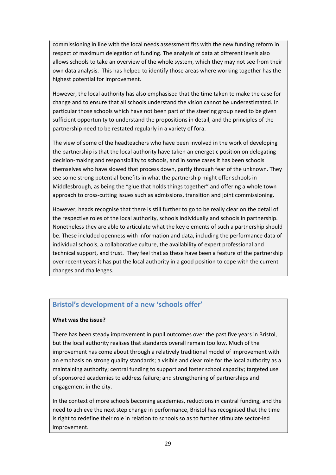commissioning in line with the local needs assessment fits with the new funding reform in respect of maximum delegation of funding. The analysis of data at different levels also allows schools to take an overview of the whole system, which they may not see from their own data analysis. This has helped to identify those areas where working together has the highest potential for improvement.

However, the local authority has also emphasised that the time taken to make the case for change and to ensure that all schools understand the vision cannot be underestimated. In particular those schools which have not been part of the steering group need to be given sufficient opportunity to understand the propositions in detail, and the principles of the partnership need to be restated regularly in a variety of fora.

The view of some of the headteachers who have been involved in the work of developing the partnership is that the local authority have taken an energetic position on delegating decision‐making and responsibility to schools, and in some cases it has been schools themselves who have slowed that process down, partly through fear of the unknown. They see some strong potential benefits in what the partnership might offer schools in Middlesbrough, as being the "glue that holds things together" and offering a whole town approach to cross‐cutting issues such as admissions, transition and joint commissioning.

However, heads recognise that there is still further to go to be really clear on the detail of the respective roles of the local authority, schools individually and schools in partnership. Nonetheless they are able to articulate what the key elements of such a partnership should be. These included openness with information and data, including the performance data of individual schools, a collaborative culture, the availability of expert professional and technical support, and trust. They feel that as these have been a feature of the partnership over recent years it has put the local authority in a good position to cope with the current changes and challenges.

## **Bristol's development of a new 'schools offer'**

#### **What was the issue?**

There has been steady improvement in pupil outcomes over the past five years in Bristol, but the local authority realises that standards overall remain too low. Much of the improvement has come about through a relatively traditional model of improvement with an emphasis on strong quality standards; a visible and clear role for the local authority as a maintaining authority; central funding to support and foster school capacity; targeted use of sponsored academies to address failure; and strengthening of partnerships and engagement in the city.

In the context of more schools becoming academies, reductions in central funding, and the need to achieve the next step change in performance, Bristol has recognised that the time is right to redefine their role in relation to schools so as to further stimulate sector‐led improvement.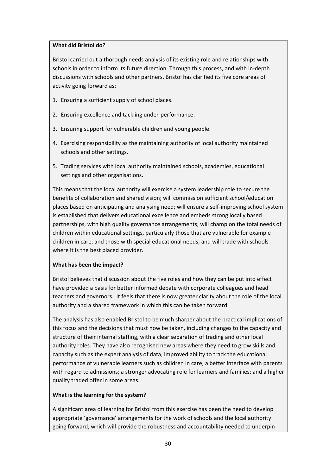#### **What did Bristol do?**

Bristol carried out a thorough needs analysis of its existing role and relationships with schools in order to inform its future direction. Through this process, and with in‐depth discussions with schools and other partners, Bristol has clarified its five core areas of activity going forward as:

- 1. Ensuring a sufficient supply of school places.
- 2. Ensuring excellence and tackling under‐performance.
- 3. Ensuring support for vulnerable children and young people.
- 4. Exercising responsibility as the maintaining authority of local authority maintained schools and other settings.
- 5. Trading services with local authority maintained schools, academies, educational settings and other organisations.

This means that the local authority will exercise a system leadership role to secure the benefits of collaboration and shared vision; will commission sufficient school/education places based on anticipating and analysing need; will ensure a self‐improving school system is established that delivers educational excellence and embeds strong locally based partnerships, with high quality governance arrangements; will champion the total needs of children within educational settings, particularly those that are vulnerable for example children in care, and those with special educational needs; and will trade with schools where it is the best placed provider.

#### **What has been the impact?**

Bristol believes that discussion about the five roles and how they can be put into effect have provided a basis for better informed debate with corporate colleagues and head teachers and governors. It feels that there is now greater clarity about the role of the local authority and a shared framework in which this can be taken forward.

The analysis has also enabled Bristol to be much sharper about the practical implications of this focus and the decisions that must now be taken, including changes to the capacity and structure of their internal staffing, with a clear separation of trading and other local authority roles. They have also recognised new areas where they need to grow skills and capacity such as the expert analysis of data, improved ability to track the educational performance of vulnerable learners such as children in care; a better interface with parents with regard to admissions; a stronger advocating role for learners and families; and a higher quality traded offer in some areas.

#### **What is the learning for the system?**

A significant area of learning for Bristol from this exercise has been the need to develop appropriate 'governance' arrangements for the work of schools and the local authority going forward, which will provide the robustness and accountability needed to underpin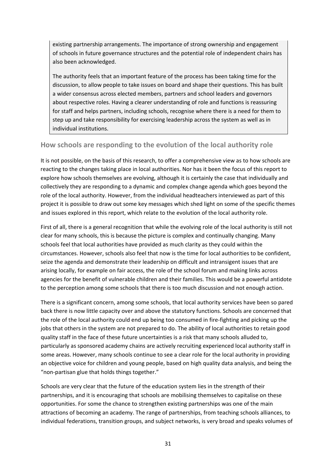<span id="page-31-0"></span>existing partnership arrangements. The importance of strong ownership and engagement of schools in future governance structures and the potential role of independent chairs has also been acknowledged.

The authority feels that an important feature of the process has been taking time for the discussion, to allow people to take issues on board and shape their questions. This has built a wider consensus across elected members, partners and school leaders and governors about respective roles. Having a clearer understanding of role and functions is reassuring for staff and helps partners, including schools, recognise where there is a need for them to step up and take responsibility for exercising leadership across the system as well as in individual institutions.

### **How schools are responding to the evolution of the local authority role**

It is not possible, on the basis of this research, to offer a comprehensive view as to how schools are reacting to the changes taking place in local authorities. Nor has it been the focus of this report to explore how schools themselves are evolving, although it is certainly the case that individually and collectively they are responding to a dynamic and complex change agenda which goes beyond the role of the local authority. However, from the individual headteachers interviewed as part of this project it is possible to draw out some key messages which shed light on some of the specific themes and issues explored in this report, which relate to the evolution of the local authority role.

First of all, there is a general recognition that while the evolving role of the local authority is still not clear for many schools, this is because the picture is complex and continually changing. Many schools feel that local authorities have provided as much clarity as they could within the circumstances. However, schools also feel that now is the time for local authorities to be confident, seize the agenda and demonstrate their leadership on difficult and intransigent issues that are arising locally, for example on fair access, the role of the school forum and making links across agencies for the benefit of vulnerable children and their families. This would be a powerful antidote to the perception among some schools that there is too much discussion and not enough action.

There is a significant concern, among some schools, that local authority services have been so pared back there is now little capacity over and above the statutory functions. Schools are concerned that the role of the local authority could end up being too consumed in fire-fighting and picking up the jobs that others in the system are not prepared to do. The ability of local authorities to retain good quality staff in the face of these future uncertainties is a risk that many schools alluded to, particularly as sponsored academy chains are actively recruiting experienced local authority staff in some areas. However, many schools continue to see a clear role for the local authority in providing an objective voice for children and young people, based on high quality data analysis, and being the "non‐partisan glue that holds things together."

Schools are very clear that the future of the education system lies in the strength of their partnerships, and it is encouraging that schools are mobilising themselves to capitalise on these opportunities. For some the chance to strengthen existing partnerships was one of the main attractions of becoming an academy. The range of partnerships, from teaching schools alliances, to individual federations, transition groups, and subject networks, is very broad and speaks volumes of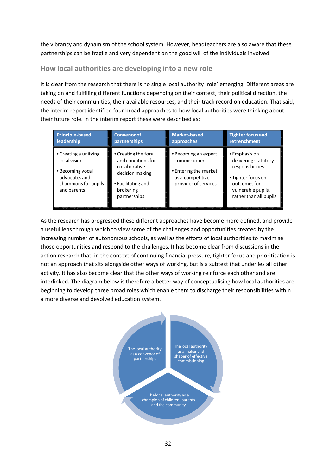<span id="page-32-0"></span>the vibrancy and dynamism of the school system. However, headteachers are also aware that these partnerships can be fragile and very dependent on the good will of the individuals involved.

## **How local authorities are developing into a new role**

It is clear from the research that there is no single local authority 'role' emerging. Different areas are taking on and fulfilling different functions depending on their context, their political direction, the needs of their communities, their available resources, and their track record on education. That said, the interim report identified four broad approaches to how local authorities were thinking about their future role. In the interim report these were described as:

| <b>Principle-based</b>                                                                                            | <b>Convenor of</b>                                                                                                               | <b>Market-based</b>                                                                                       | <b>Tighter focus and</b>                                                                                                                        |
|-------------------------------------------------------------------------------------------------------------------|----------------------------------------------------------------------------------------------------------------------------------|-----------------------------------------------------------------------------------------------------------|-------------------------------------------------------------------------------------------------------------------------------------------------|
| <b>leadership</b>                                                                                                 | partnerships                                                                                                                     | approaches                                                                                                | retrenchment                                                                                                                                    |
| • Creating a unifying<br>local vision<br>• Becoming vocal<br>advocates and<br>champions for pupils<br>and parents | • Creating the fora<br>and conditions for<br>collaborative<br>decision making<br>• Facilitating and<br>brokering<br>partnerships | • Becoming an expert<br>commissioner<br>• Entering the market<br>as a competitive<br>provider of services | • Emphasis on<br>delivering statutory<br>responsibilities<br>• Tighter focus on<br>outcomes for<br>vulnerable pupils,<br>rather than all pupils |

As the research has progressed these different approaches have become more defined, and provide a useful lens through which to view some of the challenges and opportunities created by the increasing number of autonomous schools, as well as the efforts of local authorities to maximise those opportunities and respond to the challenges. It has become clear from discussions in the action research that, in the context of continuing financial pressure, tighter focus and prioritisation is not an approach that sits alongside other ways of working, but is a subtext that underlies all other activity. It has also become clear that the other ways of working reinforce each other and are interlinked. The diagram below is therefore a better way of conceptualising how local authorities are beginning to develop three broad roles which enable them to discharge their responsibilities within a more diverse and devolved education system.

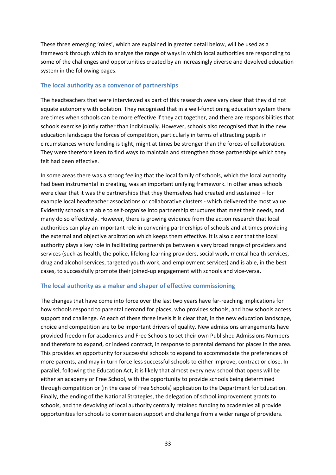These three emerging 'roles', which are explained in greater detail below, will be used as a framework through which to analyse the range of ways in which local authorities are responding to some of the challenges and opportunities created by an increasingly diverse and devolved education system in the following pages.

#### **The local authority as a convenor of partnerships**

The headteachers that were interviewed as part of this research were very clear that they did not equate autonomy with isolation. They recognised that in a well-functioning education system there are times when schools can be more effective if they act together, and there are responsibilities that schools exercise jointly rather than individually. However, schools also recognised that in the new education landscape the forces of competition, particularly in terms of attracting pupils in circumstances where funding is tight, might at times be stronger than the forces of collaboration. They were therefore keen to find ways to maintain and strengthen those partnerships which they felt had been effective.

In some areas there was a strong feeling that the local family of schools, which the local authority had been instrumental in creating, was an important unifying framework. In other areas schools were clear that it was the partnerships that they themselves had created and sustained – for example local headteacher associations or collaborative clusters ‐ which delivered the most value. Evidently schools are able to self‐organise into partnership structures that meet their needs, and many do so effectively. However, there is growing evidence from the action research that local authorities can play an important role in convening partnerships of schools and at times providing the external and objective arbitration which keeps them effective. It is also clear that the local authority plays a key role in facilitating partnerships between a very broad range of providers and services (such as health, the police, lifelong learning providers, social work, mental health services, drug and alcohol services, targeted youth work, and employment services) and is able, in the best cases, to successfully promote their joined‐up engagement with schools and vice‐versa.

#### **The local authority as a maker and shaper of effective commissioning**

The changes that have come into force over the last two years have far-reaching implications for how schools respond to parental demand for places, who provides schools, and how schools access support and challenge. At each of these three levels it is clear that, in the new education landscape, choice and competition are to be important drivers of quality. New admissions arrangements have provided freedom for academies and Free Schools to set their own Published Admissions Numbers and therefore to expand, or indeed contract, in response to parental demand for places in the area. This provides an opportunity for successful schools to expand to accommodate the preferences of more parents, and may in turn force less successful schools to either improve, contract or close. In parallel, following the Education Act, it is likely that almost every new school that opens will be either an academy or Free School, with the opportunity to provide schools being determined through competition or (in the case of Free Schools) application to the Department for Education. Finally, the ending of the National Strategies, the delegation of school improvement grants to schools, and the devolving of local authority centrally retained funding to academies all provide opportunities for schools to commission support and challenge from a wider range of providers.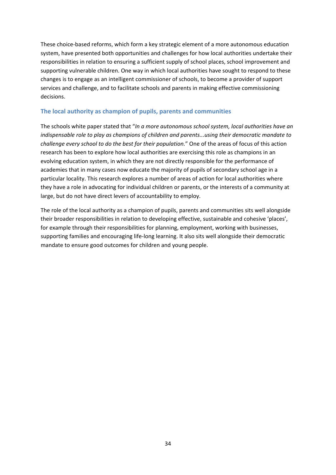These choice‐based reforms, which form a key strategic element of a more autonomous education system, have presented both opportunities and challenges for how local authorities undertake their responsibilities in relation to ensuring a sufficient supply of school places, school improvement and supporting vulnerable children. One way in which local authorities have sought to respond to these changes is to engage as an intelligent commissioner of schools, to become a provider of support services and challenge, and to facilitate schools and parents in making effective commissioning decisions.

#### **The local authority as champion of pupils, parents and communities**

The schools white paper stated that "*In a more autonomous school system, local authorities have an indispensable role to play as champions of children and parents...using their democratic mandate to challenge every school to do the best for their population.*" One of the areas of focus of this action research has been to explore how local authorities are exercising this role as champions in an evolving education system, in which they are not directly responsible for the performance of academies that in many cases now educate the majority of pupils of secondary school age in a particular locality. This research explores a number of areas of action for local authorities where they have a role in advocating for individual children or parents, or the interests of a community at large, but do not have direct levers of accountability to employ.

The role of the local authority as a champion of pupils, parents and communities sits well alongside their broader responsibilities in relation to developing effective, sustainable and cohesive 'places', for example through their responsibilities for planning, employment, working with businesses, supporting families and encouraging life‐long learning. It also sits well alongside their democratic mandate to ensure good outcomes for children and young people.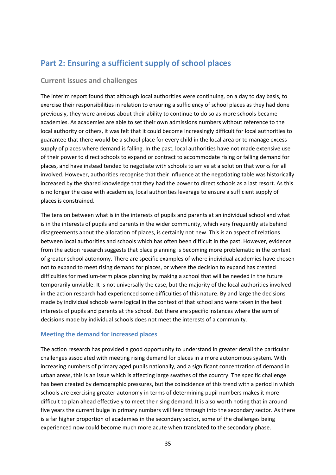## <span id="page-35-0"></span>**Part 2: Ensuring a sufficient supply of school places**

#### **Current issues and challenges**

The interim report found that although local authorities were continuing, on a day to day basis, to exercise their responsibilities in relation to ensuring a sufficiency of school places as they had done previously, they were anxious about their ability to continue to do so as more schools became academies. As academies are able to set their own admissions numbers without reference to the local authority or others, it was felt that it could become increasingly difficult for local authorities to guarantee that there would be a school place for every child in the local area or to manage excess supply of places where demand is falling. In the past, local authorities have not made extensive use of their power to direct schools to expand or contract to accommodate rising or falling demand for places, and have instead tended to negotiate with schools to arrive at a solution that works for all involved. However, authorities recognise that their influence at the negotiating table was historically increased by the shared knowledge that they had the power to direct schools as a last resort. As this is no longer the case with academies, local authorities leverage to ensure a sufficient supply of places is constrained.

The tension between what is in the interests of pupils and parents at an individual school and what is in the interests of pupils and parents in the wider community, which very frequently sits behind disagreements about the allocation of places, is certainly not new. This is an aspect of relations between local authorities and schools which has often been difficult in the past. However, evidence from the action research suggests that place planning is becoming more problematic in the context of greater school autonomy. There are specific examples of where individual academies have chosen not to expand to meet rising demand for places, or where the decision to expand has created difficulties for medium‐term place planning by making a school that will be needed in the future temporarily unviable. It is not universally the case, but the majority of the local authorities involved in the action research had experienced some difficulties of this nature. By and large the decisions made by individual schools were logical in the context of that school and were taken in the best interests of pupils and parents at the school. But there are specific instances where the sum of decisions made by individual schools does not meet the interests of a community.

#### **Meeting the demand for increased places**

The action research has provided a good opportunity to understand in greater detail the particular challenges associated with meeting rising demand for places in a more autonomous system. With increasing numbers of primary aged pupils nationally, and a significant concentration of demand in urban areas, this is an issue which is affecting large swathes of the country. The specific challenge has been created by demographic pressures, but the coincidence of this trend with a period in which schools are exercising greater autonomy in terms of determining pupil numbers makes it more difficult to plan ahead effectively to meet the rising demand. It is also worth noting that in around five years the current bulge in primary numbers will feed through into the secondary sector. As there is a far higher proportion of academies in the secondary sector, some of the challenges being experienced now could become much more acute when translated to the secondary phase.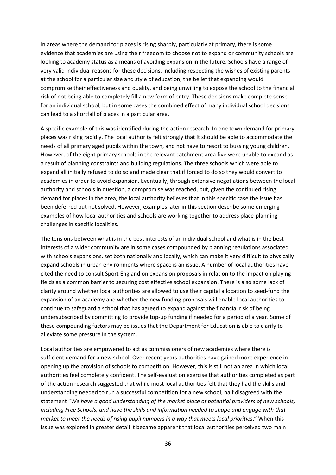In areas where the demand for places is rising sharply, particularly at primary, there is some evidence that academies are using their freedom to choose not to expand or community schools are looking to academy status as a means of avoiding expansion in the future. Schools have a range of very valid individual reasons for these decisions, including respecting the wishes of existing parents at the school for a particular size and style of education, the belief that expanding would compromise their effectiveness and quality, and being unwilling to expose the school to the financial risk of not being able to completely fill a new form of entry. These decisions make complete sense for an individual school, but in some cases the combined effect of many individual school decisions can lead to a shortfall of places in a particular area.

A specific example of this was identified during the action research. In one town demand for primary places was rising rapidly. The local authority felt strongly that it should be able to accommodate the needs of all primary aged pupils within the town, and not have to resort to bussing young children. However, of the eight primary schools in the relevant catchment area five were unable to expand as a result of planning constraints and building regulations. The three schools which were able to expand all initially refused to do so and made clear that if forced to do so they would convert to academies in order to avoid expansion. Eventually, through extensive negotiations between the local authority and schools in question, a compromise was reached, but, given the continued rising demand for places in the area, the local authority believes that in this specific case the issue has been deferred but not solved. However, examples later in this section describe some emerging examples of how local authorities and schools are working together to address place‐planning challenges in specific localities.

The tensions between what is in the best interests of an individual school and what is in the best interests of a wider community are in some cases compounded by planning regulations associated with schools expansions, set both nationally and locally, which can make it very difficult to physically expand schools in urban environments where space is an issue. A number of local authorities have cited the need to consult Sport England on expansion proposals in relation to the impact on playing fields as a common barrier to securing cost effective school expansion. There is also some lack of clarity around whether local authorities are allowed to use their capital allocation to seed‐fund the expansion of an academy and whether the new funding proposals will enable local authorities to continue to safeguard a school that has agreed to expand against the financial risk of being undersubscribed by committing to provide top-up funding if needed for a period of a year. Some of these compounding factors may be issues that the Department for Education is able to clarify to alleviate some pressure in the system.

Local authorities are empowered to act as commissioners of new academies where there is sufficient demand for a new school. Over recent years authorities have gained more experience in opening up the provision of schools to competition. However, this is still not an area in which local authorities feel completely confident. The self‐evaluation exercise that authorities completed as part of the action research suggested that while most local authorities felt that they had the skills and understanding needed to run a successful competition for a new school, half disagreed with the statement "*We have a good understanding of the market place of potential providers of new schools, including Free Schools, and have the skills and information needed to shape and engage with that market to meet the needs of rising pupil numbers in a way that meets local priorities*." When this issue was explored in greater detail it became apparent that local authorities perceived two main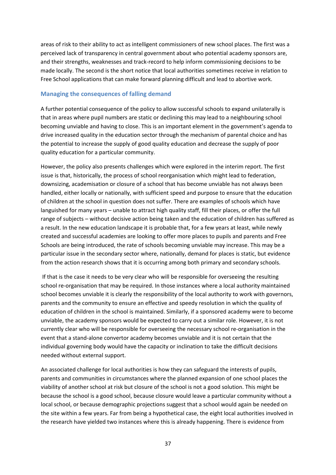areas of risk to their ability to act as intelligent commissioners of new school places. The first was a perceived lack of transparency in central government about who potential academy sponsors are, and their strengths, weaknesses and track-record to help inform commissioning decisions to be made locally. The second is the short notice that local authorities sometimes receive in relation to Free School applications that can make forward planning difficult and lead to abortive work.

### **Managing the consequences of falling demand**

A further potential consequence of the policy to allow successful schools to expand unilaterally is that in areas where pupil numbers are static or declining this may lead to a neighbouring school becoming unviable and having to close. This is an important element in the government's agenda to drive increased quality in the education sector through the mechanism of parental choice and has the potential to increase the supply of good quality education and decrease the supply of poor quality education for a particular community.

However, the policy also presents challenges which were explored in the interim report. The first issue is that, historically, the process of school reorganisation which might lead to federation, downsizing, academisation or closure of a school that has become unviable has not always been handled, either locally or nationally, with sufficient speed and purpose to ensure that the education of children at the school in question does not suffer. There are examples of schools which have languished for many years – unable to attract high quality staff, fill their places, or offer the full range of subjects – without decisive action being taken and the education of children has suffered as a result. In the new education landscape it is probable that, for a few years at least, while newly created and successful academies are looking to offer more places to pupils and parents and Free Schools are being introduced, the rate of schools becoming unviable may increase. This may be a particular issue in the secondary sector where, nationally, demand for places is static, but evidence from the action research shows that it is occurring among both primary and secondary schools.

If that is the case it needs to be very clear who will be responsible for overseeing the resulting school re-organisation that may be required. In those instances where a local authority maintained school becomes unviable it is clearly the responsibility of the local authority to work with governors, parents and the community to ensure an effective and speedy resolution in which the quality of education of children in the school is maintained. Similarly, if a sponsored academy were to become unviable, the academy sponsors would be expected to carry out a similar role. However, it is not currently clear who will be responsible for overseeing the necessary school re‐organisation in the event that a stand‐alone convertor academy becomes unviable and it is not certain that the individual governing body would have the capacity or inclination to take the difficult decisions needed without external support.

An associated challenge for local authorities is how they can safeguard the interests of pupils, parents and communities in circumstances where the planned expansion of one school places the viability of another school at risk but closure of the school is not a good solution. This might be because the school is a good school, because closure would leave a particular community without a local school, or because demographic projections suggest that a school would again be needed on the site within a few years. Far from being a hypothetical case, the eight local authorities involved in the research have yielded two instances where this is already happening. There is evidence from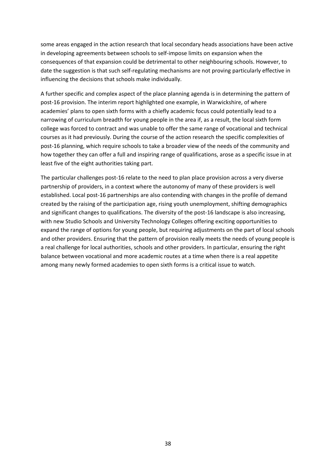some areas engaged in the action research that local secondary heads associations have been active in developing agreements between schools to self‐impose limits on expansion when the consequences of that expansion could be detrimental to other neighbouring schools. However, to date the suggestion is that such self‐regulating mechanisms are not proving particularly effective in influencing the decisions that schools make individually.

A further specific and complex aspect of the place planning agenda is in determining the pattern of post-16 provision. The interim report highlighted one example, in Warwickshire, of where academies' plans to open sixth forms with a chiefly academic focus could potentially lead to a narrowing of curriculum breadth for young people in the area if, as a result, the local sixth form college was forced to contract and was unable to offer the same range of vocational and technical courses as it had previously. During the course of the action research the specific complexities of post‐16 planning, which require schools to take a broader view of the needs of the community and how together they can offer a full and inspiring range of qualifications, arose as a specific issue in at least five of the eight authorities taking part.

The particular challenges post-16 relate to the need to plan place provision across a very diverse partnership of providers, in a context where the autonomy of many of these providers is well established. Local post‐16 partnerships are also contending with changes in the profile of demand created by the raising of the participation age, rising youth unemployment, shifting demographics and significant changes to qualifications. The diversity of the post-16 landscape is also increasing, with new Studio Schools and University Technology Colleges offering exciting opportunities to expand the range of options for young people, but requiring adjustments on the part of local schools and other providers. Ensuring that the pattern of provision really meets the needs of young people is a real challenge for local authorities, schools and other providers. In particular, ensuring the right balance between vocational and more academic routes at a time when there is a real appetite among many newly formed academies to open sixth forms is a critical issue to watch.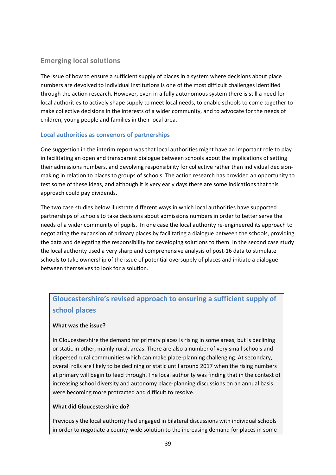# **Emerging local solutions**

The issue of how to ensure a sufficient supply of places in a system where decisions about place numbers are devolved to individual institutions is one of the most difficult challenges identified through the action research. However, even in a fully autonomous system there is still a need for local authorities to actively shape supply to meet local needs, to enable schools to come together to make collective decisions in the interests of a wider community, and to advocate for the needs of children, young people and families in their local area.

# **Local authorities as convenors of partnerships**

One suggestion in the interim report was that local authorities might have an important role to play in facilitating an open and transparent dialogue between schools about the implications of setting their admissions numbers, and devolving responsibility for collective rather than individual decision‐ making in relation to places to groups of schools. The action research has provided an opportunity to test some of these ideas, and although it is very early days there are some indications that this approach could pay dividends.

The two case studies below illustrate different ways in which local authorities have supported partnerships of schools to take decisions about admissions numbers in order to better serve the needs of a wider community of pupils. In one case the local authority re-engineered its approach to negotiating the expansion of primary places by facilitating a dialogue between the schools, providing the data and delegating the responsibility for developing solutions to them. In the second case study the local authority used a very sharp and comprehensive analysis of post‐16 data to stimulate schools to take ownership of the issue of potential oversupply of places and initiate a dialogue between themselves to look for a solution.

# **Gloucestershire's revised approach to ensuring a sufficient supply of school places**

# **What was the issue?**

In Gloucestershire the demand for primary places is rising in some areas, but is declining or static in other, mainly rural, areas. There are also a number of very small schools and dispersed rural communities which can make place‐planning challenging. At secondary, overall rolls are likely to be declining or static until around 2017 when the rising numbers at primary will begin to feed through. The local authority was finding that in the context of increasing school diversity and autonomy place‐planning discussions on an annual basis were becoming more protracted and difficult to resolve.

# **What did Gloucestershire do?**

Previously the local authority had engaged in bilateral discussions with individual schools in order to negotiate a county-wide solution to the increasing demand for places in some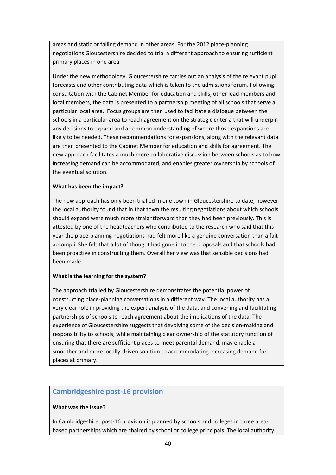areas and static or falling demand in other areas. For the 2012 place‐planning negotiations Gloucestershire decided to trial a different approach to ensuring sufficient primary places in one area.

Under the new methodology, Gloucestershire carries out an analysis of the relevant pupil forecasts and other contributing data which is taken to the admissions forum. Following consultation with the Cabinet Member for education and skills, other lead members and local members, the data is presented to a partnership meeting of all schools that serve a particular local area. Focus groups are then used to facilitate a dialogue between the schools in a particular area to reach agreement on the strategic criteria that will underpin any decisions to expand and a common understanding of where those expansions are likely to be needed. These recommendations for expansions, along with the relevant data are then presented to the Cabinet Member for education and skills for agreement. The new approach facilitates a much more collaborative discussion between schools as to how increasing demand can be accommodated, and enables greater ownership by schools of the eventual solution.

#### **What has been the impact?**

The new approach has only been trialled in one town in Gloucestershire to date, however the local authority found that in that town the resulting negotiations about which schools should expand were much more straightforward than they had been previously. This is attested by one of the headteachers who contributed to the research who said that this year the place‐planning negotiations had felt more like a genuine conversation than a fait‐ accompli. She felt that a lot of thought had gone into the proposals and that schools had been proactive in constructing them. Overall her view was that sensible decisions had been made.

#### **What is the learning for the system?**

The approach trialled by Gloucestershire demonstrates the potential power of constructing place‐planning conversations in a different way. The local authority has a very clear role in providing the expert analysis of the data, and convening and facilitating partnerships of schools to reach agreement about the implications of the data. The experience of Gloucestershire suggests that devolving some of the decision‐making and responsibility to schools, while maintaining clear ownership of the statutory function of ensuring that there are sufficient places to meet parental demand, may enable a smoother and more locally-driven solution to accommodating increasing demand for places at primary.

# **Cambridgeshire post‐16 provision**

#### **What was the issue?**

In Cambridgeshire, post-16 provision is planned by schools and colleges in three areabased partnerships which are chaired by school or college principals. The local authority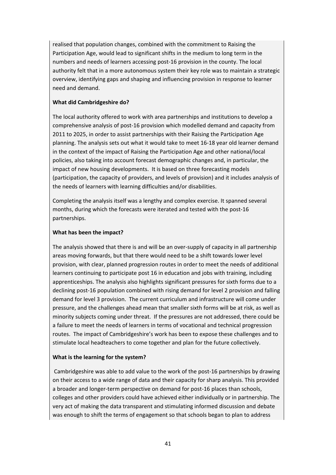realised that population changes, combined with the commitment to Raising the Participation Age, would lead to significant shifts in the medium to long term in the numbers and needs of learners accessing post‐16 provision in the county. The local authority felt that in a more autonomous system their key role was to maintain a strategic overview, identifying gaps and shaping and influencing provision in response to learner need and demand.

# **What did Cambridgeshire do?**

The local authority offered to work with area partnerships and institutions to develop a comprehensive analysis of post‐16 provision which modelled demand and capacity from 2011 to 2025, in order to assist partnerships with their Raising the Participation Age planning. The analysis sets out what it would take to meet 16‐18 year old learner demand in the context of the impact of Raising the Participation Age and other national/local policies, also taking into account forecast demographic changes and, in particular, the impact of new housing developments. It is based on three forecasting models (participation, the capacity of providers, and levels of provision) and it includes analysis of the needs of learners with learning difficulties and/or disabilities.

Completing the analysis itself was a lengthy and complex exercise. It spanned several months, during which the forecasts were iterated and tested with the post‐16 partnerships.

# **What has been the impact?**

The analysis showed that there is and will be an over-supply of capacity in all partnership areas moving forwards, but that there would need to be a shift towards lower level provision, with clear, planned progression routes in order to meet the needs of additional learners continuing to participate post 16 in education and jobs with training, including apprenticeships. The analysis also highlights significant pressures for sixth forms due to a declining post‐16 population combined with rising demand for level 2 provision and falling demand for level 3 provision. The current curriculum and infrastructure will come under pressure, and the challenges ahead mean that smaller sixth forms will be at risk, as well as minority subjects coming under threat. If the pressures are not addressed, there could be a failure to meet the needs of learners in terms of vocational and technical progression routes. The impact of Cambridgeshire's work has been to expose these challenges and to stimulate local headteachers to come together and plan for the future collectively.

# **What is the learning for the system?**

Cambridgeshire was able to add value to the work of the post‐16 partnerships by drawing on their access to a wide range of data and their capacity for sharp analysis. This provided a broader and longer‐term perspective on demand for post‐16 places than schools, colleges and other providers could have achieved either individually or in partnership. The very act of making the data transparent and stimulating informed discussion and debate was enough to shift the terms of engagement so that schools began to plan to address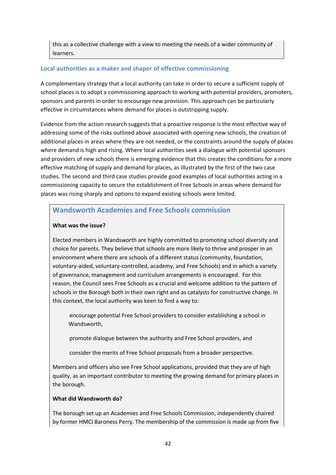this as a collective challenge with a view to meeting the needs of a wider community of learners.

# **Local authorities as a maker and shaper of effective commissioning**

A complementary strategy that a local authority can take in order to secure a sufficient supply of school places is to adopt a commissioning approach to working with potential providers, promoters, sponsors and parents in order to encourage new provision. This approach can be particularly effective in circumstances where demand for places is outstripping supply.

Evidence from the action research suggests that a proactive response is the most effective way of addressing some of the risks outlined above associated with opening new schools, the creation of additional places in areas where they are not needed, or the constraints around the supply of places where demand is high and rising. Where local authorities seek a dialogue with potential sponsors and providers of new schools there is emerging evidence that this creates the conditions for a more effective matching of supply and demand for places, as illustrated by the first of the two case studies. The second and third case studies provide good examples of local authorities acting in a commissioning capacity to secure the establishment of Free Schools in areas where demand for places was rising sharply and options to expand existing schools were limited.

# **Wandsworth Academies and Free Schools commission**

# **What was the issue?**

Elected members in Wandsworth are highly committed to promoting school diversity and choice for parents. They believe that schools are more likely to thrive and prosper in an environment where there are schools of a different status (community, foundation, voluntary‐aided, voluntary‐controlled, academy, and Free Schools) and in which a variety of governance, management and curriculum arrangements is encouraged. For this reason, the Council sees Free Schools as a crucial and welcome addition to the pattern of schools in the Borough both in their own right and as catalysts for constructive change. In this context, the local authority was keen to find a way to:

 encourage potential Free School providers to consider establishing a school in Wandsworth,

promote dialogue between the authority and Free School providers, and

consider the merits of Free School proposals from a broader perspective.

Members and officers also see Free School applications, provided that they are of high quality, as an important contributor to meeting the growing demand for primary places in the borough.

# **What did Wandsworth do?**

The borough set up an Academies and Free Schools Commission, independently chaired by former HMCI Baroness Perry. The membership of the commission is made up from five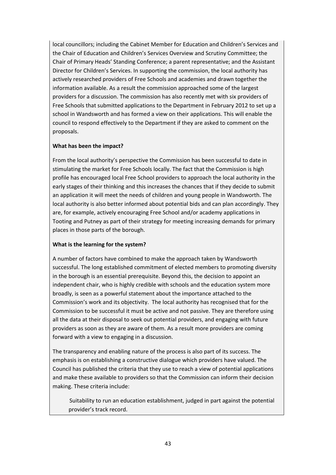local councillors; including the Cabinet Member for Education and Children's Services and the Chair of Education and Children's Services Overview and Scrutiny Committee; the Chair of Primary Heads' Standing Conference; a parent representative; and the Assistant Director for Children's Services. In supporting the commission, the local authority has actively researched providers of Free Schools and academies and drawn together the information available. As a result the commission approached some of the largest providers for a discussion. The commission has also recently met with six providers of Free Schools that submitted applications to the Department in February 2012 to set up a school in Wandsworth and has formed a view on their applications. This will enable the council to respond effectively to the Department if they are asked to comment on the proposals.

# **What has been the impact?**

From the local authority's perspective the Commission has been successful to date in stimulating the market for Free Schools locally. The fact that the Commission is high profile has encouraged local Free School providers to approach the local authority in the early stages of their thinking and this increases the chances that if they decide to submit an application it will meet the needs of children and young people in Wandsworth. The local authority is also better informed about potential bids and can plan accordingly. They are, for example, actively encouraging Free School and/or academy applications in Tooting and Putney as part of their strategy for meeting increasing demands for primary places in those parts of the borough.

# **What is the learning for the system?**

A number of factors have combined to make the approach taken by Wandsworth successful. The long established commitment of elected members to promoting diversity in the borough is an essential prerequisite. Beyond this, the decision to appoint an independent chair, who is highly credible with schools and the education system more broadly, is seen as a powerful statement about the importance attached to the Commission's work and its objectivity. The local authority has recognised that for the Commission to be successful it must be active and not passive. They are therefore using all the data at their disposal to seek out potential providers, and engaging with future providers as soon as they are aware of them. As a result more providers are coming forward with a view to engaging in a discussion.

The transparency and enabling nature of the process is also part of its success. The emphasis is on establishing a constructive dialogue which providers have valued. The Council has published the criteria that they use to reach a view of potential applications and make these available to providers so that the Commission can inform their decision making. These criteria include:

 Suitability to run an education establishment, judged in part against the potential provider's track record.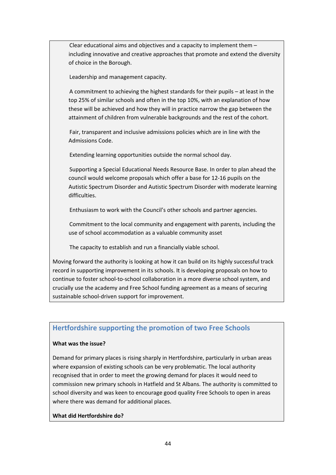Clear educational aims and objectives and a capacity to implement them – including innovative and creative approaches that promote and extend the diversity of choice in the Borough.

Leadership and management capacity.

 A commitment to achieving the highest standards for their pupils – at least in the top 25% of similar schools and often in the top 10%, with an explanation of how these will be achieved and how they will in practice narrow the gap between the attainment of children from vulnerable backgrounds and the rest of the cohort.

 Fair, transparent and inclusive admissions policies which are in line with the Admissions Code.

Extending learning opportunities outside the normal school day.

 Supporting a Special Educational Needs Resource Base. In order to plan ahead the council would welcome proposals which offer a base for 12‐16 pupils on the Autistic Spectrum Disorder and Autistic Spectrum Disorder with moderate learning difficulties.

Enthusiasm to work with the Council's other schools and partner agencies.

 Commitment to the local community and engagement with parents, including the use of school accommodation as a valuable community asset

The capacity to establish and run a financially viable school.

Moving forward the authority is looking at how it can build on its highly successful track record in supporting improvement in its schools. It is developing proposals on how to continue to foster school-to-school collaboration in a more diverse school system, and crucially use the academy and Free School funding agreement as a means of securing sustainable school‐driven support for improvement.

# **Hertfordshire supporting the promotion of two Free Schools**

# **What was the issue?**

Demand for primary places is rising sharply in Hertfordshire, particularly in urban areas where expansion of existing schools can be very problematic. The local authority recognised that in order to meet the growing demand for places it would need to commission new primary schools in Hatfield and St Albans. The authority is committed to school diversity and was keen to encourage good quality Free Schools to open in areas where there was demand for additional places.

# **What did Hertfordshire do?**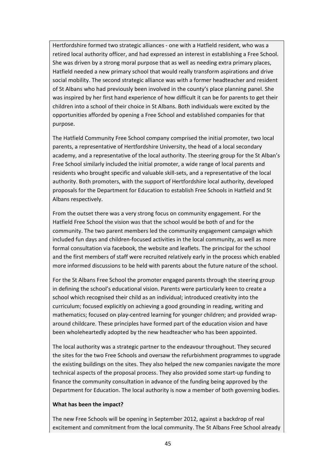Hertfordshire formed two strategic alliances ‐ one with a Hatfield resident, who was a retired local authority officer, and had expressed an interest in establishing a Free School. She was driven by a strong moral purpose that as well as needing extra primary places, Hatfield needed a new primary school that would really transform aspirations and drive social mobility. The second strategic alliance was with a former headteacher and resident of St Albans who had previously been involved in the county's place planning panel. She was inspired by her first hand experience of how difficult it can be for parents to get their children into a school of their choice in St Albans. Both individuals were excited by the opportunities afforded by opening a Free School and established companies for that purpose.

The Hatfield Community Free School company comprised the initial promoter, two local parents, a representative of Hertfordshire University, the head of a local secondary academy, and a representative of the local authority. The steering group for the St Alban's Free School similarly included the initial promoter, a wide range of local parents and residents who brought specific and valuable skill‐sets, and a representative of the local authority. Both promoters, with the support of Hertfordshire local authority, developed proposals for the Department for Education to establish Free Schools in Hatfield and St Albans respectively.

From the outset there was a very strong focus on community engagement. For the Hatfield Free School the vision was that the school would be both of and for the community. The two parent members led the community engagement campaign which included fun days and children‐focused activities in the local community, as well as more formal consultation via facebook, the website and leaflets. The principal for the school and the first members of staff were recruited relatively early in the process which enabled more informed discussions to be held with parents about the future nature of the school.

For the St Albans Free School the promoter engaged parents through the steering group in defining the school's educational vision. Parents were particularly keen to create a school which recognised their child as an individual; introduced creativity into the curriculum; focused explicitly on achieving a good grounding in reading, writing and mathematics; focused on play-centred learning for younger children; and provided wraparound childcare. These principles have formed part of the education vision and have been wholeheartedly adopted by the new headteacher who has been appointed.

The local authority was a strategic partner to the endeavour throughout. They secured the sites for the two Free Schools and oversaw the refurbishment programmes to upgrade the existing buildings on the sites. They also helped the new companies navigate the more technical aspects of the proposal process. They also provided some start‐up funding to finance the community consultation in advance of the funding being approved by the Department for Education. The local authority is now a member of both governing bodies.

#### **What has been the impact?**

The new Free Schools will be opening in September 2012, against a backdrop of real excitement and commitment from the local community. The St Albans Free School already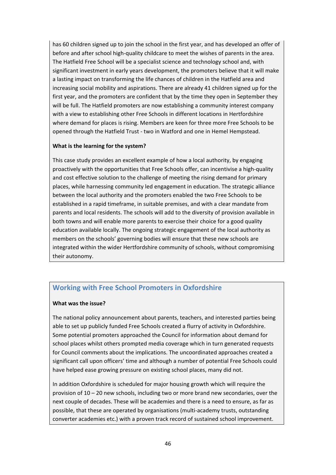has 60 children signed up to join the school in the first year, and has developed an offer of before and after school high-quality childcare to meet the wishes of parents in the area. The Hatfield Free School will be a specialist science and technology school and, with significant investment in early years development, the promoters believe that it will make a lasting impact on transforming the life chances of children in the Hatfield area and increasing social mobility and aspirations. There are already 41 children signed up for the first year, and the promoters are confident that by the time they open in September they will be full. The Hatfield promoters are now establishing a community interest company with a view to establishing other Free Schools in different locations in Hertfordshire where demand for places is rising. Members are keen for three more Free Schools to be opened through the Hatfield Trust ‐ two in Watford and one in Hemel Hempstead.

# **What is the learning for the system?**

This case study provides an excellent example of how a local authority, by engaging proactively with the opportunities that Free Schools offer, can incentivise a high‐quality and cost effective solution to the challenge of meeting the rising demand for primary places, while harnessing community led engagement in education. The strategic alliance between the local authority and the promoters enabled the two Free Schools to be established in a rapid timeframe, in suitable premises, and with a clear mandate from parents and local residents. The schools will add to the diversity of provision available in both towns and will enable more parents to exercise their choice for a good quality education available locally. The ongoing strategic engagement of the local authority as members on the schools' governing bodies will ensure that these new schools are integrated within the wider Hertfordshire community of schools, without compromising their autonomy.

# **Working with Free School Promoters in Oxfordshire**

#### **What was the issue?**

The national policy announcement about parents, teachers, and interested parties being able to set up publicly funded Free Schools created a flurry of activity in Oxfordshire. Some potential promoters approached the Council for information about demand for school places whilst others prompted media coverage which in turn generated requests for Council comments about the implications. The uncoordinated approaches created a significant call upon officers' time and although a number of potential Free Schools could have helped ease growing pressure on existing school places, many did not.

In addition Oxfordshire is scheduled for major housing growth which will require the provision of 10 – 20 new schools, including two or more brand new secondaries, over the next couple of decades. These will be academies and there is a need to ensure, as far as possible, that these are operated by organisations (multi‐academy trusts, outstanding converter academies etc.) with a proven track record of sustained school improvement.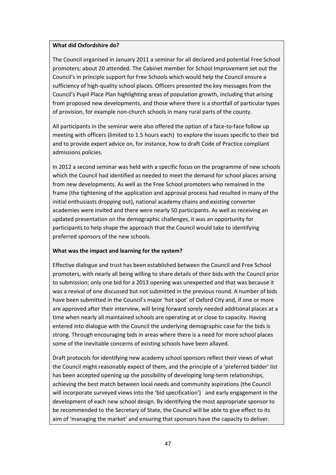#### **What did Oxfordshire do?**

The Council organised in January 2011 a seminar for all declared and potential Free School promoters; about 20 attended. The Cabinet member for School Improvement set out the Council's in principle support for Free Schools which would help the Council ensure a sufficiency of high‐quality school places. Officers presented the key messages from the Council's Pupil Place Plan highlighting areas of population growth, including that arising from proposed new developments, and those where there is a shortfall of particular types of provision, for example non‐church schools in many rural parts of the county.

All participants in the seminar were also offered the option of a face‐to‐face follow up meeting with officers (limited to 1.5 hours each) to explore the issues specific to their bid and to provide expert advice on, for instance, how to draft Code of Practice compliant admissions policies.

In 2012 a second seminar was held with a specific focus on the programme of new schools which the Council had identified as needed to meet the demand for school places arising from new developments. As well as the Free School promoters who remained in the frame (the tightening of the application and approval process had resulted in many of the initial enthusiasts dropping out), national academy chains and existing converter academies were invited and there were nearly 50 participants. As well as receiving an updated presentation on the demographic challenges, it was an opportunity for participants to help shape the approach that the Council would take to identifying preferred sponsors of the new schools.

# **What was the impact and learning for the system?**

Effective dialogue and trust has been established between the Council and Free School promoters, with nearly all being willing to share details of their bids with the Council prior to submission; only one bid for a 2013 opening was unexpected and that was because it was a revival of one discussed but not submitted in the previous round. A number of bids have been submitted in the Council's major 'hot spot' of Oxford City and, if one or more are approved after their interview, will bring forward sorely needed additional places at a time when nearly all maintained schools are operating at or close to capacity. Having entered into dialogue with the Council the underlying demographic case for the bids is strong. Through encouraging bids in areas where there is a need for more school places some of the inevitable concerns of existing schools have been allayed.

Draft protocols for identifying new academy school sponsors reflect their views of what the Council might reasonably expect of them, and the principle of a 'preferred bidder' list has been accepted opening up the possibility of developing long-term relationships, achieving the best match between local needs and community aspirations (the Council will incorporate surveyed views into the 'bid specification') and early engagement in the development of each new school design. By identifying the most appropriate sponsor to be recommended to the Secretary of State, the Council will be able to give effect to its aim of 'managing the market' and ensuring that sponsors have the capacity to deliver.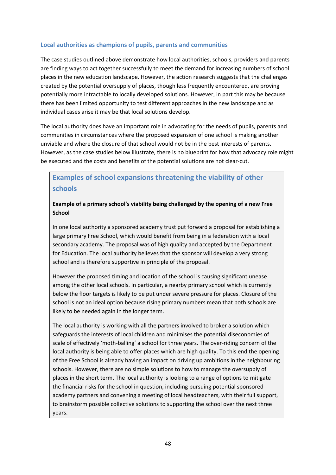# **Local authorities as champions of pupils, parents and communities**

The case studies outlined above demonstrate how local authorities, schools, providers and parents are finding ways to act together successfully to meet the demand for increasing numbers of school places in the new education landscape. However, the action research suggests that the challenges created by the potential oversupply of places, though less frequently encountered, are proving potentially more intractable to locally developed solutions. However, in part this may be because there has been limited opportunity to test different approaches in the new landscape and as individual cases arise it may be that local solutions develop.

The local authority does have an important role in advocating for the needs of pupils, parents and communities in circumstances where the proposed expansion of one school is making another unviable and where the closure of that school would not be in the best interests of parents. However, as the case studies below illustrate, there is no blueprint for how that advocacy role might be executed and the costs and benefits of the potential solutions are not clear‐cut.

# **Examples of school expansions threatening the viability of other schools**

# **Example of a primary school's viability being challenged by the opening of a new Free School**

In one local authority a sponsored academy trust put forward a proposal for establishing a large primary Free School, which would benefit from being in a federation with a local secondary academy. The proposal was of high quality and accepted by the Department for Education. The local authority believes that the sponsor will develop a very strong school and is therefore supportive in principle of the proposal.

However the proposed timing and location of the school is causing significant unease among the other local schools. In particular, a nearby primary school which is currently below the floor targets is likely to be put under severe pressure for places. Closure of the school is not an ideal option because rising primary numbers mean that both schools are likely to be needed again in the longer term.

The local authority is working with all the partners involved to broker a solution which safeguards the interests of local children and minimises the potential diseconomies of scale of effectively 'moth-balling' a school for three years. The over-riding concern of the local authority is being able to offer places which are high quality. To this end the opening of the Free School is already having an impact on driving up ambitions in the neighbouring schools. However, there are no simple solutions to how to manage the oversupply of places in the short term. The local authority is looking to a range of options to mitigate the financial risks for the school in question, including pursuing potential sponsored academy partners and convening a meeting of local headteachers, with their full support, to brainstorm possible collective solutions to supporting the school over the next three years.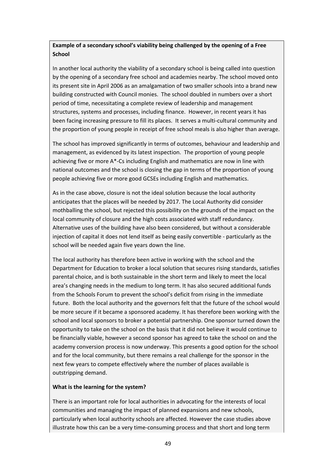# **Example of a secondary school's viability being challenged by the opening of a Free School**

In another local authority the viability of a secondary school is being called into question by the opening of a secondary free school and academies nearby. The school moved onto its present site in April 2006 as an amalgamation of two smaller schools into a brand new building constructed with Council monies. The school doubled in numbers over a short period of time, necessitating a complete review of leadership and management structures, systems and processes, including finance. However, in recent years it has been facing increasing pressure to fill its places. It serves a multi-cultural community and the proportion of young people in receipt of free school meals is also higher than average.

The school has improved significantly in terms of outcomes, behaviour and leadership and management, as evidenced by its latest inspection. The proportion of young people achieving five or more A\*‐Cs including English and mathematics are now in line with national outcomes and the school is closing the gap in terms of the proportion of young people achieving five or more good GCSEs including English and mathematics.

As in the case above, closure is not the ideal solution because the local authority anticipates that the places will be needed by 2017. The Local Authority did consider mothballing the school, but rejected this possibility on the grounds of the impact on the local community of closure and the high costs associated with staff redundancy. Alternative uses of the building have also been considered, but without a considerable injection of capital it does not lend itself as being easily convertible ‐ particularly as the school will be needed again five years down the line.

The local authority has therefore been active in working with the school and the Department for Education to broker a local solution that secures rising standards, satisfies parental choice, and is both sustainable in the short term and likely to meet the local area's changing needs in the medium to long term. It has also secured additional funds from the Schools Forum to prevent the school's deficit from rising in the immediate future. Both the local authority and the governors felt that the future of the school would be more secure if it became a sponsored academy. It has therefore been working with the school and local sponsors to broker a potential partnership. One sponsor turned down the opportunity to take on the school on the basis that it did not believe it would continue to be financially viable, however a second sponsor has agreed to take the school on and the academy conversion process is now underway. This presents a good option for the school and for the local community, but there remains a real challenge for the sponsor in the next few years to compete effectively where the number of places available is outstripping demand.

#### **What is the learning for the system?**

There is an important role for local authorities in advocating for the interests of local communities and managing the impact of planned expansions and new schools, particularly when local authority schools are affected. However the case studies above illustrate how this can be a very time‐consuming process and that short and long term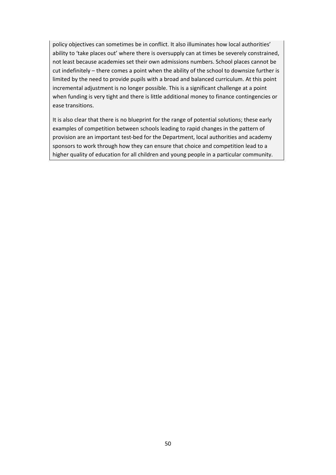policy objectives can sometimes be in conflict. It also illuminates how local authorities' ability to 'take places out' where there is oversupply can at times be severely constrained, not least because academies set their own admissions numbers. School places cannot be cut indefinitely – there comes a point when the ability of the school to downsize further is limited by the need to provide pupils with a broad and balanced curriculum. At this point incremental adjustment is no longer possible. This is a significant challenge at a point when funding is very tight and there is little additional money to finance contingencies or ease transitions.

It is also clear that there is no blueprint for the range of potential solutions; these early examples of competition between schools leading to rapid changes in the pattern of provision are an important test‐bed for the Department, local authorities and academy sponsors to work through how they can ensure that choice and competition lead to a higher quality of education for all children and young people in a particular community.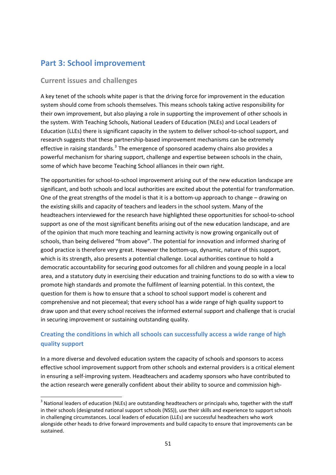# **Part 3: School improvement**

# **Current issues and challenges**

A key tenet of the schools white paper is that the driving force for improvement in the education system should come from schools themselves. This means schools taking active responsibility for their own improvement, but also playing a role in supporting the improvement of other schools in the system. With Teaching Schools, National Leaders of Education (NLEs) and Local Leaders of Education (LLEs) there is significant capacity in the system to deliver school‐to‐school support, and research suggests that these partnership‐based improvement mechanisms can be extremely effective in raising standards. $3$  The emergence of sponsored academy chains also provides a powerful mechanism for sharing support, challenge and expertise between schools in the chain, some of which have become Teaching School alliances in their own right.

The opportunities for school-to-school improvement arising out of the new education landscape are significant, and both schools and local authorities are excited about the potential for transformation. One of the great strengths of the model is that it is a bottom‐up approach to change – drawing on the existing skills and capacity of teachers and leaders in the school system. Many of the headteachers interviewed for the research have highlighted these opportunities for school-to-school support as one of the most significant benefits arising out of the new education landscape, and are of the opinion that much more teaching and learning activity is now growing organically out of schools, than being delivered "from above". The potential for innovation and informed sharing of good practice is therefore very great. However the bottom-up, dynamic, nature of this support, which is its strength, also presents a potential challenge. Local authorities continue to hold a democratic accountability for securing good outcomes for all children and young people in a local area, and a statutory duty in exercising their education and training functions to do so with a view to promote high standards and promote the fulfilment of learning potential. In this context, the question for them is how to ensure that a school to school support model is coherent and comprehensive and not piecemeal; that every school has a wide range of high quality support to draw upon and that every school receives the informed external support and challenge that is crucial in securing improvement or sustaining outstanding quality.

# **Creating the conditions in which all schools can successfully access a wide range of high quality support**

In a more diverse and devolved education system the capacity of schools and sponsors to access effective school improvement support from other schools and external providers is a critical element in ensuring a self-improving system. Headteachers and academy sponsors who have contributed to the action research were generally confident about their ability to source and commission high-

<span id="page-51-0"></span><sup>&</sup>lt;sup>3</sup> National leaders of education (NLEs) are outstanding headteachers or principals who, together with the staff in their schools (designated national support schools (NSS)), use their skills and experience to support schools in challenging circumstances. Local leaders of education (LLEs) are successful headteachers who work alongside other heads to drive forward improvements and build capacity to ensure that improvements can be sustained.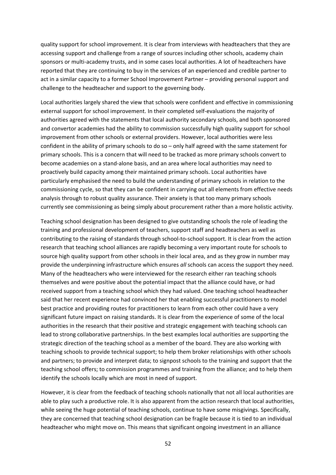quality support for school improvement. It is clear from interviews with headteachers that they are accessing support and challenge from a range of sources including other schools, academy chain sponsors or multi-academy trusts, and in some cases local authorities. A lot of headteachers have reported that they are continuing to buy in the services of an experienced and credible partner to act in a similar capacity to a former School Improvement Partner – providing personal support and challenge to the headteacher and support to the governing body.

Local authorities largely shared the view that schools were confident and effective in commissioning external support for school improvement. In their completed self-evaluations the majority of authorities agreed with the statements that local authority secondary schools, and both sponsored and convertor academies had the ability to commission successfully high quality support for school improvement from other schools or external providers. However, local authorities were less confident in the ability of primary schools to do so – only half agreed with the same statement for primary schools. This is a concern that will need to be tracked as more primary schools convert to become academies on a stand‐alone basis, and an area where local authorities may need to proactively build capacity among their maintained primary schools. Local authorities have particularly emphasised the need to build the understanding of primary schools in relation to the commissioning cycle, so that they can be confident in carrying out all elements from effective needs analysis through to robust quality assurance. Their anxiety is that too many primary schools currently see commissioning as being simply about procurement rather than a more holistic activity.

Teaching school designation has been designed to give outstanding schools the role of leading the training and professional development of teachers, support staff and headteachers as well as contributing to the raising of standards through school‐to‐school support. It is clear from the action research that teaching school alliances are rapidly becoming a very important route for schools to source high quality support from other schools in their local area, and as they grow in number may provide the underpinning infrastructure which ensures *all* schools can access the support they need. Many of the headteachers who were interviewed for the research either ran teaching schools themselves and were positive about the potential impact that the alliance could have, or had received support from a teaching school which they had valued. One teaching school headteacher said that her recent experience had convinced her that enabling successful practitioners to model best practice and providing routes for practitioners to learn from each other could have a very significant future impact on raising standards. It is clear from the experience of some of the local authorities in the research that their positive and strategic engagement with teaching schools can lead to strong collaborative partnerships. In the best examples local authorities are supporting the strategic direction of the teaching school as a member of the board. They are also working with teaching schools to provide technical support; to help them broker relationships with other schools and partners; to provide and interpret data; to signpost schools to the training and support that the teaching school offers; to commission programmes and training from the alliance; and to help them identify the schools locally which are most in need of support.

However, it is clear from the feedback of teaching schools nationally that not all local authorities are able to play such a productive role. It is also apparent from the action research that local authorities, while seeing the huge potential of teaching schools, continue to have some misgivings. Specifically, they are concerned that teaching school designation can be fragile because it is tied to an individual headteacher who might move on. This means that significant ongoing investment in an alliance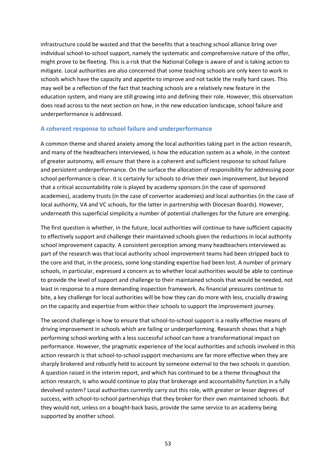infrastructure could be wasted and that the benefits that a teaching school alliance bring over individual school‐to‐school support, namely the systematic and comprehensive nature of the offer, might prove to be fleeting. This is a risk that the National College is aware of and is taking action to mitigate. Local authorities are also concerned that some teaching schools are only keen to work in schools which have the capacity and appetite to improve and not tackle the really hard cases. This may well be a reflection of the fact that teaching schools are a relatively new feature in the education system, and many are still growing into and defining their role. However, this observation does read across to the next section on how, in the new education landscape, school failure and underperformance is addressed.

#### **A coherent response to school failure and underperformance**

A common theme and shared anxiety among the local authorities taking part in the action research, and many of the headteachers interviewed, is how the education system as a whole, in the context of greater autonomy, will ensure that there is a coherent and sufficient response to school failure and persistent underperformance. On the surface the allocation of responsibility for addressing poor school performance is clear. It is certainly for schools to drive their own improvement, but beyond that a critical accountability role is played by academy sponsors (in the case of sponsored academies), academy trusts (in the case of convertor academies) and local authorities (in the case of local authority, VA and VC schools, for the latter in partnership with Diocesan Boards). However, underneath this superficial simplicity a number of potential challenges for the future are emerging.

The first question is whether, in the future, local authorities will continue to have sufficient capacity to effectively support and challenge their maintained schools given the reductions in local authority school improvement capacity. A consistent perception among many headteachers interviewed as part of the research was that local authority school improvement teams had been stripped back to the core and that, in the process, some long-standing expertise had been lost. A number of primary schools, in particular, expressed a concern as to whether local authorities would be able to continue to provide the level of support and challenge to their maintained schools that would be needed, not least in response to a more demanding inspection framework. As financial pressures continue to bite, a key challenge for local authorities will be how they can do more with less, crucially drawing on the capacity and expertise from within their schools to support the improvement journey.

The second challenge is how to ensure that school-to-school support is a really effective means of driving improvement in schools which are failing or underperforming. Research shows that a high performing school working with a less successful school can have a transformational impact on performance. However, the pragmatic experience of the local authorities and schools involved in this action research is that school-to-school support mechanisms are far more effective when they are sharply brokered and robustly held to account by someone external to the two schools in question. A question raised in the interim report, and which has continued to be a theme throughout the action research, is who would continue to play that brokerage and accountability function in a fully devolved system? Local authorities currently carry out this role, with greater or lesser degrees of success, with school-to-school partnerships that they broker for their own maintained schools. But they would not, unless on a bought‐back basis, provide the same service to an academy being supported by another school.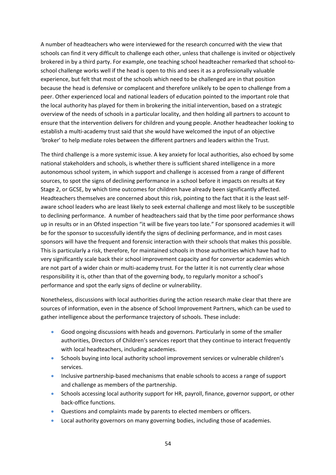A number of headteachers who were interviewed for the research concurred with the view that schools can find it very difficult to challenge each other, unless that challenge is invited or objectively brokered in by a third party. For example, one teaching school headteacher remarked that school‐to‐ school challenge works well if the head is open to this and sees it as a professionally valuable experience, but felt that most of the schools which need to be challenged are in that position because the head is defensive or complacent and therefore unlikely to be open to challenge from a peer. Other experienced local and national leaders of education pointed to the important role that the local authority has played for them in brokering the initial intervention, based on a strategic overview of the needs of schools in a particular locality, and then holding all partners to account to ensure that the intervention delivers for children and young people. Another headteacher looking to establish a multi‐academy trust said that she would have welcomed the input of an objective 'broker' to help mediate roles between the different partners and leaders within the Trust.

The third challenge is a more systemic issue. A key anxiety for local authorities, also echoed by some national stakeholders and schools, is whether there is sufficient shared intelligence in a more autonomous school system, in which support and challenge is accessed from a range of different sources, to spot the signs of declining performance in a school before it impacts on results at Key Stage 2, or GCSE, by which time outcomes for children have already been significantly affected. Headteachers themselves are concerned about this risk, pointing to the fact that it is the least self‐ aware school leaders who are least likely to seek external challenge and most likely to be susceptible to declining performance. A number of headteachers said that by the time poor performance shows up in results or in an Ofsted inspection "it will be five years too late." For sponsored academies it will be for the sponsor to successfully identify the signs of declining performance, and in most cases sponsors will have the frequent and forensic interaction with their schools that makes this possible. This is particularly a risk, therefore, for maintained schools in those authorities which have had to very significantly scale back their school improvement capacity and for convertor academies which are not part of a wider chain or multi-academy trust. For the latter it is not currently clear whose responsibility it is, other than that of the governing body, to regularly monitor a school's performance and spot the early signs of decline or vulnerability.

Nonetheless, discussions with local authorities during the action research make clear that there are sources of information, even in the absence of School Improvement Partners, which can be used to gather intelligence about the performance trajectory of schools. These include:

- Good ongoing discussions with heads and governors. Particularly in some of the smaller authorities, Directors of Children's services report that they continue to interact frequently with local headteachers, including academies.
- Schools buying into local authority school improvement services or vulnerable children's services.
- Inclusive partnership-based mechanisms that enable schools to access a range of support and challenge as members of the partnership.
- Schools accessing local authority support for HR, payroll, finance, governor support, or other back‐office functions.
- Questions and complaints made by parents to elected members or officers.
- Local authority governors on many governing bodies, including those of academies.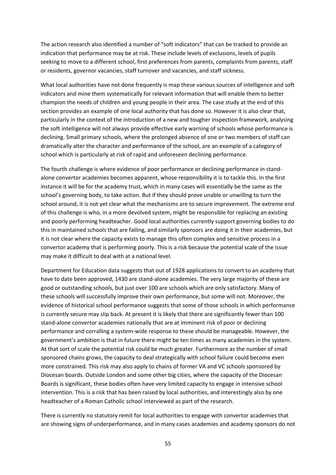The action research also identified a number of "soft indicators" that can be tracked to provide an indication that performance may be at risk. These include levels of exclusions, levels of pupils seeking to move to a different school, first preferences from parents, complaints from parents, staff or residents, governor vacancies, staff turnover and vacancies, and staff sickness.

What local authorities have not done frequently is map these various sources of intelligence and soft indicators and mine them systematically for relevant information that will enable them to better champion the needs of children and young people in their area. The case study at the end of this section provides an example of one local authority that has done so. However it is also clear that, particularly in the context of the introduction of a new and tougher inspection framework, analysing the soft intelligence will not always provide effective early warning of schools whose performance is declining. Small primary schools, where the prolonged absence of one or two members of staff can dramatically alter the character and performance of the school, are an example of a category of school which is particularly at risk of rapid and unforeseen declining performance.

The fourth challenge is where evidence of poor performance or declining performance in stand‐ alone convertor academies becomes apparent, whose responsibility it is to tackle this. In the first instance it will be for the academy trust, which in many cases will essentially be the same as the school's governing body, to take action. But if they should prove unable or unwilling to turn the school around, it is not yet clear what the mechanisms are to secure improvement. The extreme end of this challenge is who, in a more devolved system, might be responsible for replacing an existing and poorly performing headteacher. Good local authorities currently support governing bodies to do this in maintained schools that are failing, and similarly sponsors are doing it in their academies, but it is not clear where the capacity exists to manage this often complex and sensitive process in a convertor academy that is performing poorly. This is a risk because the potential scale of the issue may make it difficult to deal with at a national level.

Department for Education data suggests that out of 1928 applications to convert to an academy that have to date been approved, 1430 are stand-alone academies. The very large majority of these are good or outstanding schools, but just over 100 are schools which are only satisfactory. Many of these schools will successfully improve their own performance, but some will not. Moreover, the evidence of historical school performance suggests that some of those schools in which performance is currently secure may slip back. At present it is likely that there are significantly fewer than 100 stand‐alone convertor academies nationally that are at imminent risk of poor or declining performance and corralling a system-wide response to these should be manageable. However, the government's ambition is that in future there might be ten times as many academies in the system. At that sort of scale the potential risk could be much greater. Furthermore as the number of small sponsored chains grows, the capacity to deal strategically with school failure could become even more constrained. This risk may also apply to chains of former VA and VC schools sponsored by Diocesan boards. Outside London and some other big cities, where the capacity of the Diocesan Boards is significant, these bodies often have very limited capacity to engage in intensive school intervention. This is a risk that has been raised by local authorities, and interestingly also by one headteacher of a Roman Catholic school interviewed as part of the research.

There is currently no statutory remit for local authorities to engage with convertor academies that are showing signs of underperformance, and in many cases academies and academy sponsors do not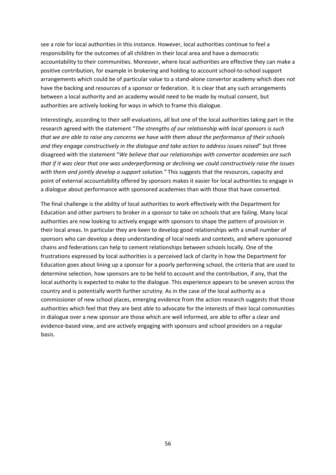see a role for local authorities in this instance. However, local authorities continue to feel a responsibility for the outcomes of all children in their local area and have a democratic accountability to their communities. Moreover, where local authorities are effective they can make a positive contribution, for example in brokering and holding to account school-to-school support arrangements which could be of particular value to a stand‐alone convertor academy which does not have the backing and resources of a sponsor or federation. It is clear that any such arrangements between a local authority and an academy would need to be made by mutual consent, but authorities are actively looking for ways in which to frame this dialogue.

Interestingly, according to their self‐evaluations, all but one of the local authorities taking part in the research agreed with the statement "*The strengths of our relationship with local sponsors is such that we are able to raise any concerns we have with them about the performance of their schools and they engage constructively in the dialogue and take action to address issues raised*" but three disagreed with the statement "*We believe that our relationships with convertor academies are such that if it was clear that one was underperforming or declining we could constructively raise the issues with them and jointly develop a support solution."* This suggests that the resources, capacity and point of external accountability offered by sponsors makes it easier for local authorities to engage in a dialogue about performance with sponsored academies than with those that have converted.

The final challenge is the ability of local authorities to work effectively with the Department for Education and other partners to broker in a sponsor to take on schools that are failing. Many local authorities are now looking to actively engage with sponsors to shape the pattern of provision in their local areas. In particular they are keen to develop good relationships with a small number of sponsors who can develop a deep understanding of local needs and contexts, and where sponsored chains and federations can help to cement relationships between schools locally. One of the frustrations expressed by local authorities is a perceived lack of clarity in how the Department for Education goes about lining up a sponsor for a poorly performing school, the criteria that are used to determine selection, how sponsors are to be held to account and the contribution, if any, that the local authority is expected to make to the dialogue. This experience appears to be uneven across the country and is potentially worth further scrutiny. As in the case of the local authority as a commissioner of new school places, emerging evidence from the action research suggests that those authorities which feel that they are best able to advocate for the interests of their local communities in dialogue over a new sponsor are those which are well informed, are able to offer a clear and evidence‐based view, and are actively engaging with sponsors and school providers on a regular basis.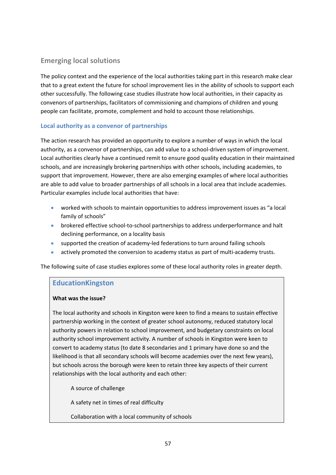# **Emerging local solutions**

The policy context and the experience of the local authorities taking part in this research make clear that to a great extent the future for school improvement lies in the ability of schools to support each other successfully. The following case studies illustrate how local authorities, in their capacity as convenors of partnerships, facilitators of commissioning and champions of children and young people can facilitate, promote, complement and hold to account those relationships.

# **Local authority as a convenor of partnerships**

The action research has provided an opportunity to explore a number of ways in which the local authority, as a convenor of partnerships, can add value to a school-driven system of improvement. Local authorities clearly have a continued remit to ensure good quality education in their maintained schools, and are increasingly brokering partnerships with other schools, including academies, to support that improvement. However, there are also emerging examples of where local authorities are able to add value to broader partnerships of all schools in a local area that include academies. Particular examples include local authorities that have:

- worked with schools to maintain opportunities to address improvement issues as "a local family of schools"
- brokered effective school-to-school partnerships to address underperformance and halt declining performance, on a locality basis
- supported the creation of academy-led federations to turn around failing schools
- actively promoted the conversion to academy status as part of multi‐academy trusts.

The following suite of case studies explores some of these local authority roles in greater depth.

# **EducationKingston**

# **What was the issue?**

The local authority and schools in Kingston were keen to find a means to sustain effective partnership working in the context of greater school autonomy, reduced statutory local authority powers in relation to school improvement, and budgetary constraints on local authority school improvement activity. A number of schools in Kingston were keen to convert to academy status (to date 8 secondaries and 1 primary have done so and the likelihood is that all secondary schools will become academies over the next few years), but schools across the borough were keen to retain three key aspects of their current relationships with the local authority and each other:

A source of challenge

A safety net in times of real difficulty

Collaboration with a local community of schools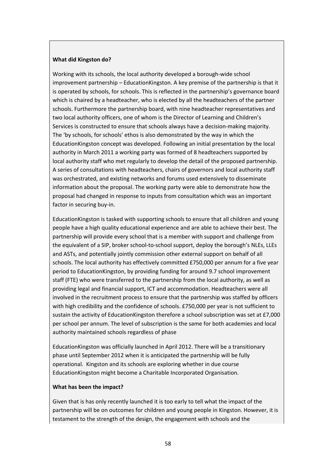#### **What did Kingston do?**

Working with its schools, the local authority developed a borough‐wide school improvement partnership – EducationKingston. A key premise of the partnership is that it is operated by schools, for schools. This is reflected in the partnership's governance board which is chaired by a headteacher, who is elected by all the headteachers of the partner schools. Furthermore the partnership board, with nine headteacher representatives and two local authority officers, one of whom is the Director of Learning and Children's Services is constructed to ensure that schools always have a decision-making majority. The 'by schools, for schools' ethos is also demonstrated by the way in which the EducationKingston concept was developed. Following an initial presentation by the local authority in March 2011 a working party was formed of 8 headteachers supported by local authority staff who met regularly to develop the detail of the proposed partnership. A series of consultations with headteachers, chairs of governors and local authority staff was orchestrated, and existing networks and forums used extensively to disseminate information about the proposal. The working party were able to demonstrate how the proposal had changed in response to inputs from consultation which was an important factor in securing buy-in.

EducationKingston is tasked with supporting schools to ensure that all children and young people have a high quality educational experience and are able to achieve their best. The partnership will provide every school that is a member with support and challenge from the equivalent of a SIP, broker school-to-school support, deploy the borough's NLEs, LLEs and ASTs, and potentially jointly commission other external support on behalf of all schools. The local authority has effectively committed £750,000 per annum for a five year period to EducationKingston, by providing funding for around 9.7 school improvement staff (FTE) who were transferred to the partnership from the local authority, as well as providing legal and financial support, ICT and accommodation. Headteachers were all involved in the recruitment process to ensure that the partnership was staffed by officers with high credibility and the confidence of schools. £750,000 per year is not sufficient to sustain the activity of EducationKingston therefore a school subscription was set at £7,000 per school per annum. The level of subscription is the same for both academies and local authority maintained schools regardless of phase

EducationKingston was officially launched in April 2012. There will be a transitionary phase until September 2012 when it is anticipated the partnership will be fully operational. Kingston and its schools are exploring whether in due course EducationKingston might become a Charitable Incorporated Organisation.

#### **What has been the impact?**

Given that is has only recently launched it is too early to tell what the impact of the partnership will be on outcomes for children and young people in Kingston. However, it is testament to the strength of the design, the engagement with schools and the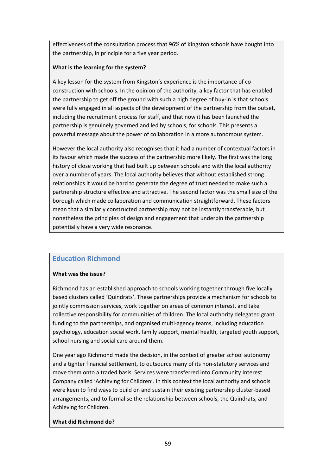effectiveness of the consultation process that 96% of Kingston schools have bought into the partnership, in principle for a five year period.

# **What is the learning for the system?**

A key lesson for the system from Kingston's experience is the importance of co‐ construction with schools. In the opinion of the authority, a key factor that has enabled the partnership to get off the ground with such a high degree of buy‐in is that schools were fully engaged in all aspects of the development of the partnership from the outset, including the recruitment process for staff, and that now it has been launched the partnership is genuinely governed and led by schools, for schools. This presents a powerful message about the power of collaboration in a more autonomous system.

However the local authority also recognises that it had a number of contextual factors in its favour which made the success of the partnership more likely. The first was the long history of close working that had built up between schools and with the local authority over a number of years. The local authority believes that without established strong relationships it would be hard to generate the degree of trust needed to make such a partnership structure effective and attractive. The second factor was the small size of the borough which made collaboration and communication straightforward. These factors mean that a similarly constructed partnership may not be instantly transferable, but nonetheless the principles of design and engagement that underpin the partnership potentially have a very wide resonance.

# **Education Richmond**

# **What was the issue?**

Richmond has an established approach to schools working together through five locally based clusters called 'Quindrats'. These partnerships provide a mechanism for schools to jointly commission services, work together on areas of common interest, and take collective responsibility for communities of children. The local authority delegated grant funding to the partnerships, and organised multi-agency teams, including education psychology, education social work, family support, mental health, targeted youth support, school nursing and social care around them.

One year ago Richmond made the decision, in the context of greater school autonomy and a tighter financial settlement, to outsource many of its non‐statutory services and move them onto a traded basis. Services were transferred into Community Interest Company called 'Achieving for Children'. In this context the local authority and schools were keen to find ways to build on and sustain their existing partnership cluster-based arrangements, and to formalise the relationship between schools, the Quindrats, and Achieving for Children.

# **What did Richmond do?**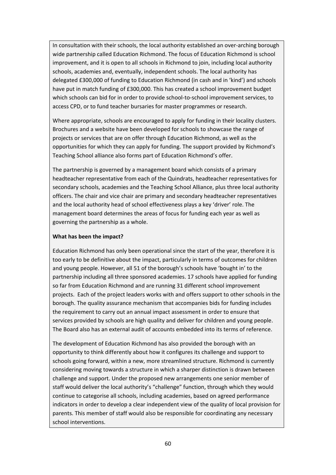In consultation with their schools, the local authority established an over‐arching borough wide partnership called Education Richmond. The focus of Education Richmond is school improvement, and it is open to all schools in Richmond to join, including local authority schools, academies and, eventually, independent schools. The local authority has delegated £300,000 of funding to Education Richmond (in cash and in 'kind') and schools have put in match funding of £300,000. This has created a school improvement budget which schools can bid for in order to provide school-to-school improvement services, to access CPD, or to fund teacher bursaries for master programmes or research.

Where appropriate, schools are encouraged to apply for funding in their locality clusters. Brochures and a website have been developed for schools to showcase the range of projects or services that are on offer through Education Richmond, as well as the opportunities for which they can apply for funding. The support provided by Richmond's Teaching School alliance also forms part of Education Richmond's offer.

The partnership is governed by a management board which consists of a primary headteacher representative from each of the Quindrats, headteacher representatives for secondary schools, academies and the Teaching School Alliance, plus three local authority officers. The chair and vice chair are primary and secondary headteacher representatives and the local authority head of school effectiveness plays a key 'driver' role. The management board determines the areas of focus for funding each year as well as governing the partnership as a whole.

### **What has been the impact?**

Education Richmond has only been operational since the start of the year, therefore it is too early to be definitive about the impact, particularly in terms of outcomes for children and young people. However, all 51 of the borough's schools have 'bought in' to the partnership including all three sponsored academies. 17 schools have applied for funding so far from Education Richmond and are running 31 different school improvement projects. Each of the project leaders works with and offers support to other schools in the borough. The quality assurance mechanism that accompanies bids for funding includes the requirement to carry out an annual impact assessment in order to ensure that services provided by schools are high quality and deliver for children and young people. The Board also has an external audit of accounts embedded into its terms of reference.

The development of Education Richmond has also provided the borough with an opportunity to think differently about how it configures its challenge and support to schools going forward, within a new, more streamlined structure. Richmond is currently considering moving towards a structure in which a sharper distinction is drawn between challenge and support. Under the proposed new arrangements one senior member of staff would deliver the local authority's "challenge" function, through which they would continue to categorise all schools, including academies, based on agreed performance indicators in order to develop a clear independent view of the quality of local provision for parents. This member of staff would also be responsible for coordinating any necessary school interventions.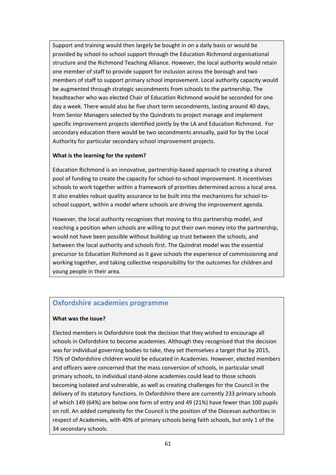Support and training would then largely be bought in on a daily basis or would be provided by school‐to‐school support through the Education Richmond organisational structure and the Richmond Teaching Alliance. However, the local authority would retain one member of staff to provide support for inclusion across the borough and two members of staff to support primary school improvement. Local authority capacity would be augmented through strategic secondments from schools to the partnership. The headteacher who was elected Chair of Education Richmond would be seconded for one day a week. There would also be five short term secondments, lasting around 40 days, from Senior Managers selected by the Quindrats to project manage and implement specific improvement projects identified jointly by the LA and Education Richmond. For secondary education there would be two secondments annually, paid for by the Local Authority for particular secondary school improvement projects.

# **What is the learning for the system?**

Education Richmond is an innovative, partnership‐based approach to creating a shared pool of funding to create the capacity for school‐to‐school improvement. It incentivises schools to work together within a framework of priorities determined across a local area. It also enables robust quality assurance to be built into the mechanisms for school‐to‐ school support, within a model where schools are driving the improvement agenda.

However, the local authority recognises that moving to this partnership model, and reaching a position when schools are willing to put their own money into the partnership, would not have been possible without building up trust between the schools, and between the local authority and schools first. The Quindrat model was the essential precursor to Education Richmond as it gave schools the experience of commissioning and working together, and taking collective responsibility for the outcomes for children and young people in their area.

# **Oxfordshire academies programme**

# **What was the issue?**

Elected members in Oxfordshire took the decision that they wished to encourage all schools in Oxfordshire to become academies. Although they recognised that the decision was for individual governing bodies to take, they set themselves a target that by 2015, 75% of Oxfordshire children would be educated in Academies. However, elected members and officers were concerned that the mass conversion of schools, in particular small primary schools, to individual stand‐alone academies could lead to those schools becoming isolated and vulnerable, as well as creating challenges for the Council in the delivery of its statutory functions. In Oxfordshire there are currently 233 primary schools of which 149 (64%) are below one form of entry and 49 (21%) have fewer than 100 pupils on roll. An added complexity for the Council is the position of the Diocesan authorities in respect of Academies, with 40% of primary schools being faith schools, but only 1 of the 34 secondary schools.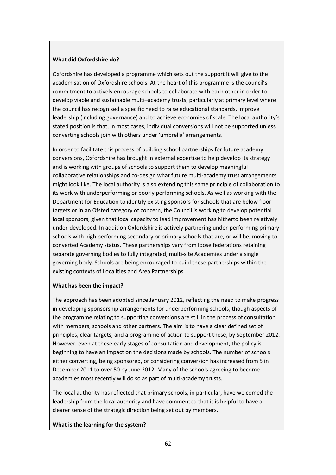### **What did Oxfordshire do?**

Oxfordshire has developed a programme which sets out the support it will give to the academisation of Oxfordshire schools. At the heart of this programme is the council's commitment to actively encourage schools to collaborate with each other in order to develop viable and sustainable multi–academy trusts, particularly at primary level where the council has recognised a specific need to raise educational standards, improve leadership (including governance) and to achieve economies of scale. The local authority's stated position is that, in most cases, individual conversions will not be supported unless converting schools join with others under 'umbrella' arrangements.

In order to facilitate this process of building school partnerships for future academy conversions, Oxfordshire has brought in external expertise to help develop its strategy and is working with groups of schools to support them to develop meaningful collaborative relationships and co-design what future multi-academy trust arrangements might look like. The local authority is also extending this same principle of collaboration to its work with underperforming or poorly performing schools. As well as working with the Department for Education to identify existing sponsors for schools that are below floor targets or in an Ofsted category of concern, the Council is working to develop potential local sponsors, given that local capacity to lead improvement has hitherto been relatively under‐developed. In addition Oxfordshire is actively partnering under‐performing primary schools with high performing secondary or primary schools that are, or will be, moving to converted Academy status. These partnerships vary from loose federations retaining separate governing bodies to fully integrated, multi‐site Academies under a single governing body. Schools are being encouraged to build these partnerships within the existing contexts of Localities and Area Partnerships.

#### **What has been the impact?**

The approach has been adopted since January 2012, reflecting the need to make progress in developing sponsorship arrangements for underperforming schools, though aspects of the programme relating to supporting conversions are still in the process of consultation with members, schools and other partners. The aim is to have a clear defined set of principles, clear targets, and a programme of action to support these, by September 2012. However, even at these early stages of consultation and development, the policy is beginning to have an impact on the decisions made by schools. The number of schools either converting, being sponsored, or considering conversion has increased from 5 in December 2011 to over 50 by June 2012. Many of the schools agreeing to become academies most recently will do so as part of multi-academy trusts.

The local authority has reflected that primary schools, in particular, have welcomed the leadership from the local authority and have commented that it is helpful to have a clearer sense of the strategic direction being set out by members.

**What is the learning for the system?**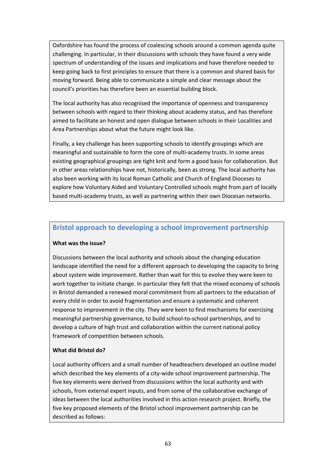Oxfordshire has found the process of coalescing schools around a common agenda quite challenging. In particular, in their discussions with schools they have found a very wide spectrum of understanding of the issues and implications and have therefore needed to keep going back to first principles to ensure that there is a common and shared basis for moving forward. Being able to communicate a simple and clear message about the council's priorities has therefore been an essential building block.

The local authority has also recognised the importance of openness and transparency between schools with regard to their thinking about academy status, and has therefore aimed to facilitate an honest and open dialogue between schools in their Localities and Area Partnerships about what the future might look like.

Finally, a key challenge has been supporting schools to identify groupings which are meaningful and sustainable to form the core of multi-academy trusts. In some areas existing geographical groupings are tight knit and form a good basis for collaboration. But in other areas relationships have not, historically, been as strong. The local authority has also been working with its local Roman Catholic and Church of England Dioceses to explore how Voluntary Aided and Voluntary Controlled schools might from part of locally based multi‐academy trusts, as well as partnering within their own Diocesan networks.

# **Bristol approach to developing a school improvement partnership**

#### **What was the issue?**

Discussions between the local authority and schools about the changing education landscape identified the need for a different approach to developing the capacity to bring about system wide improvement. Rather than wait for this to evolve they were keen to work together to initiate change. In particular they felt that the mixed economy of schools in Bristol demanded a renewed moral commitment from all partners to the education of every child in order to avoid fragmentation and ensure a systematic and coherent response to improvement in the city. They were keen to find mechanisms for exercising meaningful partnership governance, to build school‐to‐school partnerships, and to develop a culture of high trust and collaboration within the current national policy framework of competition between schools.

# **What did Bristol do?**

Local authority officers and a small number of headteachers developed an outline model which described the key elements of a city-wide school improvement partnership. The five key elements were derived from discussions within the local authority and with schools, from external expert inputs, and from some of the collaborative exchange of ideas between the local authorities involved in this action research project. Briefly, the five key proposed elements of the Bristol school improvement partnership can be described as follows: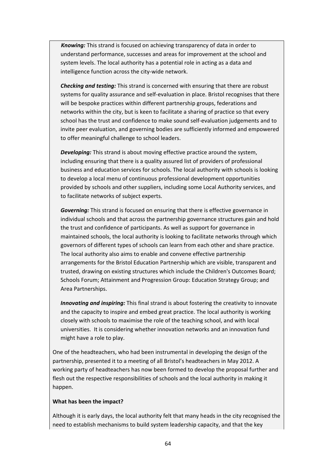*Knowing:* This strand is focused on achieving transparency of data in order to understand performance, successes and areas for improvement at the school and system levels. The local authority has a potential role in acting as a data and intelligence function across the city‐wide network.

*Checking and testing:* This strand is concerned with ensuring that there are robust systems for quality assurance and self-evaluation in place. Bristol recognises that there will be bespoke practices within different partnership groups, federations and networks within the city, but is keen to facilitate a sharing of practice so that every school has the trust and confidence to make sound self‐evaluation judgements and to invite peer evaluation, and governing bodies are sufficiently informed and empowered to offer meaningful challenge to school leaders.

*Developing:* This strand is about moving effective practice around the system, including ensuring that there is a quality assured list of providers of professional business and education services for schools. The local authority with schools is looking to develop a local menu of continuous professional development opportunities provided by schools and other suppliers, including some Local Authority services, and to facilitate networks of subject experts.

*Governing:* This strand is focused on ensuring that there is effective governance in individual schools and that across the partnership governance structures gain and hold the trust and confidence of participants. As well as support for governance in maintained schools, the local authority is looking to facilitate networks through which governors of different types of schools can learn from each other and share practice. The local authority also aims to enable and convene effective partnership arrangements for the Bristol Education Partnership which are visible, transparent and trusted, drawing on existing structures which include the Children's Outcomes Board; Schools Forum; Attainment and Progression Group: Education Strategy Group; and Area Partnerships.

*Innovating and inspiring:* This final strand is about fostering the creativity to innovate and the capacity to inspire and embed great practice. The local authority is working closely with schools to maximise the role of the teaching school, and with local universities. It is considering whether innovation networks and an innovation fund might have a role to play.

One of the headteachers, who had been instrumental in developing the design of the partnership, presented it to a meeting of all Bristol's headteachers in May 2012. A working party of headteachers has now been formed to develop the proposal further and flesh out the respective responsibilities of schools and the local authority in making it happen.

#### **What has been the impact?**

Although it is early days, the local authority felt that many heads in the city recognised the need to establish mechanisms to build system leadership capacity, and that the key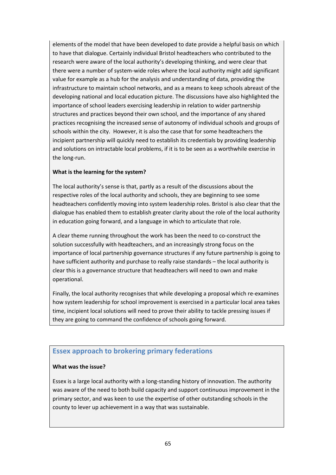elements of the model that have been developed to date provide a helpful basis on which to have that dialogue. Certainly individual Bristol headteachers who contributed to the research were aware of the local authority's developing thinking, and were clear that there were a number of system‐wide roles where the local authority might add significant value for example as a hub for the analysis and understanding of data, providing the infrastructure to maintain school networks, and as a means to keep schools abreast of the developing national and local education picture. The discussions have also highlighted the importance of school leaders exercising leadership in relation to wider partnership structures and practices beyond their own school, and the importance of any shared practices recognising the increased sense of autonomy of individual schools and groups of schools within the city. However, it is also the case that for some headteachers the incipient partnership will quickly need to establish its credentials by providing leadership and solutions on intractable local problems, if it is to be seen as a worthwhile exercise in the long‐run.

# **What is the learning for the system?**

The local authority's sense is that, partly as a result of the discussions about the respective roles of the local authority and schools, they are beginning to see some headteachers confidently moving into system leadership roles. Bristol is also clear that the dialogue has enabled them to establish greater clarity about the role of the local authority in education going forward, and a language in which to articulate that role.

A clear theme running throughout the work has been the need to co‐construct the solution successfully with headteachers, and an increasingly strong focus on the importance of local partnership governance structures if any future partnership is going to have sufficient authority and purchase to really raise standards – the local authority is clear this is a governance structure that headteachers will need to own and make operational.

Finally, the local authority recognises that while developing a proposal which re‐examines how system leadership for school improvement is exercised in a particular local area takes time, incipient local solutions will need to prove their ability to tackle pressing issues if they are going to command the confidence of schools going forward.

# **Essex approach to brokering primary federations**

# **What was the issue?**

Essex is a large local authority with a long‐standing history of innovation. The authority was aware of the need to both build capacity and support continuous improvement in the primary sector, and was keen to use the expertise of other outstanding schools in the county to lever up achievement in a way that was sustainable.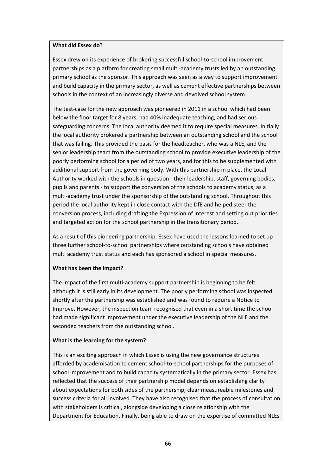#### **What did Essex do?**

Essex drew on its experience of brokering successful school‐to‐school improvement partnerships as a platform for creating small multi‐academy trusts led by an outstanding primary school as the sponsor. This approach was seen as a way to support improvement and build capacity in the primary sector, as well as cement effective partnerships between schools in the context of an increasingly diverse and devolved school system.

The test-case for the new approach was pioneered in 2011 in a school which had been below the floor target for 8 years, had 40% inadequate teaching, and had serious safeguarding concerns. The local authority deemed it to require special measures. Initially the local authority brokered a partnership between an outstanding school and the school that was failing. This provided the basis for the headteacher, who was a NLE, and the senior leadership team from the outstanding school to provide executive leadership of the poorly performing school for a period of two years, and for this to be supplemented with additional support from the governing body. With this partnership in place, the Local Authority worked with the schools in question ‐ their leadership, staff, governing bodies, pupils and parents ‐ to support the conversion of the schools to academy status, as a multi‐academy trust under the sponsorship of the outstanding school. Throughout this period the local authority kept in close contact with the DfE and helped steer the conversion process, including drafting the Expression of Interest and setting out priorities and targeted action for the school partnership in the transitionary period.

As a result of this pioneering partnership, Essex have used the lessons learned to set up three further school‐to‐school partnerships where outstanding schools have obtained multi academy trust status and each has sponsored a school in special measures.

#### **What has been the impact?**

The impact of the first multi-academy support partnership is beginning to be felt, although it is still early in its development. The poorly performing school was inspected shortly after the partnership was established and was found to require a Notice to Improve. However, the inspection team recognised that even in a short time the school had made significant improvement under the executive leadership of the NLE and the seconded teachers from the outstanding school.

#### **What is the learning for the system?**

This is an exciting approach in which Essex is using the new governance structures afforded by academisation to cement school‐to‐school partnerships for the purposes of school improvement and to build capacity systematically in the primary sector. Essex has reflected that the success of their partnership model depends on establishing clarity about expectations for both sides of the partnership, clear measureable milestones and success criteria for all involved. They have also recognised that the process of consultation with stakeholders is critical, alongside developing a close relationship with the Department for Education. Finally, being able to draw on the expertise of committed NLEs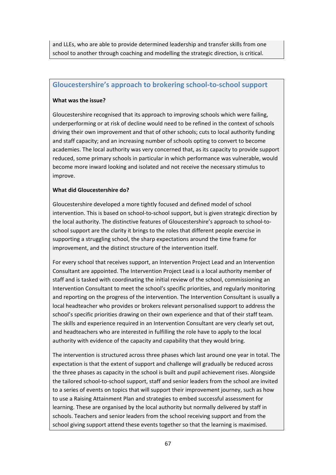and LLEs, who are able to provide determined leadership and transfer skills from one school to another through coaching and modelling the strategic direction, is critical.

# **Gloucestershire's approach to brokering school‐to‐school support**

### **What was the issue?**

Gloucestershire recognised that its approach to improving schools which were failing, underperforming or at risk of decline would need to be refined in the context of schools driving their own improvement and that of other schools; cuts to local authority funding and staff capacity; and an increasing number of schools opting to convert to become academies. The local authority was very concerned that, as its capacity to provide support reduced, some primary schools in particular in which performance was vulnerable, would become more inward looking and isolated and not receive the necessary stimulus to improve.

# **What did Gloucestershire do?**

Gloucestershire developed a more tightly focused and defined model of school intervention. This is based on school-to-school support, but is given strategic direction by the local authority. The distinctive features of Gloucestershire's approach to school‐to‐ school support are the clarity it brings to the roles that different people exercise in supporting a struggling school, the sharp expectations around the time frame for improvement, and the distinct structure of the intervention itself.

For every school that receives support, an Intervention Project Lead and an Intervention Consultant are appointed. The Intervention Project Lead is a local authority member of staff and is tasked with coordinating the initial review of the school, commissioning an Intervention Consultant to meet the school's specific priorities, and regularly monitoring and reporting on the progress of the intervention. The Intervention Consultant is usually a local headteacher who provides or brokers relevant personalised support to address the school's specific priorities drawing on their own experience and that of their staff team. The skills and experience required in an Intervention Consultant are very clearly set out, and headteachers who are interested in fulfilling the role have to apply to the local authority with evidence of the capacity and capability that they would bring.

The intervention is structured across three phases which last around one year in total. The expectation is that the extent of support and challenge will gradually be reduced across the three phases as capacity in the school is built and pupil achievement rises. Alongside the tailored school‐to‐school support, staff and senior leaders from the school are invited to a series of events on topics that will support their improvement journey, such as how to use a Raising Attainment Plan and strategies to embed successful assessment for learning. These are organised by the local authority but normally delivered by staff in schools. Teachers and senior leaders from the school receiving support and from the school giving support attend these events together so that the learning is maximised.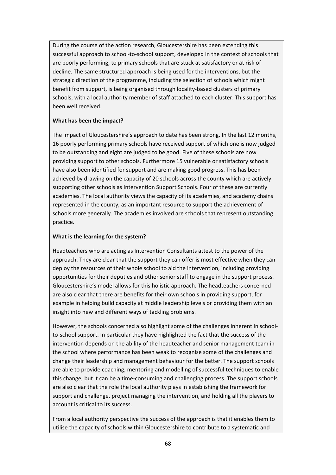During the course of the action research, Gloucestershire has been extending this successful approach to school-to-school support, developed in the context of schools that are poorly performing, to primary schools that are stuck at satisfactory or at risk of decline. The same structured approach is being used for the interventions, but the strategic direction of the programme, including the selection of schools which might benefit from support, is being organised through locality-based clusters of primary schools, with a local authority member of staff attached to each cluster. This support has been well received.

### **What has been the impact?**

The impact of Gloucestershire's approach to date has been strong. In the last 12 months, 16 poorly performing primary schools have received support of which one is now judged to be outstanding and eight are judged to be good. Five of these schools are now providing support to other schools. Furthermore 15 vulnerable or satisfactory schools have also been identified for support and are making good progress. This has been achieved by drawing on the capacity of 20 schools across the county which are actively supporting other schools as Intervention Support Schools. Four of these are currently academies. The local authority views the capacity of its academies, and academy chains represented in the county, as an important resource to support the achievement of schools more generally. The academies involved are schools that represent outstanding practice.

### **What is the learning for the system?**

Headteachers who are acting as Intervention Consultants attest to the power of the approach. They are clear that the support they can offer is most effective when they can deploy the resources of their whole school to aid the intervention, including providing opportunities for their deputies and other senior staff to engage in the support process. Gloucestershire's model allows for this holistic approach. The headteachers concerned are also clear that there are benefits for their own schools in providing support, for example in helping build capacity at middle leadership levels or providing them with an insight into new and different ways of tackling problems.

However, the schools concerned also highlight some of the challenges inherent in schoolto-school support. In particular they have highlighted the fact that the success of the intervention depends on the ability of the headteacher and senior management team in the school where performance has been weak to recognise some of the challenges and change their leadership and management behaviour for the better. The support schools are able to provide coaching, mentoring and modelling of successful techniques to enable this change, but it can be a time‐consuming and challenging process. The support schools are also clear that the role the local authority plays in establishing the framework for support and challenge, project managing the intervention, and holding all the players to account is critical to its success.

From a local authority perspective the success of the approach is that it enables them to utilise the capacity of schools within Gloucestershire to contribute to a systematic and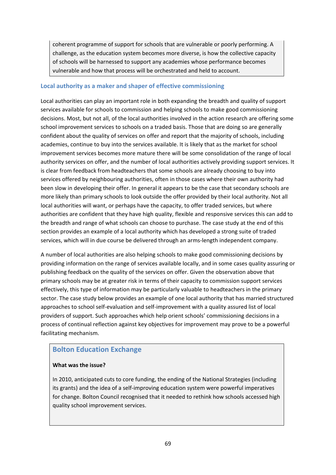coherent programme of support for schools that are vulnerable or poorly performing. A challenge, as the education system becomes more diverse, is how the collective capacity of schools will be harnessed to support any academies whose performance becomes vulnerable and how that process will be orchestrated and held to account.

# **Local authority as a maker and shaper of effective commissioning**

Local authorities can play an important role in both expanding the breadth and quality of support services available for schools to commission and helping schools to make good commissioning decisions. Most, but not all, of the local authorities involved in the action research are offering some school improvement services to schools on a traded basis. Those that are doing so are generally confident about the quality of services on offer and report that the majority of schools, including academies, continue to buy into the services available. It is likely that as the market for school improvement services becomes more mature there will be some consolidation of the range of local authority services on offer, and the number of local authorities actively providing support services. It is clear from feedback from headteachers that some schools are already choosing to buy into services offered by neighbouring authorities, often in those cases where their own authority had been slow in developing their offer. In general it appears to be the case that secondary schools are more likely than primary schools to look outside the offer provided by their local authority. Not all local authorities will want, or perhaps have the capacity, to offer traded services, but where authorities are confident that they have high quality, flexible and responsive services this can add to the breadth and range of what schools can choose to purchase. The case study at the end of this section provides an example of a local authority which has developed a strong suite of traded services, which will in due course be delivered through an arms-length independent company.

A number of local authorities are also helping schools to make good commissioning decisions by providing information on the range of services available locally, and in some cases quality assuring or publishing feedback on the quality of the services on offer. Given the observation above that primary schools may be at greater risk in terms of their capacity to commission support services effectively, this type of information may be particularly valuable to headteachers in the primary sector. The case study below provides an example of one local authority that has married structured approaches to school self‐evaluation and self‐improvement with a quality assured list of local providers of support. Such approaches which help orient schools' commissioning decisions in a process of continual reflection against key objectives for improvement may prove to be a powerful facilitating mechanism.

# **Bolton Education Exchange**

# **What was the issue?**

In 2010, anticipated cuts to core funding, the ending of the National Strategies (including its grants) and the idea of a self‐improving education system were powerful imperatives for change. Bolton Council recognised that it needed to rethink how schools accessed high quality school improvement services.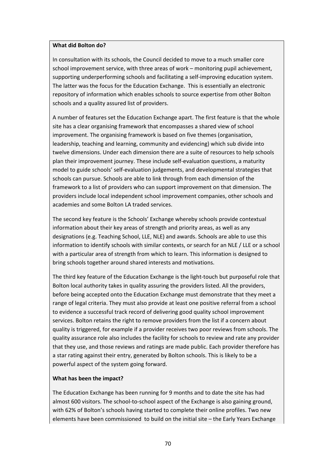#### **What did Bolton do?**

In consultation with its schools, the Council decided to move to a much smaller core school improvement service, with three areas of work – monitoring pupil achievement, supporting underperforming schools and facilitating a self-improving education system. The latter was the focus for the Education Exchange. This is essentially an electronic repository of information which enables schools to source expertise from other Bolton schools and a quality assured list of providers.

A number of features set the Education Exchange apart. The first feature is that the whole site has a clear organising framework that encompasses a shared view of school improvement. The organising framework is based on five themes (organisation, leadership, teaching and learning, community and evidencing) which sub divide into twelve dimensions. Under each dimension there are a suite of resources to help schools plan their improvement journey. These include self‐evaluation questions, a maturity model to guide schools' self‐evaluation judgements, and developmental strategies that schools can pursue. Schools are able to link through from each dimension of the framework to a list of providers who can support improvement on that dimension. The providers include local independent school improvement companies, other schools and academies and some Bolton LA traded services.

The second key feature is the Schools' Exchange whereby schools provide contextual information about their key areas of strength and priority areas, as well as any designations (e.g. Teaching School, LLE, NLE) and awards. Schools are able to use this information to identify schools with similar contexts, or search for an NLE / LLE or a school with a particular area of strength from which to learn. This information is designed to bring schools together around shared interests and motivations.

The third key feature of the Education Exchange is the light‐touch but purposeful role that Bolton local authority takes in quality assuring the providers listed. All the providers, before being accepted onto the Education Exchange must demonstrate that they meet a range of legal criteria. They must also provide at least one positive referral from a school to evidence a successful track record of delivering good quality school improvement services. Bolton retains the right to remove providers from the list if a concern about quality is triggered, for example if a provider receives two poor reviews from schools. The quality assurance role also includes the facility for schools to review and rate any provider that they use, and those reviews and ratings are made public. Each provider therefore has a star rating against their entry, generated by Bolton schools. This is likely to be a powerful aspect of the system going forward.

#### **What has been the impact?**

The Education Exchange has been running for 9 months and to date the site has had almost 600 visitors. The school‐to‐school aspect of the Exchange is also gaining ground, with 62% of Bolton's schools having started to complete their online profiles. Two new elements have been commissioned to build on the initial site – the Early Years Exchange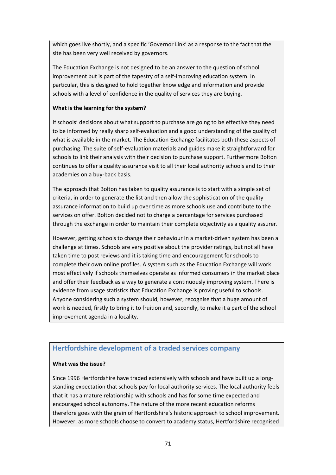which goes live shortly, and a specific 'Governor Link' as a response to the fact that the site has been very well received by governors.

The Education Exchange is not designed to be an answer to the question of school improvement but is part of the tapestry of a self-improving education system. In particular, this is designed to hold together knowledge and information and provide schools with a level of confidence in the quality of services they are buying.

# **What is the learning for the system?**

If schools' decisions about what support to purchase are going to be effective they need to be informed by really sharp self‐evaluation and a good understanding of the quality of what is available in the market. The Education Exchange facilitates both these aspects of purchasing. The suite of self‐evaluation materials and guides make it straightforward for schools to link their analysis with their decision to purchase support. Furthermore Bolton continues to offer a quality assurance visit to all their local authority schools and to their academies on a buy‐back basis.

The approach that Bolton has taken to quality assurance is to start with a simple set of criteria, in order to generate the list and then allow the sophistication of the quality assurance information to build up over time as more schools use and contribute to the services on offer. Bolton decided not to charge a percentage for services purchased through the exchange in order to maintain their complete objectivity as a quality assurer.

However, getting schools to change their behaviour in a market‐driven system has been a challenge at times. Schools are very positive about the provider ratings, but not all have taken time to post reviews and it is taking time and encouragement for schools to complete their own online profiles. A system such as the Education Exchange will work most effectively if schools themselves operate as informed consumers in the market place and offer their feedback as a way to generate a continuously improving system. There is evidence from usage statistics that Education Exchange is proving useful to schools. Anyone considering such a system should, however, recognise that a huge amount of work is needed, firstly to bring it to fruition and, secondly, to make it a part of the school improvement agenda in a locality.

# **Hertfordshire development of a traded services company**

# **What was the issue?**

Since 1996 Hertfordshire have traded extensively with schools and have built up a long‐ standing expectation that schools pay for local authority services. The local authority feels that it has a mature relationship with schools and has for some time expected and encouraged school autonomy. The nature of the more recent education reforms therefore goes with the grain of Hertfordshire's historic approach to school improvement. However, as more schools choose to convert to academy status, Hertfordshire recognised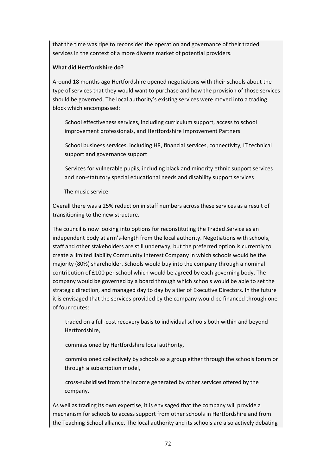that the time was ripe to reconsider the operation and governance of their traded services in the context of a more diverse market of potential providers.

## **What did Hertfordshire do?**

Around 18 months ago Hertfordshire opened negotiations with their schools about the type of services that they would want to purchase and how the provision of those services should be governed. The local authority's existing services were moved into a trading block which encompassed:

 School effectiveness services, including curriculum support, access to school improvement professionals, and Hertfordshire Improvement Partners

 School business services, including HR, financial services, connectivity, IT technical support and governance support

 Services for vulnerable pupils, including black and minority ethnic support services and non‐statutory special educational needs and disability support services

The music service

Overall there was a 25% reduction in staff numbers across these services as a result of transitioning to the new structure.

The council is now looking into options for reconstituting the Traded Service as an independent body at arm's‐length from the local authority. Negotiations with schools, staff and other stakeholders are still underway, but the preferred option is currently to create a limited liability Community Interest Company in which schools would be the majority (80%) shareholder. Schools would buy into the company through a nominal contribution of £100 per school which would be agreed by each governing body. The company would be governed by a board through which schools would be able to set the strategic direction, and managed day to day by a tier of Executive Directors. In the future it is envisaged that the services provided by the company would be financed through one of four routes:

 traded on a full‐cost recovery basis to individual schools both within and beyond Hertfordshire,

commissioned by Hertfordshire local authority,

 commissioned collectively by schools as a group either through the schools forum or through a subscription model,

 cross‐subsidised from the income generated by other services offered by the company.

As well as trading its own expertise, it is envisaged that the company will provide a mechanism for schools to access support from other schools in Hertfordshire and from the Teaching School alliance. The local authority and its schools are also actively debating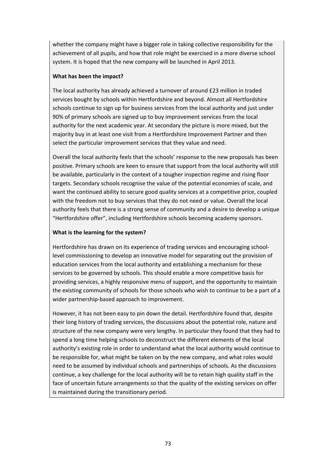whether the company might have a bigger role in taking collective responsibility for the achievement of all pupils, and how that role might be exercised in a more diverse school system. It is hoped that the new company will be launched in April 2013.

## **What has been the impact?**

The local authority has already achieved a turnover of around £23 million in traded services bought by schools within Hertfordshire and beyond. Almost all Hertfordshire schools continue to sign up for business services from the local authority and just under 90% of primary schools are signed up to buy improvement services from the local authority for the next academic year. At secondary the picture is more mixed, but the majority buy in at least one visit from a Hertfordshire Improvement Partner and then select the particular improvement services that they value and need.

Overall the local authority feels that the schools' response to the new proposals has been positive. Primary schools are keen to ensure that support from the local authority will still be available, particularly in the context of a tougher inspection regime and rising floor targets. Secondary schools recognise the value of the potential economies of scale, and want the continued ability to secure good quality services at a competitive price, coupled with the freedom not to buy services that they do not need or value. Overall the local authority feels that there is a strong sense of community and a desire to develop a unique "Hertfordshire offer", including Hertfordshire schools becoming academy sponsors.

## **What is the learning for the system?**

Hertfordshire has drawn on its experience of trading services and encouraging school‐ level commissioning to develop an innovative model for separating out the provision of education services from the local authority and establishing a mechanism for these services to be governed by schools. This should enable a more competitive basis for providing services, a highly responsive menu of support, and the opportunity to maintain the existing community of schools for those schools who wish to continue to be a part of a wider partnership-based approach to improvement.

However, it has not been easy to pin down the detail. Hertfordshire found that, despite their long history of trading services, the discussions about the potential role, nature and structure of the new company were very lengthy. In particular they found that they had to spend a long time helping schools to deconstruct the different elements of the local authority's existing role in order to understand what the local authority would continue to be responsible for, what might be taken on by the new company, and what roles would need to be assumed by individual schools and partnerships of schools. As the discussions continue, a key challenge for the local authority will be to retain high quality staff in the face of uncertain future arrangements so that the quality of the existing services on offer is maintained during the transitionary period.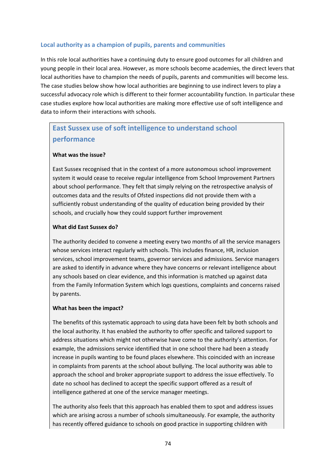## **Local authority as a champion of pupils, parents and communities**

In this role local authorities have a continuing duty to ensure good outcomes for all children and young people in their local area. However, as more schools become academies, the direct levers that local authorities have to champion the needs of pupils, parents and communities will become less. The case studies below show how local authorities are beginning to use indirect levers to play a successful advocacy role which is different to their former accountability function. In particular these case studies explore how local authorities are making more effective use of soft intelligence and data to inform their interactions with schools.

## **East Sussex use of soft intelligence to understand school performance**

### **What was the issue?**

East Sussex recognised that in the context of a more autonomous school improvement system it would cease to receive regular intelligence from School Improvement Partners about school performance. They felt that simply relying on the retrospective analysis of outcomes data and the results of Ofsted inspections did not provide them with a sufficiently robust understanding of the quality of education being provided by their schools, and crucially how they could support further improvement

### **What did East Sussex do?**

The authority decided to convene a meeting every two months of all the service managers whose services interact regularly with schools. This includes finance, HR, inclusion services, school improvement teams, governor services and admissions. Service managers are asked to identify in advance where they have concerns or relevant intelligence about any schools based on clear evidence, and this information is matched up against data from the Family Information System which logs questions, complaints and concerns raised by parents.

#### **What has been the impact?**

The benefits of this systematic approach to using data have been felt by both schools and the local authority. It has enabled the authority to offer specific and tailored support to address situations which might not otherwise have come to the authority's attention. For example, the admissions service identified that in one school there had been a steady increase in pupils wanting to be found places elsewhere. This coincided with an increase in complaints from parents at the school about bullying. The local authority was able to approach the school and broker appropriate support to address the issue effectively. To date no school has declined to accept the specific support offered as a result of intelligence gathered at one of the service manager meetings.

The authority also feels that this approach has enabled them to spot and address issues which are arising across a number of schools simultaneously. For example, the authority has recently offered guidance to schools on good practice in supporting children with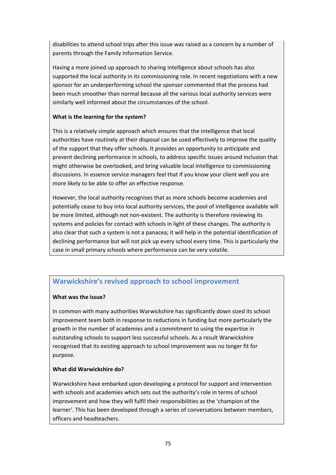disabilities to attend school trips after this issue was raised as a concern by a number of parents through the Family Information Service.

Having a more joined up approach to sharing intelligence about schools has also supported the local authority in its commissioning role. In recent negotiations with a new sponsor for an underperforming school the sponsor commented that the process had been much smoother than normal because all the various local authority services were similarly well informed about the circumstances of the school.

## **What is the learning for the system?**

This is a relatively simple approach which ensures that the intelligence that local authorities have routinely at their disposal can be used effectively to improve the quality of the support that they offer schools. It provides an opportunity to anticipate and prevent declining performance in schools, to address specific issues around inclusion that might otherwise be overlooked, and bring valuable local intelligence to commissioning discussions. In essence service managers feel that if you know your client well you are more likely to be able to offer an effective response.

However, the local authority recognises that as more schools become academies and potentially cease to buy into local authority services, the pool of intelligence available will be more limited, although not non-existent. The authority is therefore reviewing its systems and policies for contact with schools in light of these changes. The authority is also clear that such a system is not a panacea; it will help in the potential identification of declining performance but will not pick up every school every time. This is particularly the case in small primary schools where performance can be very volatile.

## **Warwickshire's revised approach to school improvement**

## **What was the issue?**

In common with many authorities Warwickshire has significantly down sized its school improvement team both in response to reductions in funding but more particularly the growth in the number of academies and a commitment to using the expertise in outstanding schools to support less successful schools. As a result Warwickshire recognised that its existing approach to school improvement was no longer fit for purpose.

## **What did Warwickshire do?**

Warwickshire have embarked upon developing a protocol for support and intervention with schools and academies which sets out the authority's role in terms of school improvement and how they will fulfil their responsibilities as the 'champion of the learner'. This has been developed through a series of conversations between members, officers and headteachers.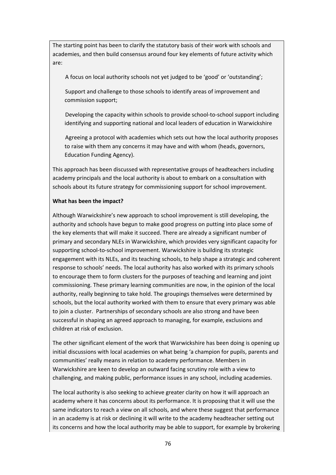The starting point has been to clarify the statutory basis of their work with schools and academies, and then build consensus around four key elements of future activity which are:

A focus on local authority schools not yet judged to be 'good' or 'outstanding';

 Support and challenge to those schools to identify areas of improvement and commission support;

Developing the capacity within schools to provide school-to-school support including identifying and supporting national and local leaders of education in Warwickshire

 Agreeing a protocol with academies which sets out how the local authority proposes to raise with them any concerns it may have and with whom (heads, governors, Education Funding Agency).

This approach has been discussed with representative groups of headteachers including academy principals and the local authority is about to embark on a consultation with schools about its future strategy for commissioning support for school improvement.

### **What has been the impact?**

Although Warwickshire's new approach to school improvement is still developing, the authority and schools have begun to make good progress on putting into place some of the key elements that will make it succeed. There are already a significant number of primary and secondary NLEs in Warwickshire, which provides very significant capacity for supporting school‐to‐school improvement. Warwickshire is building its strategic engagement with its NLEs, and its teaching schools, to help shape a strategic and coherent response to schools' needs. The local authority has also worked with its primary schools to encourage them to form clusters for the purposes of teaching and learning and joint commissioning. These primary learning communities are now, in the opinion of the local authority, really beginning to take hold. The groupings themselves were determined by schools, but the local authority worked with them to ensure that every primary was able to join a cluster. Partnerships of secondary schools are also strong and have been successful in shaping an agreed approach to managing, for example, exclusions and children at risk of exclusion.

The other significant element of the work that Warwickshire has been doing is opening up initial discussions with local academies on what being 'a champion for pupils, parents and communities' really means in relation to academy performance. Members in Warwickshire are keen to develop an outward facing scrutiny role with a view to challenging, and making public, performance issues in any school, including academies.

The local authority is also seeking to achieve greater clarity on how it will approach an academy where it has concerns about its performance. It is proposing that it will use the same indicators to reach a view on all schools, and where these suggest that performance in an academy is at risk or declining it will write to the academy headteacher setting out its concerns and how the local authority may be able to support, for example by brokering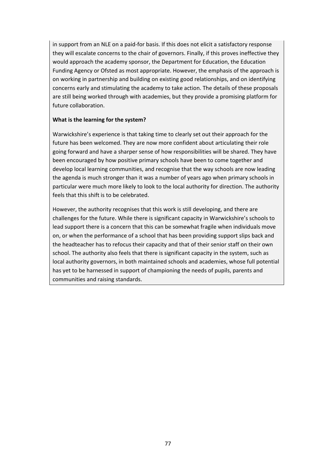in support from an NLE on a paid‐for basis. If this does not elicit a satisfactory response they will escalate concerns to the chair of governors. Finally, if this proves ineffective they would approach the academy sponsor, the Department for Education, the Education Funding Agency or Ofsted as most appropriate. However, the emphasis of the approach is on working in partnership and building on existing good relationships, and on identifying concerns early and stimulating the academy to take action. The details of these proposals are still being worked through with academies, but they provide a promising platform for future collaboration.

#### **What is the learning for the system?**

Warwickshire's experience is that taking time to clearly set out their approach for the future has been welcomed. They are now more confident about articulating their role going forward and have a sharper sense of how responsibilities will be shared. They have been encouraged by how positive primary schools have been to come together and develop local learning communities, and recognise that the way schools are now leading the agenda is much stronger than it was a number of years ago when primary schools in particular were much more likely to look to the local authority for direction. The authority feels that this shift is to be celebrated.

However, the authority recognises that this work is still developing, and there are challenges for the future. While there is significant capacity in Warwickshire's schools to lead support there is a concern that this can be somewhat fragile when individuals move on, or when the performance of a school that has been providing support slips back and the headteacher has to refocus their capacity and that of their senior staff on their own school. The authority also feels that there is significant capacity in the system, such as local authority governors, in both maintained schools and academies, whose full potential has yet to be harnessed in support of championing the needs of pupils, parents and communities and raising standards.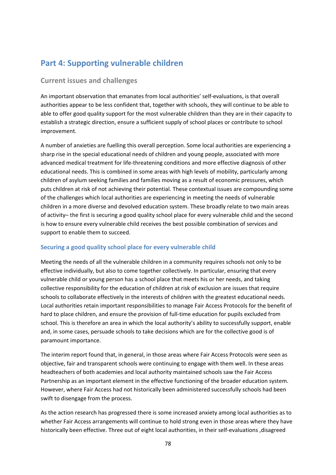# **Part 4: Supporting vulnerable children**

## **Current issues and challenges**

An important observation that emanates from local authorities' self‐evaluations, is that overall authorities appear to be less confident that, together with schools, they will continue to be able to able to offer good quality support for the most vulnerable children than they are in their capacity to establish a strategic direction, ensure a sufficient supply of school places or contribute to school improvement.

A number of anxieties are fuelling this overall perception. Some local authorities are experiencing a sharp rise in the special educational needs of children and young people, associated with more advanced medical treatment for life‐threatening conditions and more effective diagnosis of other educational needs. This is combined in some areas with high levels of mobility, particularly among children of asylum seeking families and families moving as a result of economic pressures, which puts children at risk of not achieving their potential. These contextual issues are compounding some of the challenges which local authorities are experiencing in meeting the needs of vulnerable children in a more diverse and devolved education system. These broadly relate to two main areas of activity– the first is securing a good quality school place for every vulnerable child and the second is how to ensure every vulnerable child receives the best possible combination of services and support to enable them to succeed.

## **Securing a good quality school place for every vulnerable child**

Meeting the needs of all the vulnerable children in a community requires schools not only to be effective individually, but also to come together collectively. In particular, ensuring that every vulnerable child or young person has a school place that meets his or her needs, and taking collective responsibility for the education of children at risk of exclusion are issues that require schools to collaborate effectively in the interests of children with the greatest educational needs. Local authorities retain important responsibilities to manage Fair Access Protocols for the benefit of hard to place children, and ensure the provision of full-time education for pupils excluded from school. This is therefore an area in which the local authority's ability to successfully support, enable and, in some cases, persuade schools to take decisions which are for the collective good is of paramount importance.

The interim report found that, in general, in those areas where Fair Access Protocols were seen as objective, fair and transparent schools were continuing to engage with them well. In these areas headteachers of both academies and local authority maintained schools saw the Fair Access Partnership as an important element in the effective functioning of the broader education system. However, where Fair Access had not historically been administered successfully schools had been swift to disengage from the process.

As the action research has progressed there is some increased anxiety among local authorities as to whether Fair Access arrangements will continue to hold strong even in those areas where they have historically been effective. Three out of eight local authorities, in their self‐evaluations ,disagreed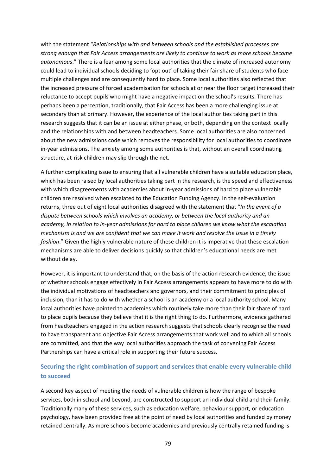with the statement "*Relationships with and between schools and the established processes are strong enough that Fair Access arrangements are likely to continue to work as more schools become autonomous*." There is a fear among some local authorities that the climate of increased autonomy could lead to individual schools deciding to 'opt out' of taking their fair share of students who face multiple challenges and are consequently hard to place. Some local authorities also reflected that the increased pressure of forced academisation for schools at or near the floor target increased their reluctance to accept pupils who might have a negative impact on the school's results. There has perhaps been a perception, traditionally, that Fair Access has been a more challenging issue at secondary than at primary. However, the experience of the local authorities taking part in this research suggests that it can be an issue at either phase, or both, depending on the context locally and the relationships with and between headteachers. Some local authorities are also concerned about the new admissions code which removes the responsibility for local authorities to coordinate in-year admissions. The anxiety among some authorities is that, without an overall coordinating structure, at‐risk children may slip through the net.

A further complicating issue to ensuring that all vulnerable children have a suitable education place, which has been raised by local authorities taking part in the research, is the speed and effectiveness with which disagreements with academies about in-year admissions of hard to place vulnerable children are resolved when escalated to the Education Funding Agency. In the self‐evaluation returns, three out of eight local authorities disagreed with the statement that "*In the event of a dispute between schools which involves an academy, or between the local authority and an academy, in relation to in‐year admissions for hard to place children we know what the escalation* mechanism is and we are confident that we can make it work and resolve the issue in a timely *fashion*." Given the highly vulnerable nature of these children it is imperative that these escalation mechanisms are able to deliver decisions quickly so that children's educational needs are met without delay.

However, it is important to understand that, on the basis of the action research evidence, the issue of whether schools engage effectively in Fair Access arrangements appears to have more to do with the individual motivations of headteachers and governors, and their commitment to principles of inclusion, than it has to do with whether a school is an academy or a local authority school. Many local authorities have pointed to academies which routinely take more than their fair share of hard to place pupils because they believe that it is the right thing to do. Furthermore, evidence gathered from headteachers engaged in the action research suggests that schools clearly recognise the need to have transparent and objective Fair Access arrangements that work well and to which all schools are committed, and that the way local authorities approach the task of convening Fair Access Partnerships can have a critical role in supporting their future success.

## **Securing the right combination of support and services that enable every vulnerable child to succeed**

A second key aspect of meeting the needs of vulnerable children is how the range of bespoke services, both in school and beyond, are constructed to support an individual child and their family. Traditionally many of these services, such as education welfare, behaviour support, or education psychology, have been provided free at the point of need by local authorities and funded by money retained centrally. As more schools become academies and previously centrally retained funding is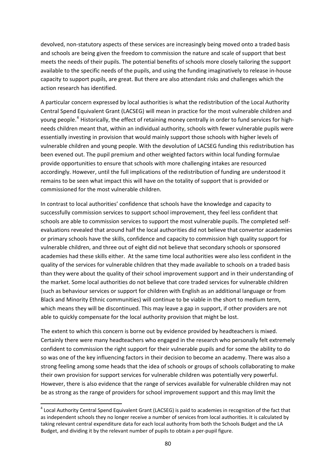devolved, non‐statutory aspects of these services are increasingly being moved onto a traded basis and schools are being given the freedom to commission the nature and scale of support that best meets the needs of their pupils. The potential benefits of schools more closely tailoring the support available to the specific needs of the pupils, and using the funding imaginatively to release in‐house capacity to support pupils, are great. But there are also attendant risks and challenges which the action research has identified.

A particular concern expressed by local authorities is what the redistribution of the Local Authority Central Spend Equivalent Grant (LACSEG) will mean in practice for the most vulnerable children and young people.<sup>[4](#page-80-0)</sup> Historically, the effect of retaining money centrally in order to fund services for highneeds children meant that, within an individual authority, schools with fewer vulnerable pupils were essentially investing in provision that would mainly support those schools with higher levels of vulnerable children and young people. With the devolution of LACSEG funding this redistribution has been evened out. The pupil premium and other weighted factors within local funding formulae provide opportunities to ensure that schools with more challenging intakes are resourced accordingly. However, until the full implications of the redistribution of funding are understood it remains to be seen what impact this will have on the totality of support that is provided or commissioned for the most vulnerable children.

In contrast to local authorities' confidence that schools have the knowledge and capacity to successfully commission services to support school improvement, they feel less confident that schools are able to commission services to support the most vulnerable pupils. The completed self‐ evaluations revealed that around half the local authorities did not believe that convertor academies or primary schools have the skills, confidence and capacity to commission high quality support for vulnerable children, and three out of eight did not believe that secondary schools or sponsored academies had these skills either. At the same time local authorities were also less confident in the quality of the services for vulnerable children that they made available to schools on a traded basis than they were about the quality of their school improvement support and in their understanding of the market. Some local authorities do not believe that core traded services for vulnerable children (such as behaviour services or support for children with English as an additional language or from Black and Minority Ethnic communities) will continue to be viable in the short to medium term, which means they will be discontinued. This may leave a gap in support, if other providers are not able to quickly compensate for the local authority provision that might be lost.

The extent to which this concern is borne out by evidence provided by headteachers is mixed. Certainly there were many headteachers who engaged in the research who personally felt extremely confident to commission the right support for their vulnerable pupils and for some the ability to do so was one of the key influencing factors in their decision to become an academy. There was also a strong feeling among some heads that the idea of schools or groups of schools collaborating to make their own provision for support services for vulnerable children was potentially very powerful. However, there is also evidence that the range of services available for vulnerable children may not be as strong as the range of providers for school improvement support and this may limit the

<span id="page-80-0"></span><sup>&</sup>lt;sup>4</sup> Local Authority Central Spend Equivalent Grant (LACSEG) is paid to academies in recognition of the fact that as independent schools they no longer receive a number of services from local authorities. It is calculated by taking relevant central expenditure data for each local authority from both the Schools Budget and the LA Budget, and dividing it by the relevant number of pupils to obtain a per‐pupil figure.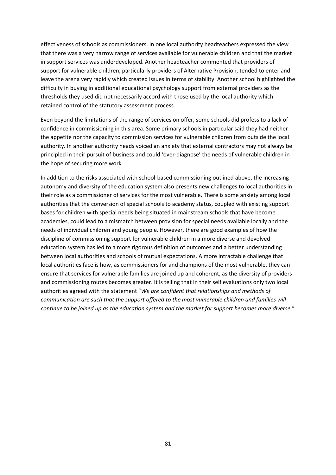effectiveness of schools as commissioners. In one local authority headteachers expressed the view that there was a very narrow range of services available for vulnerable children and that the market in support services was underdeveloped. Another headteacher commented that providers of support for vulnerable children, particularly providers of Alternative Provision, tended to enter and leave the arena very rapidly which created issues in terms of stability. Another school highlighted the difficulty in buying in additional educational psychology support from external providers as the thresholds they used did not necessarily accord with those used by the local authority which retained control of the statutory assessment process.

Even beyond the limitations of the range of services on offer, some schools did profess to a lack of confidence in commissioning in this area. Some primary schools in particular said they had neither the appetite nor the capacity to commission services for vulnerable children from outside the local authority. In another authority heads voiced an anxiety that external contractors may not always be principled in their pursuit of business and could 'over‐diagnose' the needs of vulnerable children in the hope of securing more work.

In addition to the risks associated with school-based commissioning outlined above, the increasing autonomy and diversity of the education system also presents new challenges to local authorities in their role as a commissioner of services for the most vulnerable. There is some anxiety among local authorities that the conversion of special schools to academy status, coupled with existing support bases for children with special needs being situated in mainstream schools that have become academies, could lead to a mismatch between provision for special needs available locally and the needs of individual children and young people. However, there are good examples of how the discipline of commissioning support for vulnerable children in a more diverse and devolved education system has led to a more rigorous definition of outcomes and a better understanding between local authorities and schools of mutual expectations. A more intractable challenge that local authorities face is how, as commissioners for and champions of the most vulnerable, they can ensure that services for vulnerable families are joined up and coherent, as the diversity of providers and commissioning routes becomes greater. It is telling that in their self evaluations only two local authorities agreed with the statement "*We are confident that relationships and methods of communication are such that the support offered to the most vulnerable children and families will continue to be joined up as the education system and the market for support becomes more diverse*."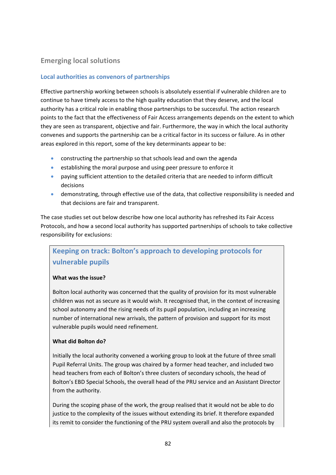## **Emerging local solutions**

## **Local authorities as convenors of partnerships**

Effective partnership working between schools is absolutely essential if vulnerable children are to continue to have timely access to the high quality education that they deserve, and the local authority has a critical role in enabling those partnerships to be successful. The action research points to the fact that the effectiveness of Fair Access arrangements depends on the extent to which they are seen as transparent, objective and fair. Furthermore, the way in which the local authority convenes and supports the partnership can be a critical factor in its success or failure. As in other areas explored in this report, some of the key determinants appear to be:

- constructing the partnership so that schools lead and own the agenda
- establishing the moral purpose and using peer pressure to enforce it
- paying sufficient attention to the detailed criteria that are needed to inform difficult decisions
- demonstrating, through effective use of the data, that collective responsibility is needed and that decisions are fair and transparent.

The case studies set out below describe how one local authority has refreshed its Fair Access Protocols, and how a second local authority has supported partnerships of schools to take collective responsibility for exclusions:

# **Keeping on track: Bolton's approach to developing protocols for vulnerable pupils**

#### **What was the issue?**

Bolton local authority was concerned that the quality of provision for its most vulnerable children was not as secure as it would wish. It recognised that, in the context of increasing school autonomy and the rising needs of its pupil population, including an increasing number of international new arrivals, the pattern of provision and support for its most vulnerable pupils would need refinement.

#### **What did Bolton do?**

Initially the local authority convened a working group to look at the future of three small Pupil Referral Units. The group was chaired by a former head teacher, and included two head teachers from each of Bolton's three clusters of secondary schools, the head of Bolton's EBD Special Schools, the overall head of the PRU service and an Assistant Director from the authority.

During the scoping phase of the work, the group realised that it would not be able to do justice to the complexity of the issues without extending its brief. It therefore expanded its remit to consider the functioning of the PRU system overall and also the protocols by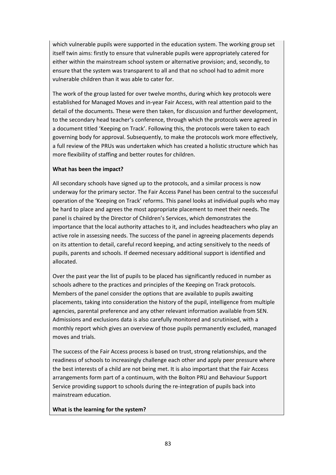which vulnerable pupils were supported in the education system. The working group set itself twin aims: firstly to ensure that vulnerable pupils were appropriately catered for either within the mainstream school system or alternative provision; and, secondly, to ensure that the system was transparent to all and that no school had to admit more vulnerable children than it was able to cater for.

The work of the group lasted for over twelve months, during which key protocols were established for Managed Moves and in‐year Fair Access, with real attention paid to the detail of the documents. These were then taken, for discussion and further development, to the secondary head teacher's conference, through which the protocols were agreed in a document titled 'Keeping on Track'. Following this, the protocols were taken to each governing body for approval. Subsequently, to make the protocols work more effectively, a full review of the PRUs was undertaken which has created a holistic structure which has more flexibility of staffing and better routes for children.

## **What has been the impact?**

All secondary schools have signed up to the protocols, and a similar process is now underway for the primary sector. The Fair Access Panel has been central to the successful operation of the 'Keeping on Track' reforms. This panel looks at individual pupils who may be hard to place and agrees the most appropriate placement to meet their needs. The panel is chaired by the Director of Children's Services, which demonstrates the importance that the local authority attaches to it, and includes headteachers who play an active role in assessing needs. The success of the panel in agreeing placements depends on its attention to detail, careful record keeping, and acting sensitively to the needs of pupils, parents and schools. If deemed necessary additional support is identified and allocated.

Over the past year the list of pupils to be placed has significantly reduced in number as schools adhere to the practices and principles of the Keeping on Track protocols. Members of the panel consider the options that are available to pupils awaiting placements, taking into consideration the history of the pupil, intelligence from multiple agencies, parental preference and any other relevant information available from SEN. Admissions and exclusions data is also carefully monitored and scrutinised, with a monthly report which gives an overview of those pupils permanently excluded, managed moves and trials.

The success of the Fair Access process is based on trust, strong relationships, and the readiness of schools to increasingly challenge each other and apply peer pressure where the best interests of a child are not being met. It is also important that the Fair Access arrangements form part of a continuum, with the Bolton PRU and Behaviour Support Service providing support to schools during the re-integration of pupils back into mainstream education.

## **What is the learning for the system?**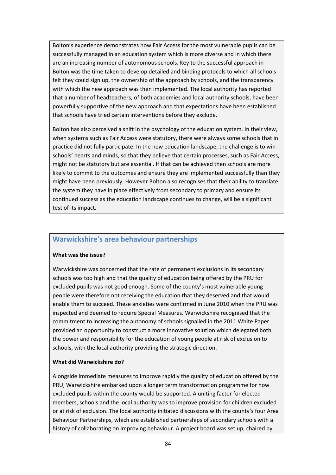Bolton's experience demonstrates how Fair Access for the most vulnerable pupils can be successfully managed in an education system which is more diverse and in which there are an increasing number of autonomous schools. Key to the successful approach in Bolton was the time taken to develop detailed and binding protocols to which all schools felt they could sign up, the ownership of the approach by schools, and the transparency with which the new approach was then implemented. The local authority has reported that a number of headteachers, of both academies and local authority schools, have been powerfully supportive of the new approach and that expectations have been established that schools have tried certain interventions before they exclude.

Bolton has also perceived a shift in the psychology of the education system. In their view, when systems such as Fair Access were statutory, there were always some schools that in practice did not fully participate. In the new education landscape, the challenge is to win schools' hearts and minds, so that they believe that certain processes, such as Fair Access, might not be statutory but are essential. If that can be achieved then schools are more likely to commit to the outcomes and ensure they are implemented successfully than they might have been previously. However Bolton also recognises that their ability to translate the system they have in place effectively from secondary to primary and ensure its continued success as the education landscape continues to change, will be a significant test of its impact.

## **Warwickshire's area behaviour partnerships**

#### **What was the issue?**

Warwickshire was concerned that the rate of permanent exclusions in its secondary schools was too high and that the quality of education being offered by the PRU for excluded pupils was not good enough. Some of the county's most vulnerable young people were therefore not receiving the education that they deserved and that would enable them to succeed. These anxieties were confirmed in June 2010 when the PRU was inspected and deemed to require Special Measures. Warwickshire recognised that the commitment to increasing the autonomy of schools signalled in the 2011 White Paper provided an opportunity to construct a more innovative solution which delegated both the power and responsibility for the education of young people at risk of exclusion to schools, with the local authority providing the strategic direction.

#### **What did Warwickshire do?**

Alongside immediate measures to improve rapidly the quality of education offered by the PRU, Warwickshire embarked upon a longer term transformation programme for how excluded pupils within the county would be supported. A uniting factor for elected members, schools and the local authority was to improve provision for children excluded or at risk of exclusion. The local authority initiated discussions with the county's four Area Behaviour Partnerships, which are established partnerships of secondary schools with a history of collaborating on improving behaviour. A project board was set up, chaired by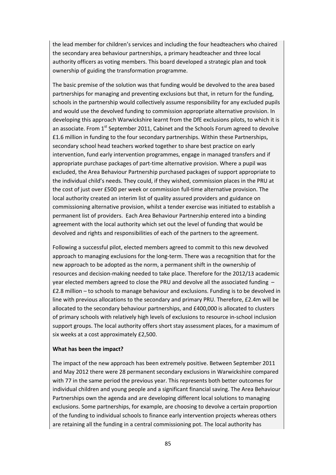the lead member for children's services and including the four headteachers who chaired the secondary area behaviour partnerships, a primary headteacher and three local authority officers as voting members. This board developed a strategic plan and took ownership of guiding the transformation programme.

The basic premise of the solution was that funding would be devolved to the area based partnerships for managing and preventing exclusions but that, in return for the funding, schools in the partnership would collectively assume responsibility for any excluded pupils and would use the devolved funding to commission appropriate alternative provision. In developing this approach Warwickshire learnt from the DfE exclusions pilots, to which it is an associate. From  $1<sup>st</sup>$  September 2011, Cabinet and the Schools Forum agreed to devolve £1.6 million in funding to the four secondary partnerships. Within these Partnerships, secondary school head teachers worked together to share best practice on early intervention, fund early intervention programmes, engage in managed transfers and if appropriate purchase packages of part‐time alternative provision. Where a pupil was excluded, the Area Behaviour Partnership purchased packages of support appropriate to the individual child's needs. They could, if they wished, commission places in the PRU at the cost of just over £500 per week or commission full-time alternative provision. The local authority created an interim list of quality assured providers and guidance on commissioning alternative provision, whilst a tender exercise was initiated to establish a permanent list of providers. Each Area Behaviour Partnership entered into a binding agreement with the local authority which set out the level of funding that would be devolved and rights and responsibilities of each of the partners to the agreement.

Following a successful pilot, elected members agreed to commit to this new devolved approach to managing exclusions for the long‐term. There was a recognition that for the new approach to be adopted as the norm, a permanent shift in the ownership of resources and decision‐making needed to take place. Therefore for the 2012/13 academic year elected members agreed to close the PRU and devolve all the associated funding – £2.8 million – to schools to manage behaviour and exclusions. Funding is to be devolved in line with previous allocations to the secondary and primary PRU. Therefore, £2.4m will be allocated to the secondary behaviour partnerships, and £400,000 is allocated to clusters of primary schools with relatively high levels of exclusions to resource in‐school inclusion support groups. The local authority offers short stay assessment places, for a maximum of six weeks at a cost approximately £2,500.

#### **What has been the impact?**

The impact of the new approach has been extremely positive. Between September 2011 and May 2012 there were 28 permanent secondary exclusions in Warwickshire compared with 77 in the same period the previous year. This represents both better outcomes for individual children and young people and a significant financial saving. The Area Behaviour Partnerships own the agenda and are developing different local solutions to managing exclusions. Some partnerships, for example, are choosing to devolve a certain proportion of the funding to individual schools to finance early intervention projects whereas others are retaining all the funding in a central commissioning pot. The local authority has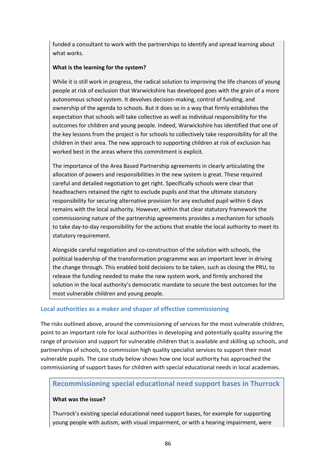funded a consultant to work with the partnerships to identify and spread learning about what works.

## **What is the learning for the system?**

While it is still work in progress, the radical solution to improving the life chances of young people at risk of exclusion that Warwickshire has developed goes with the grain of a more autonomous school system. It devolves decision‐making, control of funding, and ownership of the agenda to schools. But it does so in a way that firmly establishes the expectation that schools will take collective as well as individual responsibility for the outcomes for children and young people. Indeed, Warwickshire has identified that one of the key lessons from the project is for schools to collectively take responsibility for all the children in their area. The new approach to supporting children at risk of exclusion has worked best in the areas where this commitment is explicit.

The importance of the Area Based Partnership agreements in clearly articulating the allocation of powers and responsibilities in the new system is great. These required careful and detailed negotiation to get right. Specifically schools were clear that headteachers retained the right to exclude pupils and that the ultimate statutory responsibility for securing alternative provision for any excluded pupil within 6 days remains with the local authority. However, within that clear statutory framework the commissioning nature of the partnership agreements provides a mechanism for schools to take day-to-day responsibility for the actions that enable the local authority to meet its statutory requirement.

Alongside careful negotiation and co‐construction of the solution with schools, the political leadership of the transformation programme was an important lever in driving the change through. This enabled bold decisions to be taken, such as closing the PRU, to release the funding needed to make the new system work, and firmly anchored the solution in the local authority's democratic mandate to secure the best outcomes for the most vulnerable children and young people.

## **Local authorities as a maker and shaper of effective commissioning**

The risks outlined above, around the commissioning of services for the most vulnerable children, point to an important role for local authorities in developing and potentially quality assuring the range of provision and support for vulnerable children that is available and skilling up schools, and partnerships of schools, to commission high quality specialist services to support their most vulnerable pupils. The case study below shows how one local authority has approached the commissioning of support bases for children with special educational needs in local academies.

## **Recommissioning special educational need support bases in Thurrock**

## **What was the issue?**

Thurrock's existing special educational need support bases, for example for supporting young people with autism, with visual impairment, or with a hearing impairment, were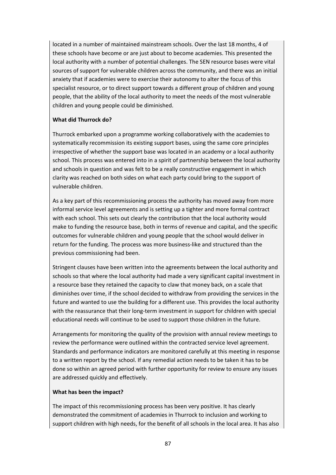located in a number of maintained mainstream schools. Over the last 18 months, 4 of these schools have become or are just about to become academies. This presented the local authority with a number of potential challenges. The SEN resource bases were vital sources of support for vulnerable children across the community, and there was an initial anxiety that if academies were to exercise their autonomy to alter the focus of this specialist resource, or to direct support towards a different group of children and young people, that the ability of the local authority to meet the needs of the most vulnerable children and young people could be diminished.

### **What did Thurrock do?**

Thurrock embarked upon a programme working collaboratively with the academies to systematically recommission its existing support bases, using the same core principles irrespective of whether the support base was located in an academy or a local authority school. This process was entered into in a spirit of partnership between the local authority and schools in question and was felt to be a really constructive engagement in which clarity was reached on both sides on what each party could bring to the support of vulnerable children.

As a key part of this recommissioning process the authority has moved away from more informal service level agreements and is setting up a tighter and more formal contract with each school. This sets out clearly the contribution that the local authority would make to funding the resource base, both in terms of revenue and capital, and the specific outcomes for vulnerable children and young people that the school would deliver in return for the funding. The process was more business‐like and structured than the previous commissioning had been.

Stringent clauses have been written into the agreements between the local authority and schools so that where the local authority had made a very significant capital investment in a resource base they retained the capacity to claw that money back, on a scale that diminishes over time, if the school decided to withdraw from providing the services in the future and wanted to use the building for a different use. This provides the local authority with the reassurance that their long-term investment in support for children with special educational needs will continue to be used to support those children in the future.

Arrangements for monitoring the quality of the provision with annual review meetings to review the performance were outlined within the contracted service level agreement. Standards and performance indicators are monitored carefully at this meeting in response to a written report by the school. If any remedial action needs to be taken it has to be done so within an agreed period with further opportunity for review to ensure any issues are addressed quickly and effectively.

#### **What has been the impact?**

The impact of this recommissioning process has been very positive. It has clearly demonstrated the commitment of academies in Thurrock to inclusion and working to support children with high needs, for the benefit of all schools in the local area. It has also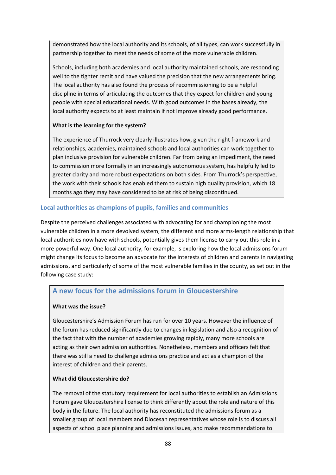demonstrated how the local authority and its schools, of all types, can work successfully in partnership together to meet the needs of some of the more vulnerable children.

Schools, including both academies and local authority maintained schools, are responding well to the tighter remit and have valued the precision that the new arrangements bring. The local authority has also found the process of recommissioning to be a helpful discipline in terms of articulating the outcomes that they expect for children and young people with special educational needs. With good outcomes in the bases already, the local authority expects to at least maintain if not improve already good performance.

## **What is the learning for the system?**

The experience of Thurrock very clearly illustrates how, given the right framework and relationships, academies, maintained schools and local authorities can work together to plan inclusive provision for vulnerable children. Far from being an impediment, the need to commission more formally in an increasingly autonomous system, has helpfully led to greater clarity and more robust expectations on both sides. From Thurrock's perspective, the work with their schools has enabled them to sustain high quality provision, which 18 months ago they may have considered to be at risk of being discontinued.

### **Local authorities as champions of pupils, families and communities**

Despite the perceived challenges associated with advocating for and championing the most vulnerable children in a more devolved system, the different and more arms‐length relationship that local authorities now have with schools, potentially gives them license to carry out this role in a more powerful way. One local authority, for example, is exploring how the local admissions forum might change its focus to become an advocate for the interests of children and parents in navigating admissions, and particularly of some of the most vulnerable families in the county, as set out in the following case study:

## **A new focus for the admissions forum in Gloucestershire**

#### **What was the issue?**

Gloucestershire's Admission Forum has run for over 10 years. However the influence of the forum has reduced significantly due to changes in legislation and also a recognition of the fact that with the number of academies growing rapidly, many more schools are acting as their own admission authorities. Nonetheless, members and officers felt that there was still a need to challenge admissions practice and act as a champion of the interest of children and their parents.

#### **What did Gloucestershire do?**

The removal of the statutory requirement for local authorities to establish an Admissions Forum gave Gloucestershire license to think differently about the role and nature of this body in the future. The local authority has reconstituted the admissions forum as a smaller group of local members and Diocesan representatives whose role is to discuss all aspects of school place planning and admissions issues, and make recommendations to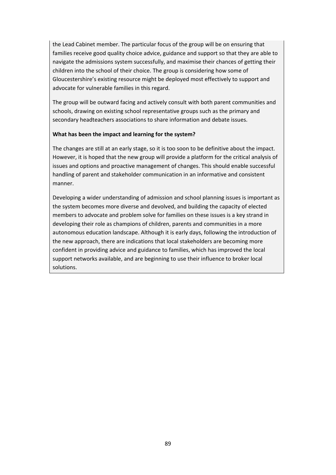the Lead Cabinet member. The particular focus of the group will be on ensuring that families receive good quality choice advice, guidance and support so that they are able to navigate the admissions system successfully, and maximise their chances of getting their children into the school of their choice. The group is considering how some of Gloucestershire's existing resource might be deployed most effectively to support and advocate for vulnerable families in this regard.

The group will be outward facing and actively consult with both parent communities and schools, drawing on existing school representative groups such as the primary and secondary headteachers associations to share information and debate issues.

### **What has been the impact and learning for the system?**

The changes are still at an early stage, so it is too soon to be definitive about the impact. However, it is hoped that the new group will provide a platform for the critical analysis of issues and options and proactive management of changes. This should enable successful handling of parent and stakeholder communication in an informative and consistent manner.

Developing a wider understanding of admission and school planning issues is important as the system becomes more diverse and devolved, and building the capacity of elected members to advocate and problem solve for families on these issues is a key strand in developing their role as champions of children, parents and communities in a more autonomous education landscape. Although it is early days, following the introduction of the new approach, there are indications that local stakeholders are becoming more confident in providing advice and guidance to families, which has improved the local support networks available, and are beginning to use their influence to broker local solutions.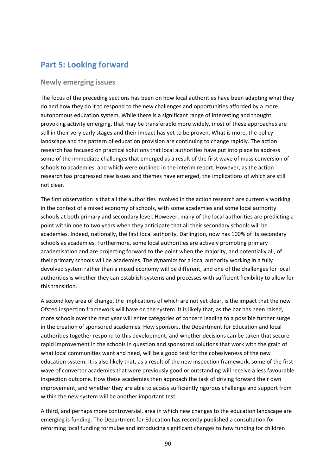# **Part 5: Looking forward**

## **Newly emerging issues**

The focus of the preceding sections has been on how local authorities have been adapting what they do and how they do it to respond to the new challenges and opportunities afforded by a more autonomous education system. While there is a significant range of interesting and thought provoking activity emerging, that may be transferable more widely, most of these approaches are still in their very early stages and their impact has yet to be proven. What is more, the policy landscape and the pattern of education provision are continuing to change rapidly. The action research has focused on practical solutions that local authorities have put into place to address some of the immediate challenges that emerged as a result of the first wave of mass conversion of schools to academies, and which were outlined in the interim report. However, as the action research has progressed new issues and themes have emerged, the implications of which are still not clear.

The first observation is that all the authorities involved in the action research are currently working in the context of a mixed economy of schools, with some academies and some local authority schools at both primary and secondary level. However, many of the local authorities are predicting a point within one to two years when they anticipate that all their secondary schools will be academies. Indeed, nationally, the first local authority, Darlington, now has 100% of its secondary schools as academies. Furthermore, some local authorities are actively promoting primary academisation and are projecting forward to the point when the majority, and potentially all, of their primary schools will be academies. The dynamics for a local authority working in a fully devolved system rather than a mixed economy will be different, and one of the challenges for local authorities is whether they can establish systems and processes with sufficient flexibility to allow for this transition.

A second key area of change, the implications of which are not yet clear, is the impact that the new Ofsted inspection framework will have on the system. It is likely that, as the bar has been raised, more schools over the next year will enter categories of concern leading to a possible further surge in the creation of sponsored academies. How sponsors, the Department for Education and local authorities together respond to this development, and whether decisions can be taken that secure rapid improvement in the schools in question and sponsored solutions that work with the grain of what local communities want and need, will be a good test for the cohesiveness of the new education system. It is also likely that, as a result of the new inspection framework, some of the first wave of convertor academies that were previously good or outstanding will receive a less favourable inspection outcome. How these academies then approach the task of driving forward their own improvement, and whether they are able to access sufficiently rigorous challenge and support from within the new system will be another important test.

A third, and perhaps more controversial, area in which new changes to the education landscape are emerging is funding. The Department for Education has recently published a consultation for reforming local funding formulae and introducing significant changes to how funding for children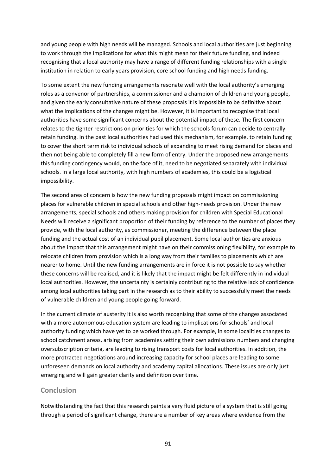and young people with high needs will be managed. Schools and local authorities are just beginning to work through the implications for what this might mean for their future funding, and indeed recognising that a local authority may have a range of different funding relationships with a single institution in relation to early years provision, core school funding and high needs funding.

To some extent the new funding arrangements resonate well with the local authority's emerging roles as a convenor of partnerships, a commissioner and a champion of children and young people, and given the early consultative nature of these proposals it is impossible to be definitive about what the implications of the changes might be. However, it is important to recognise that local authorities have some significant concerns about the potential impact of these. The first concern relates to the tighter restrictions on priorities for which the schools forum can decide to centrally retain funding. In the past local authorities had used this mechanism, for example, to retain funding to cover the short term risk to individual schools of expanding to meet rising demand for places and then not being able to completely fill a new form of entry. Under the proposed new arrangements this funding contingency would, on the face of it, need to be negotiated separately with individual schools. In a large local authority, with high numbers of academies, this could be a logistical impossibility.

The second area of concern is how the new funding proposals might impact on commissioning places for vulnerable children in special schools and other high‐needs provision. Under the new arrangements, special schools and others making provision for children with Special Educational Needs will receive a significant proportion of their funding by reference to the number of places they provide, with the local authority, as commissioner, meeting the difference between the place funding and the actual cost of an individual pupil placement. Some local authorities are anxious about the impact that this arrangement might have on their commissioning flexibility, for example to relocate children from provision which is a long way from their families to placements which are nearer to home. Until the new funding arrangements are in force it is not possible to say whether these concerns will be realised, and it is likely that the impact might be felt differently in individual local authorities. However, the uncertainty is certainly contributing to the relative lack of confidence among local authorities taking part in the research as to their ability to successfully meet the needs of vulnerable children and young people going forward.

In the current climate of austerity it is also worth recognising that some of the changes associated with a more autonomous education system are leading to implications for schools' and local authority funding which have yet to be worked through. For example, in some localities changes to school catchment areas, arising from academies setting their own admissions numbers and changing oversubscription criteria, are leading to rising transport costs for local authorities. In addition, the more protracted negotiations around increasing capacity for school places are leading to some unforeseen demands on local authority and academy capital allocations. These issues are only just emerging and will gain greater clarity and definition over time.

## **Conclusion**

Notwithstanding the fact that this research paints a very fluid picture of a system that is still going through a period of significant change, there are a number of key areas where evidence from the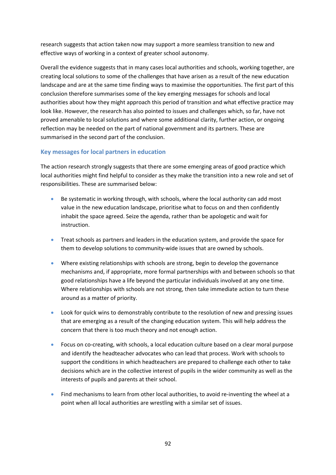research suggests that action taken now may support a more seamless transition to new and effective ways of working in a context of greater school autonomy.

Overall the evidence suggests that in many cases local authorities and schools, working together, are creating local solutions to some of the challenges that have arisen as a result of the new education landscape and are at the same time finding ways to maximise the opportunities. The first part of this conclusion therefore summarises some of the key emerging messages for schools and local authorities about how they might approach this period of transition and what effective practice may look like. However, the research has also pointed to issues and challenges which, so far, have not proved amenable to local solutions and where some additional clarity, further action, or ongoing reflection may be needed on the part of national government and its partners. These are summarised in the second part of the conclusion.

## **Key messages for local partners in education**

The action research strongly suggests that there are some emerging areas of good practice which local authorities might find helpful to consider as they make the transition into a new role and set of responsibilities. These are summarised below:

- Be systematic in working through, with schools, where the local authority can add most value in the new education landscape, prioritise what to focus on and then confidently inhabit the space agreed. Seize the agenda, rather than be apologetic and wait for instruction.
- Treat schools as partners and leaders in the education system, and provide the space for them to develop solutions to community‐wide issues that are owned by schools.
- Where existing relationships with schools are strong, begin to develop the governance mechanisms and, if appropriate, more formal partnerships with and between schools so that good relationships have a life beyond the particular individuals involved at any one time. Where relationships with schools are not strong, then take immediate action to turn these around as a matter of priority.
- Look for quick wins to demonstrably contribute to the resolution of new and pressing issues that are emerging as a result of the changing education system. This will help address the concern that there is too much theory and not enough action.
- Focus on co-creating, with schools, a local education culture based on a clear moral purpose and identify the headteacher advocates who can lead that process. Work with schools to support the conditions in which headteachers are prepared to challenge each other to take decisions which are in the collective interest of pupils in the wider community as well as the interests of pupils and parents at their school.
- Find mechanisms to learn from other local authorities, to avoid re-inventing the wheel at a point when all local authorities are wrestling with a similar set of issues.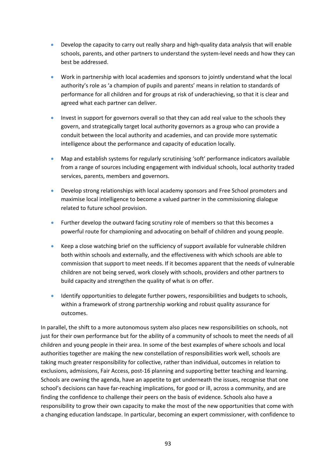- Develop the capacity to carry out really sharp and high-quality data analysis that will enable schools, parents, and other partners to understand the system‐level needs and how they can best be addressed.
- Work in partnership with local academies and sponsors to jointly understand what the local authority's role as 'a champion of pupils and parents' means in relation to standards of performance for all children and for groups at risk of underachieving, so that it is clear and agreed what each partner can deliver.
- Invest in support for governors overall so that they can add real value to the schools they govern, and strategically target local authority governors as a group who can provide a conduit between the local authority and academies, and can provide more systematic intelligence about the performance and capacity of education locally.
- Map and establish systems for regularly scrutinising 'soft' performance indicators available from a range of sources including engagement with individual schools, local authority traded services, parents, members and governors.
- Develop strong relationships with local academy sponsors and Free School promoters and maximise local intelligence to become a valued partner in the commissioning dialogue related to future school provision.
- Further develop the outward facing scrutiny role of members so that this becomes a powerful route for championing and advocating on behalf of children and young people.
- Keep a close watching brief on the sufficiency of support available for vulnerable children both within schools and externally, and the effectiveness with which schools are able to commission that support to meet needs. If it becomes apparent that the needs of vulnerable children are not being served, work closely with schools, providers and other partners to build capacity and strengthen the quality of what is on offer.
- Identify opportunities to delegate further powers, responsibilities and budgets to schools, within a framework of strong partnership working and robust quality assurance for outcomes.

In parallel, the shift to a more autonomous system also places new responsibilities on schools, not just for their own performance but for the ability of a community of schools to meet the needs of all children and young people in their area. In some of the best examples of where schools and local authorities together are making the new constellation of responsibilities work well, schools are taking much greater responsibility for collective, rather than individual, outcomes in relation to exclusions, admissions, Fair Access, post-16 planning and supporting better teaching and learning. Schools are owning the agenda, have an appetite to get underneath the issues, recognise that one school's decisions can have far-reaching implications, for good or ill, across a community, and are finding the confidence to challenge their peers on the basis of evidence. Schools also have a responsibility to grow their own capacity to make the most of the new opportunities that come with a changing education landscape. In particular, becoming an expert commissioner, with confidence to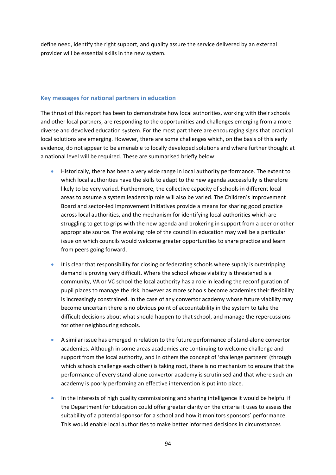define need, identify the right support, and quality assure the service delivered by an external provider will be essential skills in the new system.

#### **Key messages for national partners in education**

The thrust of this report has been to demonstrate how local authorities, working with their schools and other local partners, are responding to the opportunities and challenges emerging from a more diverse and devolved education system. For the most part there are encouraging signs that practical local solutions are emerging. However, there are some challenges which, on the basis of this early evidence, do not appear to be amenable to locally developed solutions and where further thought at a national level will be required. These are summarised briefly below:

- Historically, there has been a very wide range in local authority performance. The extent to which local authorities have the skills to adapt to the new agenda successfully is therefore likely to be very varied. Furthermore, the collective capacity of schools in different local areas to assume a system leadership role will also be varied. The Children's Improvement Board and sector‐led improvement initiatives provide a means for sharing good practice across local authorities, and the mechanism for identifying local authorities which are struggling to get to grips with the new agenda and brokering in support from a peer or other appropriate source. The evolving role of the council in education may well be a particular issue on which councils would welcome greater opportunities to share practice and learn from peers going forward.
- It is clear that responsibility for closing or federating schools where supply is outstripping demand is proving very difficult. Where the school whose viability is threatened is a community, VA or VC school the local authority has a role in leading the reconfiguration of pupil places to manage the risk, however as more schools become academies their flexibility is increasingly constrained. In the case of any convertor academy whose future viability may become uncertain there is no obvious point of accountability in the system to take the difficult decisions about what should happen to that school, and manage the repercussions for other neighbouring schools.
- A similar issue has emerged in relation to the future performance of stand‐alone convertor academies. Although in some areas academies are continuing to welcome challenge and support from the local authority, and in others the concept of 'challenge partners' (through which schools challenge each other) is taking root, there is no mechanism to ensure that the performance of every stand‐alone convertor academy is scrutinised and that where such an academy is poorly performing an effective intervention is put into place.
- In the interests of high quality commissioning and sharing intelligence it would be helpful if the Department for Education could offer greater clarity on the criteria it uses to assess the suitability of a potential sponsor for a school and how it monitors sponsors' performance. This would enable local authorities to make better informed decisions in circumstances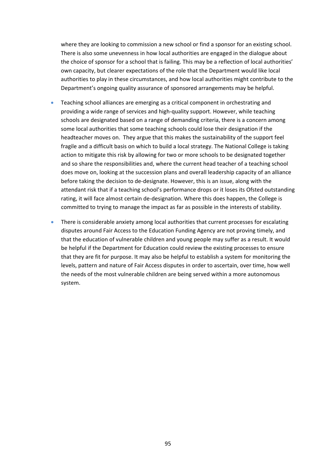where they are looking to commission a new school or find a sponsor for an existing school. There is also some unevenness in how local authorities are engaged in the dialogue about the choice of sponsor for a school that is failing. This may be a reflection of local authorities' own capacity, but clearer expectations of the role that the Department would like local authorities to play in these circumstances, and how local authorities might contribute to the Department's ongoing quality assurance of sponsored arrangements may be helpful.

- Teaching school alliances are emerging as a critical component in orchestrating and providing a wide range of services and high‐quality support. However, while teaching schools are designated based on a range of demanding criteria, there is a concern among some local authorities that some teaching schools could lose their designation if the headteacher moves on. They argue that this makes the sustainability of the support feel fragile and a difficult basis on which to build a local strategy. The National College is taking action to mitigate this risk by allowing for two or more schools to be designated together and so share the responsibilities and, where the current head teacher of a teaching school does move on, looking at the succession plans and overall leadership capacity of an alliance before taking the decision to de‐designate. However, this is an issue, along with the attendant risk that if a teaching school's performance drops or it loses its Ofsted outstanding rating, it will face almost certain de‐designation. Where this does happen, the College is committed to trying to manage the impact as far as possible in the interests of stability.
- There is considerable anxiety among local authorities that current processes for escalating disputes around Fair Access to the Education Funding Agency are not proving timely, and that the education of vulnerable children and young people may suffer as a result. It would be helpful if the Department for Education could review the existing processes to ensure that they are fit for purpose. It may also be helpful to establish a system for monitoring the levels, pattern and nature of Fair Access disputes in order to ascertain, over time, how well the needs of the most vulnerable children are being served within a more autonomous system.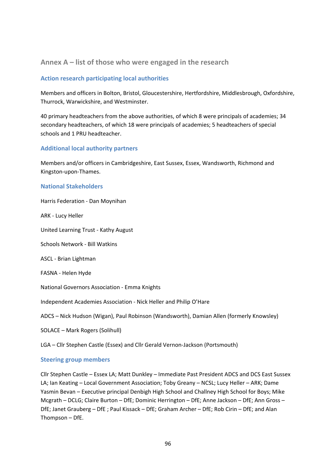## **Annex A – list of those who were engaged in the research**

### **Action research participating local authorities**

Members and officers in Bolton, Bristol, Gloucestershire, Hertfordshire, Middlesbrough, Oxfordshire, Thurrock, Warwickshire, and Westminster.

40 primary headteachers from the above authorities, of which 8 were principals of academies; 34 secondary headteachers, of which 18 were principals of academies; 5 headteachers of special schools and 1 PRU headteacher.

### **Additional local authority partners**

Members and/or officers in Cambridgeshire, East Sussex, Essex, Wandsworth, Richmond and Kingston‐upon‐Thames.

#### **National Stakeholders**

Harris Federation ‐ Dan Moynihan

ARK ‐ Lucy Heller

United Learning Trust ‐ Kathy August

Schools Network ‐ Bill Watkins

ASCL ‐ Brian Lightman

FASNA ‐ Helen Hyde

National Governors Association ‐ Emma Knights

Independent Academies Association ‐ Nick Heller and Philip O'Hare

ADCS – Nick Hudson (Wigan), Paul Robinson (Wandsworth), Damian Allen (formerly Knowsley)

SOLACE – Mark Rogers (Solihull)

LGA – Cllr Stephen Castle (Essex) and Cllr Gerald Vernon‐Jackson (Portsmouth)

#### **Steering group members**

Cllr Stephen Castle – Essex LA; Matt Dunkley – Immediate Past President ADCS and DCS East Sussex LA; Ian Keating – Local Government Association; Toby Greany – NCSL; Lucy Heller – ARK; Dame Yasmin Bevan – Executive principal Denbigh High School and Challney High School for Boys; Mike Mcgrath – DCLG; Claire Burton – DfE; Dominic Herrington – DfE; Anne Jackson – DfE; Ann Gross – DfE; Janet Grauberg – DfE ; Paul Kissack – DfE; Graham Archer – DfE; Rob Cirin – DfE; and Alan Thompson – DfE.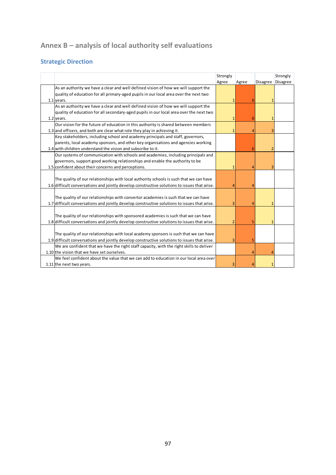# **Annex B – analysis of local authority self evaluations**

# **Strategic Direction**

|                                                                                              | Strongly |       |                 | Strongly        |
|----------------------------------------------------------------------------------------------|----------|-------|-----------------|-----------------|
|                                                                                              | Agree    | Agree | <b>Disagree</b> | <b>Disagree</b> |
| As an authority we have a clear and well defined vision of how we will support the           |          |       |                 |                 |
| quality of education for all primary-aged pupils in our local area over the next two         |          |       |                 |                 |
| 1.1 years.                                                                                   |          | 6     |                 |                 |
| As an authority we have a clear and well defined vision of how we will support the           |          |       |                 |                 |
| quality of education for all secondary-aged pupils in our local area over the next two       |          |       |                 |                 |
| 1.2 years.                                                                                   |          | 6     |                 |                 |
| Our vision for the future of education in this authority is shared between members           |          |       |                 |                 |
| 1.3 and officers, and both are clear what role they play in achieving it.                    |          | Δ     | ٩               |                 |
| Key stakeholders, including school and academy principals and staff, governors,              |          |       |                 |                 |
| parents, local academy sponsors, and other key organisations and agencies working            |          |       |                 |                 |
| 1.4 with children understand the vision and subscribe to it.                                 |          | 6     | 2               |                 |
| Our systems of communication with schools and academies, including principals and            |          |       |                 |                 |
| governors, support good working relationships and enable the authority to be                 |          |       |                 |                 |
| 1.5 confident about their concerns and perceptions.                                          | 1        |       | 3               |                 |
|                                                                                              |          |       |                 |                 |
| The quality of our relationships with local authority schools is such that we can have       |          |       |                 |                 |
| 1.6 difficult conversations and jointly develop constructive solutions to issues that arise. |          |       |                 |                 |
|                                                                                              |          |       |                 |                 |
| The quality of our relationships with convertor academies is such that we can have           |          |       |                 |                 |
| 1.7 difficult conversations and jointly develop constructive solutions to issues that arise. | 3        | Δ     | 1               |                 |
|                                                                                              |          |       |                 |                 |
| The quality of our relationships with sponsored academies is such that we can have           |          |       |                 |                 |
| 1.8 difficult conversations and jointly develop constructive solutions to issues that arise. | 2        | 5     |                 |                 |
|                                                                                              |          |       |                 |                 |
| The quality of our relationships with local academy sponsors is such that we can have        |          |       |                 |                 |
| 1.9 difficult conversations and jointly develop constructive solutions to issues that arise. | 3        | 5     |                 |                 |
| We are confident that we have the right staff capacity, with the right skills to deliver     |          |       |                 |                 |
| 1.10 the vision that we have set ourselves.                                                  |          |       |                 |                 |
| We feel confident about the value that we can add to education in our local area over        |          |       |                 |                 |
| 1.11 the next two years.                                                                     |          |       |                 |                 |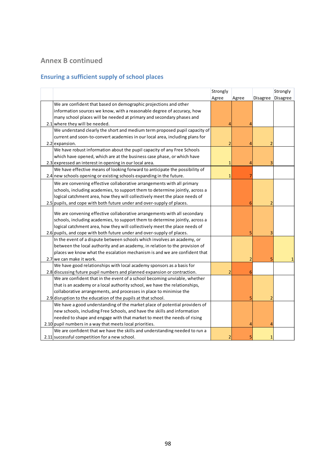# **Annex B continued**

# **Ensuring a sufficient supply of school places**

|                                                                              | Strongly                |       | Strongly       |          |
|------------------------------------------------------------------------------|-------------------------|-------|----------------|----------|
|                                                                              | Agree                   | Agree | Disagree       | Disagree |
| We are confident that based on demographic projections and other             |                         |       |                |          |
| information sources we know, with a reasonable degree of accuracy, how       |                         |       |                |          |
| many school places will be needed at primary and secondary phases and        |                         |       |                |          |
| 2.1 where they will be needed.                                               |                         |       |                |          |
| We understand clearly the short and medium term proposed pupil capacity of   |                         |       |                |          |
| current and soon-to-convert academies in our local area, including plans for |                         |       |                |          |
| 2.2 expansion.                                                               | $\overline{\mathbf{c}}$ | 4     |                |          |
| We have robust information about the pupil capacity of any Free Schools      |                         |       |                |          |
| which have opened, which are at the business case phase, or which have       |                         |       |                |          |
| 2.3 expressed an interest in opening in our local area.                      | 1                       | 4     |                |          |
| We have effective means of looking forward to anticipate the possibility of  |                         |       |                |          |
| 2.4 new schools opening or existing schools expanding in the future.         | 1                       |       |                |          |
| We are convening effective collaborative arrangements with all primary       |                         |       |                |          |
| schools, including academies, to support them to determine jointly, across a |                         |       |                |          |
| logical catchment area, how they will collectively meet the place needs of   |                         |       |                |          |
| 2.5 pupils, and cope with both future under and over-supply of places.       |                         | 6     | 2              |          |
|                                                                              |                         |       |                |          |
| We are convening effective collaborative arrangements with all secondary     |                         |       |                |          |
| schools, including academies, to support them to determine jointly, across a |                         |       |                |          |
| logical catchment area, how they will collectively meet the place needs of   |                         |       |                |          |
| 2.6 pupils, and cope with both future under and over-supply of places.       |                         | 5     | 3              |          |
| In the event of a dispute between schools which involves an academy, or      |                         |       |                |          |
| between the local authority and an academy, in relation to the provision of  |                         |       |                |          |
| places we know what the escalation mechanism is and we are confident that    |                         |       |                |          |
| 2.7 we can make it work.                                                     |                         | 2     |                |          |
| We have good relationships with local academy sponsors as a basis for        |                         |       |                |          |
| 2.8 discussing future pupil numbers and planned expansion or contraction.    |                         | 6     |                |          |
| We are confident that in the event of a school becoming unviable, whether    |                         |       |                |          |
| that is an academy or a local authority school, we have the relationships,   |                         |       |                |          |
| collaborative arrangements, and processes in place to minimise the           |                         |       |                |          |
| 2.9 disruption to the education of the pupils at that school.                |                         | 5     | $\overline{2}$ |          |
| We have a good understanding of the market place of potential providers of   |                         |       |                |          |
| new schools, including Free Schools, and have the skills and information     |                         |       |                |          |
| needed to shape and engage with that market to meet the needs of rising      |                         |       |                |          |
| 2.10 pupil numbers in a way that meets local priorities.                     |                         |       |                |          |
| We are confident that we have the skills and understanding needed to run a   |                         |       |                |          |
| 2.11 successful competition for a new school.                                |                         |       |                |          |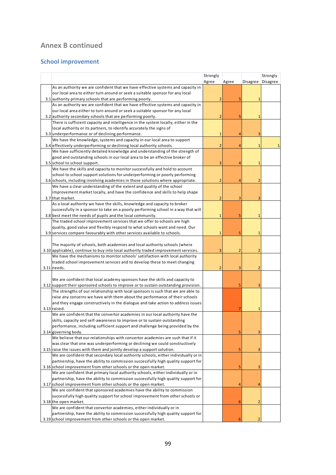# **Annex B continued**

## **School improvement**

|                                                                                      | Strongly                |                |                | Strongly        |
|--------------------------------------------------------------------------------------|-------------------------|----------------|----------------|-----------------|
|                                                                                      | Agree                   | Agree          | Disagree       | <b>Disagree</b> |
| As an authority we are confident that we have effective systems and capacity in      |                         |                |                |                 |
| our local area to either turn around or seek a suitable sponsor for any local        |                         |                |                |                 |
| 3.1 authority primary schools that are performing poorly.                            | $\overline{2}$          |                | $\mathbf{1}$   |                 |
| As an authority we are confident that we have effective systems and capacity in      |                         |                |                |                 |
| our local area either to turn around or seek a suitable sponsor for any local        |                         |                |                |                 |
| 3.2 authority secondary schools that are performing poorly.                          | $\overline{2}$          | 5              | 1              |                 |
| There is sufficient capacity and intelligence in the system locally, either in the   |                         |                |                |                 |
| local authority or its partners, to identify accurately the signs of                 |                         |                |                |                 |
| 3.3 underperformance or of declining performance.                                    | $\mathbf{1}$            | $\overline{4}$ | 3              |                 |
| We have the knowledge, systems and capacity in our local area to support             |                         |                |                |                 |
| 3.4 effectively underperforming or declining local authority schools.                | $\overline{2}$          | $\overline{4}$ | $\mathbf{1}$   |                 |
| We have sufficiently detailed knowledge and understanding of the strength of         |                         |                |                |                 |
| good and outstanding schools in our local area to be an effective broker of          |                         |                |                |                 |
| 3.5 school to school support.                                                        | 3                       | $\overline{4}$ | $\mathbf{1}$   |                 |
| We have the skills and capacity to monitor successfully and hold to account          |                         |                |                |                 |
| school to school support solutions for underperforming or poorly performing          |                         |                |                |                 |
| 3.6 schools, including involving academies in those solutions where appropriate.     | $\overline{\mathbf{c}}$ | 4              | 2              |                 |
| We have a clear understanding of the extent and quality of the school                |                         |                |                |                 |
| improvement market locally, and have the confidence and skills to help shape         |                         |                |                |                 |
| 3.7 that market.                                                                     | $\overline{2}$          | 3              | 3              |                 |
| As a local authority we have the skills, knowledge and capacity to broker            |                         |                |                |                 |
| successfully in a sponsor to take on a poorly performing school in a way that will   |                         |                |                |                 |
| 3.8 best meet the needs of pupils and the local community.                           | $\mathbf{1}$            | 5              | $\mathbf{1}$   |                 |
| The traded school improvement services that we offer to schools are high             |                         |                |                |                 |
| quality, good value and flexibly respond to what schools want and need. Our          |                         |                |                |                 |
| 3.9 services compare favourably with other services available to schools.            | 1                       | 5              | $\mathbf{1}$   |                 |
| The majority of schools, both academies and local authority schools (where           |                         |                |                |                 |
| 3.10 applicable), continue to buy into local authority traded improvement services.  | 3                       | $\overline{2}$ | $\overline{2}$ |                 |
| We have the mechanisms to monitor schools' satisfaction with local authority         |                         |                |                |                 |
| traded school improvement services and to develop these to meet changing             |                         |                |                |                 |
| $3.11$ needs.                                                                        | $\overline{2}$          | 3              | $\overline{2}$ |                 |
|                                                                                      |                         |                |                |                 |
| We are confident that local academy sponsors have the skills and capacity to         |                         |                |                |                 |
| 3.12 support their sponsored schools to improve or to sustain outstanding provision. |                         | 5              | 3              |                 |
| The strengths of our relationship with local sponsors is such that we are able to    |                         |                |                |                 |
| raise any concerns we have with them about the performance of their schools          |                         |                |                |                 |
| and they engage constructively in the dialogue and take action to address issues     |                         |                |                |                 |
| 3.13 raised.                                                                         |                         |                | $\mathbf{1}$   |                 |
| We are confident that the convertor academies in our local authority have the        |                         |                |                |                 |
| skills, capacity and self-awareness to improve or to sustain outstanding             |                         |                |                |                 |
| performance, including sufficient support and challenge being provided by the        |                         |                |                |                 |
| 3.14 governing body.                                                                 |                         | 5              | 3              |                 |
| We believe that our relationships with convertor academies are such that if it       |                         |                |                |                 |
| was clear that one was underperforming or declining we could constructively          |                         |                |                |                 |
| 3.15 raise the issues with them and jointly develop a support solution.              |                         | 5              | 3              |                 |
| We are confident that secondary local authority schools, either individually or in   |                         |                |                |                 |
| partnership, have the ability to commission successfully high quality support for    |                         |                |                |                 |
| 3.16 school improvement from other schools or the open market.                       |                         | 5              | 3              |                 |
| We are confident that primary local authority schools, either individually or in     |                         |                |                |                 |
| partnership, have the ability to commission successfully high quality support for    |                         |                |                |                 |
| 3.17 school improvement from other schools or the open market.                       |                         | 4              | 4              |                 |
| We are confident that sponsored academies have the ability to commission             |                         |                |                |                 |
| successfully high quality support for school improvement from other schools or       |                         |                |                |                 |
| 3.18 the open market.                                                                |                         | 6              | $\overline{2}$ |                 |
| We are confident that convertor academies, either individually or in                 |                         |                |                |                 |
| partnership, have the ability to commission successfully high quality support for    |                         |                |                |                 |
| 3.19 school improvement from other schools or the open market.                       |                         | 6              | $\overline{2}$ |                 |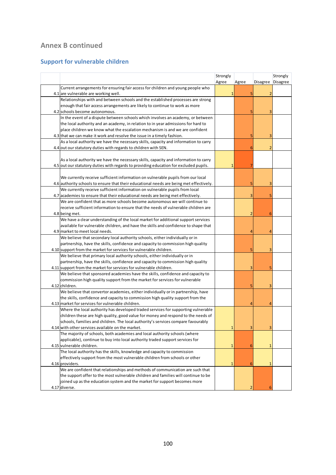# **Annex B continued**

## **Support for vulnerable children**

|                                                                                                   | Strongly |                |              | Strongly |
|---------------------------------------------------------------------------------------------------|----------|----------------|--------------|----------|
|                                                                                                   | Agree    | Agree          | Disagree     | Disagree |
| Current arrangements for ensuring fair access for children and young people who                   |          |                |              |          |
| 4.1 are vulnerable are working well.                                                              |          |                |              |          |
| Relationships with and between schools and the established processes are strong                   |          |                |              |          |
| enough that fair access arrangements are likely to continue to work as more                       |          |                |              |          |
| 4.2 schools become autonomous.                                                                    |          |                | 3            |          |
| In the event of a dispute between schools which involves an academy, or between                   |          |                |              |          |
| the local authority and an academy, in relation to in year admissions for hard to                 |          |                |              |          |
| place children we know what the escalation mechanism is and we are confident                      |          |                |              |          |
| 4.3 that we can make it work and resolve the issue in a timely fashion.                           |          | 5              | 3            |          |
| As a local authority we have the necessary skills, capacity and information to carry              |          |                |              |          |
| 4.4 out our statutory duties with regards to children with SEN.                                   |          | 6              | 2            |          |
|                                                                                                   |          |                |              |          |
| As a local authority we have the necessary skills, capacity and information to carry              |          |                |              |          |
| 4.5 out our statutory duties with regards to providing education for excluded pupils.             |          |                |              |          |
|                                                                                                   |          |                |              |          |
| We currently receive sufficient information on vulnerable pupils from our local                   |          |                |              |          |
| 4.6 authority schools to ensure that their educational needs are being met effectively.           |          |                |              |          |
| We currently receive sufficient information on vulnerable pupils from local                       |          |                |              |          |
| 4.7 academies to ensure that their educational needs are being met effectively.                   |          | 3              | 5            |          |
| We are confident that as more schools become autonomous we will continue to                       |          |                |              |          |
| receive sufficient information to ensure that the needs of vulnerable children are                |          |                |              |          |
| 4.8 being met.                                                                                    |          | $\overline{2}$ | 6            |          |
| We have a clear understanding of the local market for additional support services                 |          |                |              |          |
| available for vulnerable children, and have the skills and confidence to shape that               |          |                |              |          |
| 4.9 market to meet local needs.                                                                   |          | Δ              |              |          |
| We believe that secondary local authority schools, either individually or in                      |          |                |              |          |
| partnership, have the skills, confidence and capacity to commission high quality                  |          |                |              |          |
| 4.10 support from the market for services for vulnerable children.                                |          | 5              | 3            |          |
| We believe that primary local authority schools, either individually or in                        |          |                |              |          |
| partnership, have the skills, confidence and capacity to commission high quality                  |          |                |              |          |
| 4.11 support from the market for services for vulnerable children.                                |          | 3              | 5            |          |
| We believe that sponsored academies have the skills, confidence and capacity to                   |          |                |              |          |
| commission high quality support from the market for services for vulnerable                       |          |                |              |          |
| 4.12 children.                                                                                    |          | 5              | З            |          |
| We believe that convertor academies, either individually or in partnership, have                  |          |                |              |          |
| the skills, confidence and capacity to commission high quality support from the                   |          |                |              |          |
| 4.13 market for services for vulnerable children.                                                 |          | 4              | 7            |          |
| Where the local authority has developed traded services for supporting vulnerable                 |          |                |              |          |
| children these are high quality, good value for money and respond to the needs of                 |          |                |              |          |
| schools, families and children. The local authority's services compare favourably                 |          |                |              |          |
| 4.14 with other services available on the market.                                                 | 1        | 3              | 3            |          |
| The majority of schools, both academies and local authority schools (where                        |          |                |              |          |
| applicable), continue to buy into local authority traded support services for                     |          |                |              |          |
| 4.15 vulnerable children.                                                                         | 1        | 6              | 1            |          |
| The local authority has the skills, knowledge and capacity to commission                          |          |                |              |          |
| effectively support from the most vulnerable children from schools or other                       |          |                |              |          |
|                                                                                                   |          |                |              |          |
| 4.16 providers.<br>We are confident that relationships and methods of communication are such that |          | 6              | $\mathbf{1}$ |          |
| the support offer to the most vulnerable children and families will continue to be                |          |                |              |          |
| joined up as the education system and the market for support becomes more                         |          |                |              |          |
|                                                                                                   |          |                |              |          |
| 4.17 diverse.                                                                                     |          | $\overline{2}$ | 6            |          |